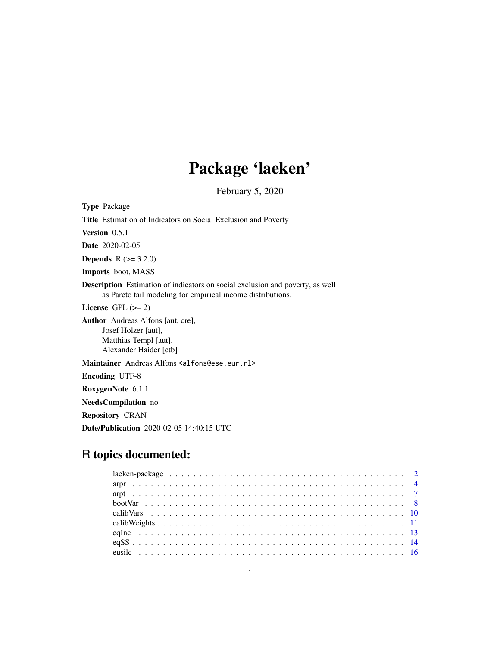# Package 'laeken'

February 5, 2020

<span id="page-0-0"></span>Type Package Title Estimation of Indicators on Social Exclusion and Poverty Version 0.5.1 Date 2020-02-05 **Depends** R  $(>= 3.2.0)$ Imports boot, MASS Description Estimation of indicators on social exclusion and poverty, as well as Pareto tail modeling for empirical income distributions. License GPL  $(>= 2)$ Author Andreas Alfons [aut, cre], Josef Holzer [aut], Matthias Templ [aut], Alexander Haider [ctb] Maintainer Andreas Alfons <alfons@ese.eur.nl> Encoding UTF-8 RoxygenNote 6.1.1 NeedsCompilation no Repository CRAN

Date/Publication 2020-02-05 14:40:15 UTC

## R topics documented: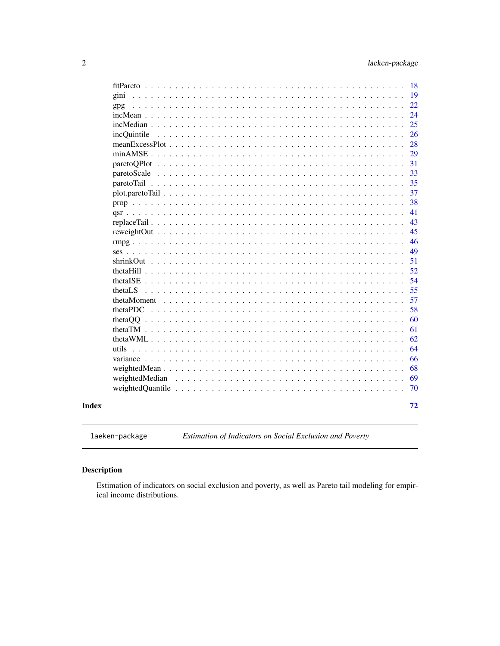<span id="page-1-0"></span>

|          |                                                                                           |                      |                      |         |                                      |   |  |                                                                               |        |                      |                               |                                                                 |                                                     |  |  |  |  |                                        | 18 |
|----------|-------------------------------------------------------------------------------------------|----------------------|----------------------|---------|--------------------------------------|---|--|-------------------------------------------------------------------------------|--------|----------------------|-------------------------------|-----------------------------------------------------------------|-----------------------------------------------------|--|--|--|--|----------------------------------------|----|
| gini     |                                                                                           |                      |                      |         |                                      |   |  |                                                                               |        |                      |                               |                                                                 |                                                     |  |  |  |  |                                        | 19 |
| gpg      |                                                                                           |                      |                      |         |                                      |   |  |                                                                               |        |                      |                               |                                                                 |                                                     |  |  |  |  |                                        | 22 |
|          | $incMean \ldots \ldots$                                                                   |                      | $\mathbf{L}$         |         |                                      |   |  |                                                                               |        |                      |                               |                                                                 |                                                     |  |  |  |  |                                        | 24 |
|          |                                                                                           |                      |                      |         |                                      |   |  |                                                                               |        |                      |                               |                                                                 |                                                     |  |  |  |  |                                        | 25 |
|          | incQuintile                                                                               |                      |                      |         |                                      |   |  |                                                                               |        |                      |                               |                                                                 |                                                     |  |  |  |  |                                        | 26 |
|          |                                                                                           |                      |                      |         |                                      |   |  |                                                                               |        |                      |                               |                                                                 |                                                     |  |  |  |  |                                        | 28 |
|          | $minAMSE$ ,                                                                               |                      |                      |         |                                      |   |  |                                                                               |        |                      |                               |                                                                 |                                                     |  |  |  |  |                                        | 29 |
|          | $paretoOPlot$                                                                             |                      | $\ddot{\phantom{a}}$ |         |                                      |   |  |                                                                               |        |                      |                               |                                                                 |                                                     |  |  |  |  |                                        | 31 |
|          | paretoScale                                                                               | $\sim$ $\sim$        | $\ddotsc$            | $\cdot$ | $\ddot{\phantom{a}}$                 | . |  |                                                                               |        |                      | $\ddots$                      |                                                                 | $\mathbf{1}$ $\mathbf{1}$ $\mathbf{1}$ $\mathbf{1}$ |  |  |  |  |                                        | 33 |
|          | paretoTail                                                                                |                      |                      |         |                                      |   |  |                                                                               |        |                      |                               |                                                                 |                                                     |  |  |  |  |                                        | 35 |
|          |                                                                                           |                      |                      |         |                                      |   |  |                                                                               |        |                      |                               |                                                                 |                                                     |  |  |  |  |                                        | 37 |
|          |                                                                                           |                      |                      |         |                                      |   |  |                                                                               |        |                      |                               |                                                                 |                                                     |  |  |  |  |                                        | 38 |
|          |                                                                                           |                      |                      |         |                                      |   |  |                                                                               |        |                      |                               |                                                                 |                                                     |  |  |  |  |                                        | 41 |
|          |                                                                                           |                      |                      |         |                                      |   |  |                                                                               |        |                      |                               |                                                                 |                                                     |  |  |  |  |                                        | 43 |
|          | reweightOut                                                                               | $\ddot{\phantom{a}}$ |                      |         |                                      |   |  |                                                                               |        |                      |                               |                                                                 |                                                     |  |  |  |  |                                        | 45 |
|          |                                                                                           |                      |                      |         |                                      |   |  |                                                                               |        |                      |                               |                                                                 |                                                     |  |  |  |  |                                        | 46 |
| ses.     |                                                                                           |                      |                      |         |                                      |   |  |                                                                               |        |                      |                               |                                                                 |                                                     |  |  |  |  |                                        | 49 |
|          |                                                                                           |                      |                      |         |                                      |   |  |                                                                               |        |                      |                               |                                                                 |                                                     |  |  |  |  |                                        | 51 |
|          | theta $Hill$ , $\ldots$ ,                                                                 |                      | $\sim$               |         |                                      |   |  |                                                                               |        |                      |                               |                                                                 |                                                     |  |  |  |  |                                        | 52 |
|          | thetal $SE$                                                                               |                      |                      |         |                                      |   |  |                                                                               | $\sim$ | $\sim$               |                               | $\mathbf{1}$ and $\mathbf{1}$ and $\mathbf{1}$ and $\mathbf{1}$ |                                                     |  |  |  |  |                                        | 54 |
| thetaLS  |                                                                                           |                      |                      |         |                                      |   |  | $\begin{array}{cccccccccccccc} . & . & . & . & . & . & . & . & . \end{array}$ |        | $\ddot{\phantom{0}}$ | $\mathbf{L}$ and $\mathbf{L}$ |                                                                 | $\mathbf{1}$ $\mathbf{1}$ $\mathbf{1}$ $\mathbf{1}$ |  |  |  |  |                                        | 55 |
|          | thetaMoment                                                                               |                      |                      |         |                                      |   |  |                                                                               |        |                      |                               |                                                                 |                                                     |  |  |  |  |                                        | 57 |
| thetaPDC |                                                                                           |                      |                      |         |                                      |   |  |                                                                               |        |                      |                               |                                                                 |                                                     |  |  |  |  |                                        | 58 |
| thetaQQ  |                                                                                           |                      |                      |         |                                      |   |  |                                                                               |        |                      |                               |                                                                 |                                                     |  |  |  |  |                                        | 60 |
|          | theta $TM$ ,                                                                              |                      |                      |         |                                      |   |  |                                                                               |        |                      |                               |                                                                 |                                                     |  |  |  |  |                                        | 61 |
|          |                                                                                           |                      |                      |         |                                      |   |  |                                                                               |        |                      |                               |                                                                 |                                                     |  |  |  |  |                                        | 62 |
|          | theta WML $\ldots$ .                                                                      |                      |                      |         |                                      |   |  |                                                                               |        |                      |                               |                                                                 |                                                     |  |  |  |  |                                        |    |
| utils    | $\overline{1}$ $\overline{1}$ $\overline{1}$ $\overline{1}$ $\overline{1}$ $\overline{1}$ |                      |                      |         | $\ddot{\phantom{a}}$<br>$\mathbf{r}$ |   |  |                                                                               |        |                      |                               |                                                                 |                                                     |  |  |  |  |                                        | 64 |
|          |                                                                                           |                      |                      |         |                                      |   |  |                                                                               |        |                      |                               |                                                                 |                                                     |  |  |  |  |                                        | 66 |
|          |                                                                                           |                      |                      |         |                                      |   |  |                                                                               |        |                      |                               |                                                                 |                                                     |  |  |  |  |                                        | 68 |
|          | weightedMedian                                                                            |                      |                      |         |                                      |   |  |                                                                               |        |                      |                               |                                                                 |                                                     |  |  |  |  |                                        | 69 |
|          |                                                                                           |                      |                      |         |                                      |   |  |                                                                               |        |                      |                               |                                                                 |                                                     |  |  |  |  | $\mathbf{1}$ $\mathbf{1}$ $\mathbf{1}$ | 70 |
|          |                                                                                           |                      |                      |         |                                      |   |  |                                                                               |        |                      |                               |                                                                 |                                                     |  |  |  |  |                                        |    |
|          |                                                                                           |                      |                      |         |                                      |   |  |                                                                               |        |                      |                               |                                                                 |                                                     |  |  |  |  |                                        | 72 |
|          |                                                                                           |                      |                      |         |                                      |   |  |                                                                               |        |                      |                               |                                                                 |                                                     |  |  |  |  |                                        |    |

## **Index**

laeken-package Estimation of Indicators on Social Exclusion and Poverty

## Description

Estimation of indicators on social exclusion and poverty, as well as Pareto tail modeling for empirical income distributions.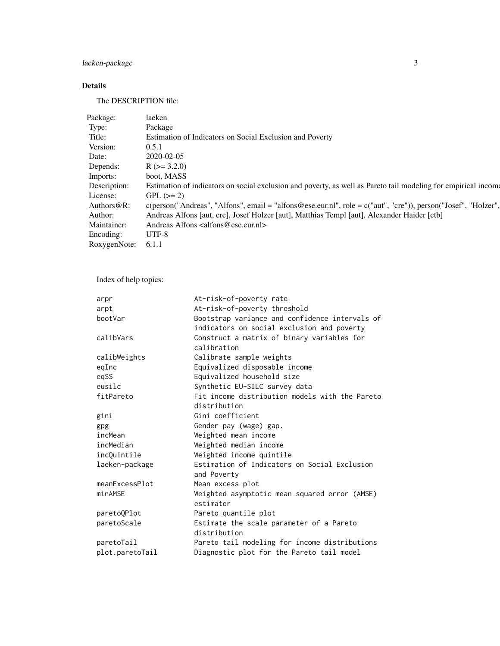## laeken-package 3

## Details

The DESCRIPTION file:

| Package:     | laeken                                                                                                                   |
|--------------|--------------------------------------------------------------------------------------------------------------------------|
| Type:        | Package                                                                                                                  |
| Title:       | Estimation of Indicators on Social Exclusion and Poverty                                                                 |
| Version:     | 0.5.1                                                                                                                    |
| Date:        | 2020-02-05                                                                                                               |
| Depends:     | $R$ ( $>=$ 3.2.0)                                                                                                        |
| Imports:     | boot, MASS                                                                                                               |
| Description: | Estimation of indicators on social exclusion and poverty, as well as Pareto tail modeling for empirical income           |
| License:     | $GPL (=2)$                                                                                                               |
| Authors@R:   | $c(\text{person("Andreas", "Alfons", email = "alfons@ese.eu.nll", role = c("aut", "cre"))})$ , person("Josef", "Holzer", |
| Author:      | Andreas Alfons [aut, cre], Josef Holzer [aut], Matthias Templ [aut], Alexander Haider [ctb]                              |
| Maintainer:  | Andreas Alfons $\langle \text{alfons} \rangle \langle \text{e} \rangle$ and $\langle \text{e} \rangle$                   |
| Encoding:    | UTF-8                                                                                                                    |
| RoxygenNote: | 6.1.1                                                                                                                    |

Index of help topics:

| arpr            | At-risk-of-poverty rate                        |
|-----------------|------------------------------------------------|
| arpt            | At-risk-of-poverty threshold                   |
| bootVar         | Bootstrap variance and confidence intervals of |
|                 | indicators on social exclusion and poverty     |
| calibVars       | Construct a matrix of binary variables for     |
|                 | calibration                                    |
| calibWeights    | Calibrate sample weights                       |
| eqInc           | Equivalized disposable income                  |
| eqSS            | Equivalized household size                     |
| eusilc          | Synthetic EU-SILC survey data                  |
| fitPareto       | Fit income distribution models with the Pareto |
|                 | distribution                                   |
| gini            | Gini coefficient                               |
| gpg             | Gender pay (wage) gap.                         |
| incMean         | Weighted mean income                           |
| incMedian       | Weighted median income                         |
| incQuintile     | Weighted income quintile                       |
| laeken-package  | Estimation of Indicators on Social Exclusion   |
|                 | and Poverty                                    |
| meanExcessPlot  | Mean excess plot                               |
| minAMSE         | Weighted asymptotic mean squared error (AMSE)  |
|                 | estimator                                      |
| paretoQPlot     | Pareto quantile plot                           |
| paretoScale     | Estimate the scale parameter of a Pareto       |
|                 | distribution                                   |
| paretoTail      | Pareto tail modeling for income distributions  |
| plot.paretoTail | Diagnostic plot for the Pareto tail model      |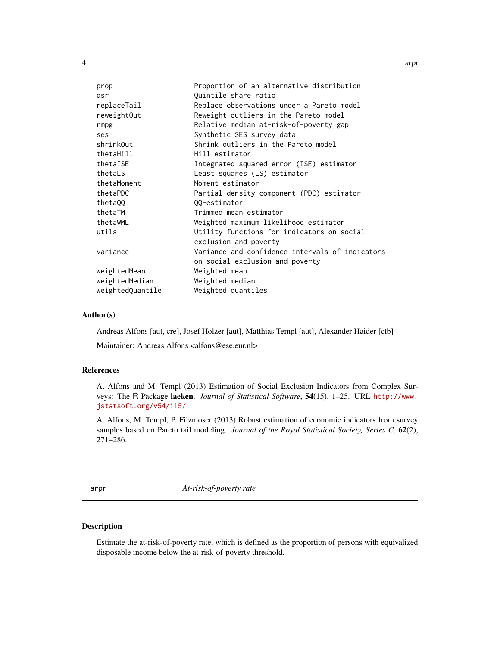<span id="page-3-0"></span>

| prop             | Proportion of an alternative distribution       |
|------------------|-------------------------------------------------|
| qsr              | Quintile share ratio                            |
| replaceTail      | Replace observations under a Pareto model       |
| reweightOut      | Reweight outliers in the Pareto model           |
| rmpg             | Relative median at-risk-of-poverty gap          |
| ses              | Synthetic SES survey data                       |
| shrinkOut        | Shrink outliers in the Pareto model             |
| thetaHill        | Hill estimator                                  |
| thetaISE         | Integrated squared error (ISE) estimator        |
| thetaLS          | Least squares (LS) estimator                    |
| thetaMoment      | Moment estimator                                |
| thetaPDC         | Partial density component (PDC) estimator       |
| theta00          | 00-estimator                                    |
| thetaTM          | Trimmed mean estimator                          |
| thetaWML         | Weighted maximum likelihood estimator           |
| utils            | Utility functions for indicators on social      |
|                  | exclusion and poverty                           |
| variance         | Variance and confidence intervals of indicators |
|                  | on social exclusion and poverty                 |
| weightedMean     | Weighted mean                                   |
| weightedMedian   | Weighted median                                 |
| weightedQuantile | Weighted quantiles                              |
|                  |                                                 |

## Author(s)

Andreas Alfons [aut, cre], Josef Holzer [aut], Matthias Templ [aut], Alexander Haider [ctb]

Maintainer: Andreas Alfons <alfons@ese.eur.nl>

#### References

A. Alfons and M. Templ (2013) Estimation of Social Exclusion Indicators from Complex Surveys: The R Package laeken. *Journal of Statistical Software*, 54(15), 1–25. URL [http://www.](http://www.jstatsoft.org/v54/i15/) [jstatsoft.org/v54/i15/](http://www.jstatsoft.org/v54/i15/)

A. Alfons, M. Templ, P. Filzmoser (2013) Robust estimation of economic indicators from survey samples based on Pareto tail modeling. *Journal of the Royal Statistical Society, Series C*, 62(2), 271–286.

<span id="page-3-1"></span>arpr *At-risk-of-poverty rate*

## Description

Estimate the at-risk-of-poverty rate, which is defined as the proportion of persons with equivalized disposable income below the at-risk-of-poverty threshold.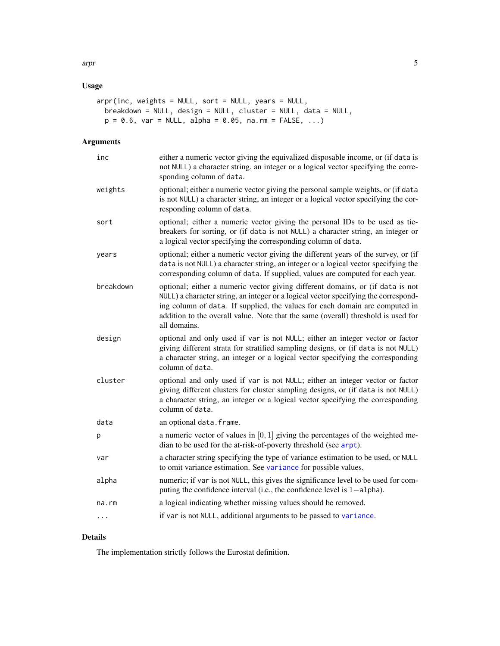## Usage

```
arpr(inc, weights = NULL, sort = NULL, years = NULL,
 breakdown = NULL, design = NULL, cluster = NULL, data = NULL,
 p = 0.6, var = NULL, alpha = 0.05, na.rm = FALSE, ...)
```
## Arguments

| inc       | either a numeric vector giving the equivalized disposable income, or (if data is<br>not NULL) a character string, an integer or a logical vector specifying the corre-<br>sponding column of data.                                                                                                                                                        |
|-----------|-----------------------------------------------------------------------------------------------------------------------------------------------------------------------------------------------------------------------------------------------------------------------------------------------------------------------------------------------------------|
| weights   | optional; either a numeric vector giving the personal sample weights, or (if data<br>is not NULL) a character string, an integer or a logical vector specifying the cor-<br>responding column of data.                                                                                                                                                    |
| sort      | optional; either a numeric vector giving the personal IDs to be used as tie-<br>breakers for sorting, or (if data is not NULL) a character string, an integer or<br>a logical vector specifying the corresponding column of data.                                                                                                                         |
| years     | optional; either a numeric vector giving the different years of the survey, or (if<br>data is not NULL) a character string, an integer or a logical vector specifying the<br>corresponding column of data. If supplied, values are computed for each year.                                                                                                |
| breakdown | optional; either a numeric vector giving different domains, or (if data is not<br>NULL) a character string, an integer or a logical vector specifying the correspond-<br>ing column of data. If supplied, the values for each domain are computed in<br>addition to the overall value. Note that the same (overall) threshold is used for<br>all domains. |
| design    | optional and only used if var is not NULL; either an integer vector or factor<br>giving different strata for stratified sampling designs, or (if data is not NULL)<br>a character string, an integer or a logical vector specifying the corresponding<br>column of data.                                                                                  |
| cluster   | optional and only used if var is not NULL; either an integer vector or factor<br>giving different clusters for cluster sampling designs, or (if data is not NULL)<br>a character string, an integer or a logical vector specifying the corresponding<br>column of data.                                                                                   |
| data      | an optional data. frame.                                                                                                                                                                                                                                                                                                                                  |
| р         | a numeric vector of values in $[0, 1]$ giving the percentages of the weighted me-<br>dian to be used for the at-risk-of-poverty threshold (see arpt).                                                                                                                                                                                                     |
| var       | a character string specifying the type of variance estimation to be used, or NULL<br>to omit variance estimation. See variance for possible values.                                                                                                                                                                                                       |
| alpha     | numeric; if var is not NULL, this gives the significance level to be used for com-<br>puting the confidence interval (i.e., the confidence level is $1$ -alpha).                                                                                                                                                                                          |
| na.rm     | a logical indicating whether missing values should be removed.                                                                                                                                                                                                                                                                                            |
| $\cdots$  | if var is not NULL, additional arguments to be passed to variance.                                                                                                                                                                                                                                                                                        |

## Details

The implementation strictly follows the Eurostat definition.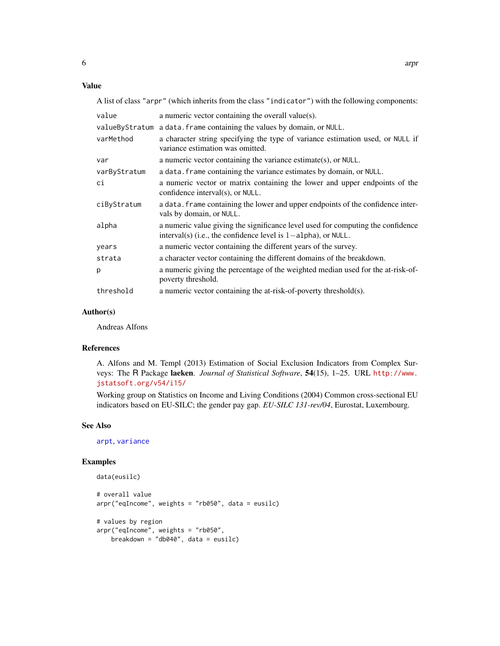#### Value

A list of class "arpr" (which inherits from the class "indicator") with the following components:

| value          | a numeric vector containing the overall value(s).                                                                                                   |
|----------------|-----------------------------------------------------------------------------------------------------------------------------------------------------|
| valueByStratum | a data. frame containing the values by domain, or NULL.                                                                                             |
| varMethod      | a character string specifying the type of variance estimation used, or NULL if<br>variance estimation was omitted.                                  |
| var            | a numeric vector containing the variance estimate(s), or NULL.                                                                                      |
| varByStratum   | a data. frame containing the variance estimates by domain, or NULL.                                                                                 |
| сi             | a numeric vector or matrix containing the lower and upper endpoints of the<br>confidence interval(s), or NULL.                                      |
| ciByStratum    | a data. frame containing the lower and upper endpoints of the confidence inter-<br>vals by domain, or NULL.                                         |
| alpha          | a numeric value giving the significance level used for computing the confidence<br>interval(s) (i.e., the confidence level is $1$ -alpha), or NULL. |
| years          | a numeric vector containing the different years of the survey.                                                                                      |
| strata         | a character vector containing the different domains of the breakdown.                                                                               |
| p              | a numeric giving the percentage of the weighted median used for the at-risk-of-<br>poverty threshold.                                               |
| threshold      | a numeric vector containing the at-risk-of-poverty threshold(s).                                                                                    |

#### Author(s)

Andreas Alfons

#### References

A. Alfons and M. Templ (2013) Estimation of Social Exclusion Indicators from Complex Surveys: The R Package laeken. *Journal of Statistical Software*, 54(15), 1–25. URL [http://www.](http://www.jstatsoft.org/v54/i15/) [jstatsoft.org/v54/i15/](http://www.jstatsoft.org/v54/i15/)

Working group on Statistics on Income and Living Conditions (2004) Common cross-sectional EU indicators based on EU-SILC; the gender pay gap. *EU-SILC 131-rev/04*, Eurostat, Luxembourg.

#### See Also

[arpt](#page-6-1), [variance](#page-65-1)

## Examples

```
data(eusilc)
# overall value
arpr("eqIncome", weights = "rb050", data = eusilc)
# values by region
arpr("eqIncome", weights = "rb050",
    breakdown = "db040", data = eusilc)
```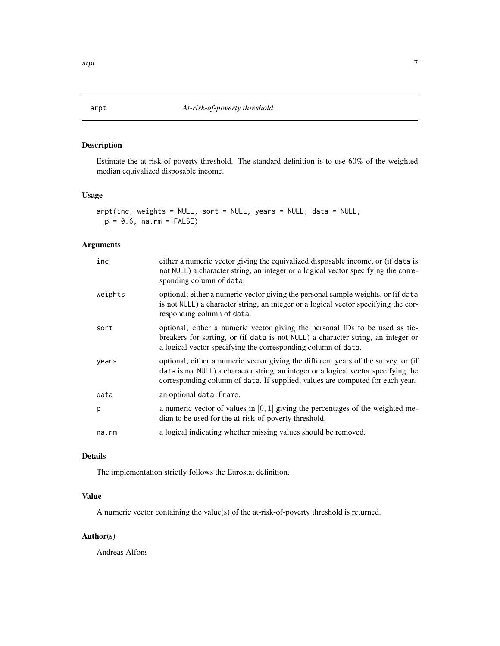## <span id="page-6-1"></span><span id="page-6-0"></span>Description

Estimate the at-risk-of-poverty threshold. The standard definition is to use 60% of the weighted median equivalized disposable income.

#### Usage

```
arpt(inc, weights = NULL, sort = NULL, years = NULL, data = NULL,
 p = 0.6, na.rm = FALSE)
```
#### Arguments

| inc     | either a numeric vector giving the equivalized disposable income, or (if data is<br>not NULL) a character string, an integer or a logical vector specifying the corre-<br>sponding column of data.                                                         |
|---------|------------------------------------------------------------------------------------------------------------------------------------------------------------------------------------------------------------------------------------------------------------|
| weights | optional; either a numeric vector giving the personal sample weights, or (if data<br>is not NULL) a character string, an integer or a logical vector specifying the cor-<br>responding column of data.                                                     |
| sort    | optional; either a numeric vector giving the personal IDs to be used as tie-<br>breakers for sorting, or (if data is not NULL) a character string, an integer or<br>a logical vector specifying the corresponding column of data.                          |
| years   | optional; either a numeric vector giving the different years of the survey, or (if<br>data is not NULL) a character string, an integer or a logical vector specifying the<br>corresponding column of data. If supplied, values are computed for each year. |
| data    | an optional data.frame.                                                                                                                                                                                                                                    |
| p       | a numeric vector of values in $[0, 1]$ giving the percentages of the weighted me-<br>dian to be used for the at-risk-of-poverty threshold.                                                                                                                 |
| na.rm   | a logical indicating whether missing values should be removed.                                                                                                                                                                                             |

## Details

The implementation strictly follows the Eurostat definition.

## Value

A numeric vector containing the value(s) of the at-risk-of-poverty threshold is returned.

## Author(s)

Andreas Alfons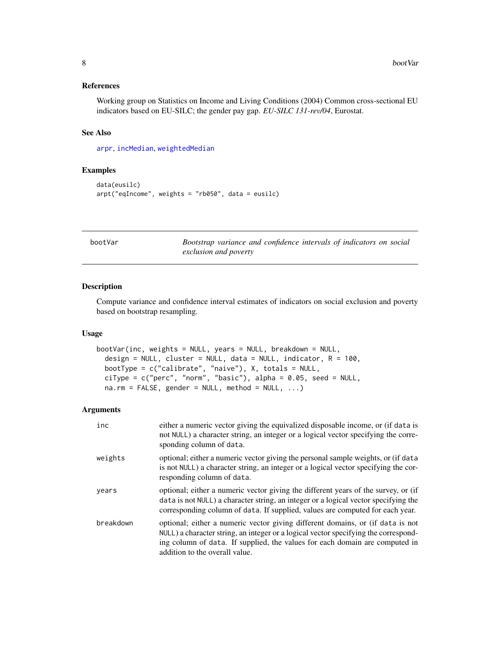#### <span id="page-7-0"></span>References

Working group on Statistics on Income and Living Conditions (2004) Common cross-sectional EU indicators based on EU-SILC; the gender pay gap. *EU-SILC 131-rev/04*, Eurostat.

## See Also

[arpr](#page-3-1), [incMedian](#page-24-1), [weightedMedian](#page-68-1)

#### Examples

```
data(eusilc)
arpt("eqIncome", weights = "rb050", data = eusilc)
```
<span id="page-7-1"></span>bootVar *Bootstrap variance and confidence intervals of indicators on social exclusion and poverty*

#### Description

Compute variance and confidence interval estimates of indicators on social exclusion and poverty based on bootstrap resampling.

#### Usage

```
bootVar(inc, weights = NULL, years = NULL, breakdown = NULL,
  design = NULL, cluster = NULL, data = NULL, indicator, R = 100,
 bootType = c("calibrate", "naive"), X, totals = NULL,ciType = c("perc", "norm", "basic"), alpha = 0.05, seed = NULL,
  na.rm = FALSE, gender = NULL, method = NULL, ...)
```

| inc       | either a numeric vector giving the equivalized disposable income, or (if data is<br>not NULL) a character string, an integer or a logical vector specifying the corre-<br>sponding column of data.                                                                                     |
|-----------|----------------------------------------------------------------------------------------------------------------------------------------------------------------------------------------------------------------------------------------------------------------------------------------|
| weights   | optional; either a numeric vector giving the personal sample weights, or (if data<br>is not NULL) a character string, an integer or a logical vector specifying the cor-<br>responding column of data.                                                                                 |
| years     | optional; either a numeric vector giving the different years of the survey, or (if<br>data is not NULL) a character string, an integer or a logical vector specifying the<br>corresponding column of data. If supplied, values are computed for each year.                             |
| breakdown | optional; either a numeric vector giving different domains, or (if data is not<br>NULL) a character string, an integer or a logical vector specifying the correspond-<br>ing column of data. If supplied, the values for each domain are computed in<br>addition to the overall value. |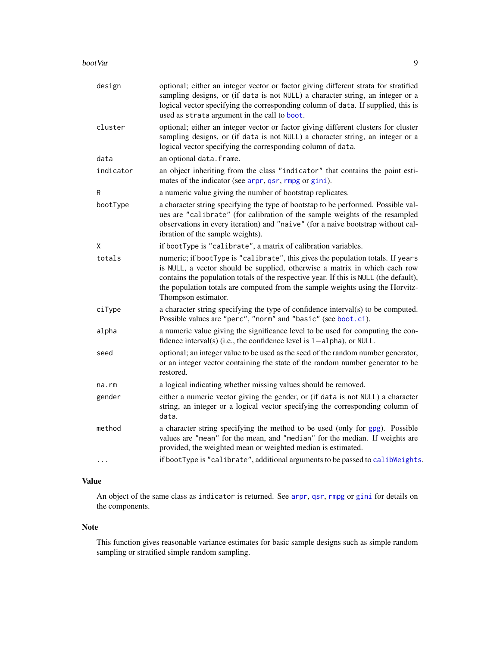#### boot Var 1999 - 1999 - 1999 - 1999 - 1999 - 1999 - 1999 - 1999 - 1999 - 1999 - 1999 - 1999 - 1999 - 1999 - 19

| design    | optional; either an integer vector or factor giving different strata for stratified<br>sampling designs, or (if data is not NULL) a character string, an integer or a<br>logical vector specifying the corresponding column of data. If supplied, this is<br>used as strata argument in the call to boot.                                                      |
|-----------|----------------------------------------------------------------------------------------------------------------------------------------------------------------------------------------------------------------------------------------------------------------------------------------------------------------------------------------------------------------|
| cluster   | optional; either an integer vector or factor giving different clusters for cluster<br>sampling designs, or (if data is not NULL) a character string, an integer or a<br>logical vector specifying the corresponding column of data.                                                                                                                            |
| data      | an optional data.frame.                                                                                                                                                                                                                                                                                                                                        |
| indicator | an object inheriting from the class "indicator" that contains the point esti-<br>mates of the indicator (see arpr, qsr, rmpg or gini).                                                                                                                                                                                                                         |
| R         | a numeric value giving the number of bootstrap replicates.                                                                                                                                                                                                                                                                                                     |
| bootType  | a character string specifying the type of bootstap to be performed. Possible val-<br>ues are "calibrate" (for calibration of the sample weights of the resampled<br>observations in every iteration) and "naive" (for a naive bootstrap without cal-<br>ibration of the sample weights).                                                                       |
| χ         | if bootType is "calibrate", a matrix of calibration variables.                                                                                                                                                                                                                                                                                                 |
| totals    | numeric; if bootType is "calibrate", this gives the population totals. If years<br>is NULL, a vector should be supplied, otherwise a matrix in which each row<br>contains the population totals of the respective year. If this is NULL (the default),<br>the population totals are computed from the sample weights using the Horvitz-<br>Thompson estimator. |
| ciType    | a character string specifying the type of confidence interval(s) to be computed.<br>Possible values are "perc", "norm" and "basic" (see boot.ci).                                                                                                                                                                                                              |
| alpha     | a numeric value giving the significance level to be used for computing the con-<br>fidence interval(s) (i.e., the confidence level is $1$ -alpha), or NULL.                                                                                                                                                                                                    |
| seed      | optional; an integer value to be used as the seed of the random number generator,<br>or an integer vector containing the state of the random number generator to be<br>restored.                                                                                                                                                                               |
| na.rm     | a logical indicating whether missing values should be removed.                                                                                                                                                                                                                                                                                                 |
| gender    | either a numeric vector giving the gender, or (if data is not NULL) a character<br>string, an integer or a logical vector specifying the corresponding column of<br>data.                                                                                                                                                                                      |
| method    | a character string specifying the method to be used (only for gpg). Possible<br>values are "mean" for the mean, and "median" for the median. If weights are<br>provided, the weighted mean or weighted median is estimated.                                                                                                                                    |
| $\cdots$  | if bootType is "calibrate", additional arguments to be passed to calibWeights.                                                                                                                                                                                                                                                                                 |

## Value

An object of the same class as indicator is returned. See [arpr](#page-3-1), [qsr](#page-40-1), [rmpg](#page-45-1) or [gini](#page-18-1) for details on the components.

#### Note

This function gives reasonable variance estimates for basic sample designs such as simple random sampling or stratified simple random sampling.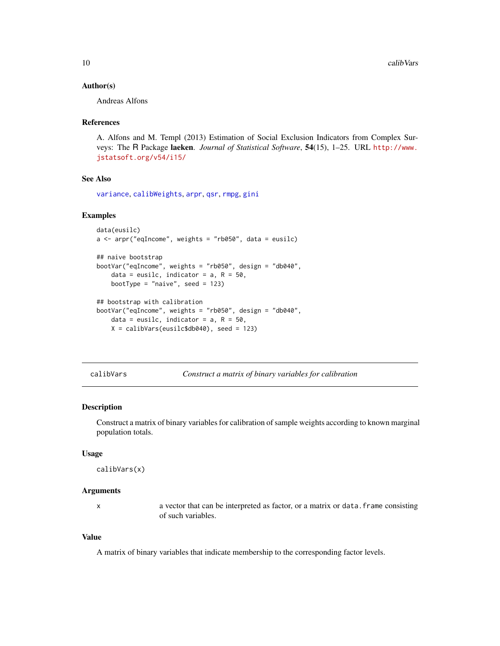#### <span id="page-9-0"></span>Author(s)

Andreas Alfons

#### References

A. Alfons and M. Templ (2013) Estimation of Social Exclusion Indicators from Complex Surveys: The R Package laeken. *Journal of Statistical Software*, 54(15), 1–25. URL [http://www.](http://www.jstatsoft.org/v54/i15/) [jstatsoft.org/v54/i15/](http://www.jstatsoft.org/v54/i15/)

## See Also

[variance](#page-65-1), [calibWeights](#page-10-1), [arpr](#page-3-1), [qsr](#page-40-1), [rmpg](#page-45-1), [gini](#page-18-1)

### Examples

```
data(eusilc)
a \leq arpr("eqIncome", weights = "rb050", data = eusilc)
## naive bootstrap
bootVar("eqIncome", weights = "rb050", design = "db040",
   data = eusilc, indicator = a, R = 50,
   bootType = "naive", seed = 123)
## bootstrap with calibration
bootVar("eqIncome", weights = "rb050", design = "db040",
   data = eusilc, indicator = a, R = 50,
```
- $X = calibVars(eusilc$db040)$ , seed = 123)
- 

<span id="page-9-1"></span>calibVars *Construct a matrix of binary variables for calibration*

#### Description

Construct a matrix of binary variables for calibration of sample weights according to known marginal population totals.

#### Usage

```
calibVars(x)
```
#### Arguments

x a vector that can be interpreted as factor, or a matrix or data.frame consisting of such variables.

#### Value

A matrix of binary variables that indicate membership to the corresponding factor levels.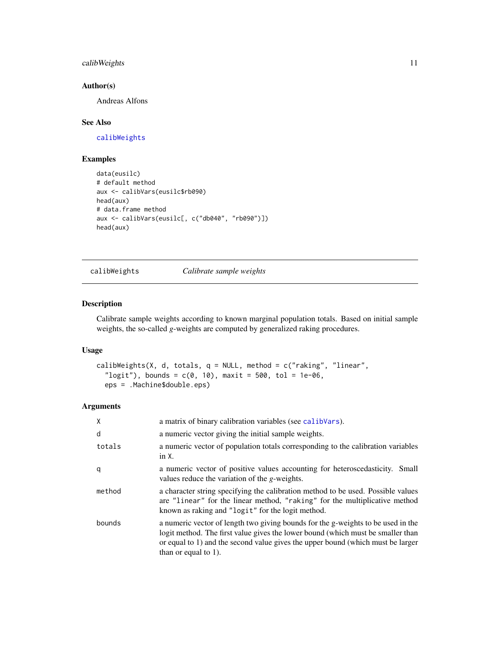## <span id="page-10-0"></span>calibWeights 11

#### Author(s)

Andreas Alfons

## See Also

[calibWeights](#page-10-1)

## Examples

```
data(eusilc)
# default method
aux <- calibVars(eusilc$rb090)
head(aux)
# data.frame method
aux <- calibVars(eusilc[, c("db040", "rb090")])
head(aux)
```
<span id="page-10-1"></span>calibWeights *Calibrate sample weights*

#### Description

Calibrate sample weights according to known marginal population totals. Based on initial sample weights, the so-called *g*-weights are computed by generalized raking procedures.

#### Usage

```
calibWeights(X, d, totals, q = NULL, method = c("raking", "linear",
  "logit"), bounds = c(0, 10), maxit = 500, tol = 1e-06,
  eps = .Machine$double.eps)
```

| X      | a matrix of binary calibration variables (see calib Vars).                                                                                                                                                                                                                        |
|--------|-----------------------------------------------------------------------------------------------------------------------------------------------------------------------------------------------------------------------------------------------------------------------------------|
| d      | a numeric vector giving the initial sample weights.                                                                                                                                                                                                                               |
| totals | a numeric vector of population totals corresponding to the calibration variables<br>in X.                                                                                                                                                                                         |
| q      | a numeric vector of positive values accounting for heteroscedasticity. Small<br>values reduce the variation of the <i>g</i> -weights.                                                                                                                                             |
| method | a character string specifying the calibration method to be used. Possible values<br>are "linear" for the linear method, "raking" for the multiplicative method<br>known as raking and "logit" for the logit method.                                                               |
| bounds | a numeric vector of length two giving bounds for the g-weights to be used in the<br>logit method. The first value gives the lower bound (which must be smaller than<br>or equal to 1) and the second value gives the upper bound (which must be larger<br>than or equal to $1$ ). |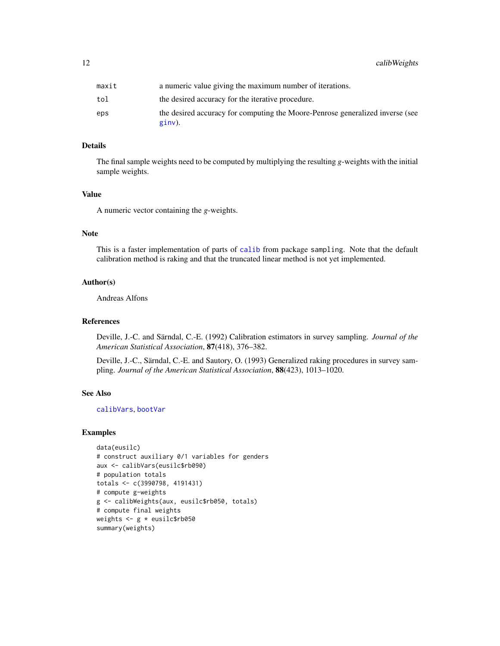## Details

The final sample weights need to be computed by multiplying the resulting *g*-weights with the initial sample weights.

#### Value

A numeric vector containing the *g*-weights.

## Note

This is a faster implementation of parts of [calib](#page-0-0) from package sampling. Note that the default calibration method is raking and that the truncated linear method is not yet implemented.

#### Author(s)

Andreas Alfons

#### References

Deville, J.-C. and Särndal, C.-E. (1992) Calibration estimators in survey sampling. *Journal of the American Statistical Association*, 87(418), 376–382.

Deville, J.-C., Särndal, C.-E. and Sautory, O. (1993) Generalized raking procedures in survey sampling. *Journal of the American Statistical Association*, 88(423), 1013–1020.

#### See Also

[calibVars](#page-9-1), [bootVar](#page-7-1)

#### Examples

```
data(eusilc)
# construct auxiliary 0/1 variables for genders
aux <- calibVars(eusilc$rb090)
# population totals
totals <- c(3990798, 4191431)
# compute g-weights
g <- calibWeights(aux, eusilc$rb050, totals)
# compute final weights
weights <- g * eusilc$rb050
summary(weights)
```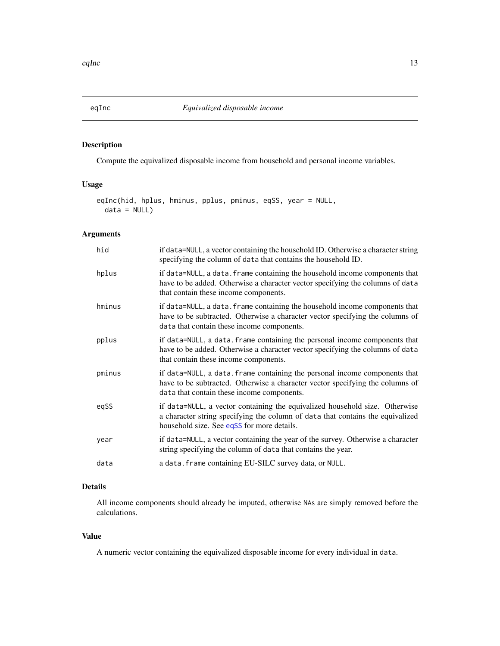## <span id="page-12-1"></span><span id="page-12-0"></span>Description

Compute the equivalized disposable income from household and personal income variables.

## Usage

```
eqInc(hid, hplus, hminus, pplus, pminus, eqSS, year = NULL,
 data = NULL)
```
## Arguments

| hid    | if data=NULL, a vector containing the household ID. Otherwise a character string<br>specifying the column of data that contains the household ID.                                                           |
|--------|-------------------------------------------------------------------------------------------------------------------------------------------------------------------------------------------------------------|
| hplus  | if data=NULL, a data. frame containing the household income components that<br>have to be added. Otherwise a character vector specifying the columns of data<br>that contain these income components.       |
| hminus | if data=NULL, a data. frame containing the household income components that<br>have to be subtracted. Otherwise a character vector specifying the columns of<br>data that contain these income components.  |
| pplus  | if data=NULL, a data. frame containing the personal income components that<br>have to be added. Otherwise a character vector specifying the columns of data<br>that contain these income components.        |
| pminus | if data=NULL, a data. frame containing the personal income components that<br>have to be subtracted. Otherwise a character vector specifying the columns of<br>data that contain these income components.   |
| egSS   | if data=NULL, a vector containing the equivalized household size. Otherwise<br>a character string specifying the column of data that contains the equivalized<br>household size. See eqSS for more details. |
| year   | if data=NULL, a vector containing the year of the survey. Otherwise a character<br>string specifying the column of data that contains the year.                                                             |
| data   | a data. frame containing EU-SILC survey data, or NULL.                                                                                                                                                      |

## Details

All income components should already be imputed, otherwise NAs are simply removed before the calculations.

## Value

A numeric vector containing the equivalized disposable income for every individual in data.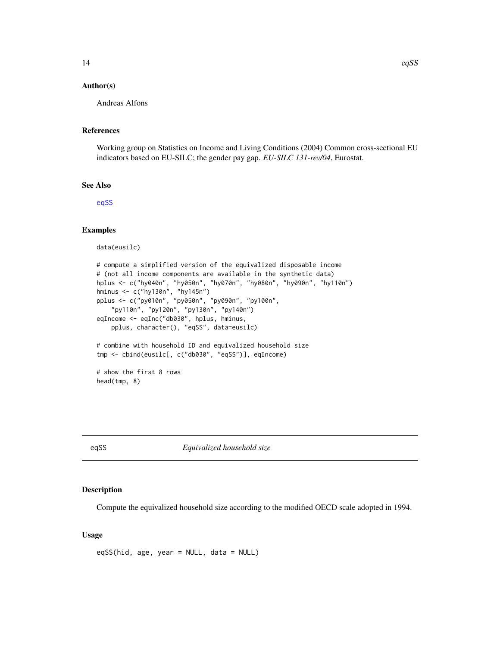#### <span id="page-13-0"></span>Author(s)

Andreas Alfons

#### References

Working group on Statistics on Income and Living Conditions (2004) Common cross-sectional EU indicators based on EU-SILC; the gender pay gap. *EU-SILC 131-rev/04*, Eurostat.

#### See Also

[eqSS](#page-13-1)

#### Examples

data(eusilc)

```
# compute a simplified version of the equivalized disposable income
# (not all income components are available in the synthetic data)
hplus <- c("hy040n", "hy050n", "hy070n", "hy080n", "hy090n", "hy110n")
hminus <- c("hy130n", "hy145n")
pplus <- c("py010n", "py050n", "py090n", "py100n",
    "py110n", "py120n", "py130n", "py140n")
eqIncome <- eqInc("db030", hplus, hminus,
   pplus, character(), "eqSS", data=eusilc)
# combine with household ID and equivalized household size
tmp <- cbind(eusilc[, c("db030", "eqSS")], eqIncome)
# show the first 8 rows
head(tmp, 8)
```
<span id="page-13-1"></span>eqSS *Equivalized household size*

#### Description

Compute the equivalized household size according to the modified OECD scale adopted in 1994.

#### Usage

eqSS(hid, age, year = NULL, data = NULL)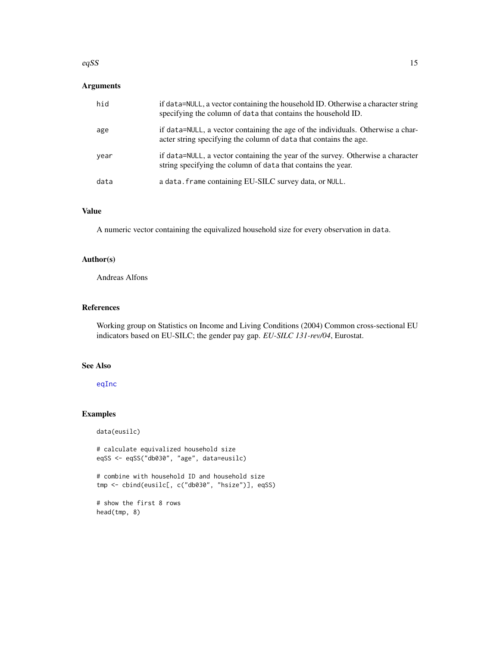#### eqSS  $\hspace{1.5cm}$  15

## Arguments

| hid  | if data=NULL, a vector containing the household ID. Otherwise a character string<br>specifying the column of data that contains the household ID.    |
|------|------------------------------------------------------------------------------------------------------------------------------------------------------|
| age  | if data=NULL, a vector containing the age of the individuals. Otherwise a char-<br>acter string specifying the column of data that contains the age. |
| year | if data=NULL, a vector containing the year of the survey. Otherwise a character<br>string specifying the column of data that contains the year.      |
| data | a data. frame containing EU-SILC survey data, or NULL.                                                                                               |

## Value

A numeric vector containing the equivalized household size for every observation in data.

## Author(s)

Andreas Alfons

#### References

Working group on Statistics on Income and Living Conditions (2004) Common cross-sectional EU indicators based on EU-SILC; the gender pay gap. *EU-SILC 131-rev/04*, Eurostat.

## See Also

#### [eqInc](#page-12-1)

## Examples

data(eusilc)

# calculate equivalized household size eqSS <- eqSS("db030", "age", data=eusilc)

# combine with household ID and household size tmp <- cbind(eusilc[, c("db030", "hsize")], eqSS)

# show the first 8 rows head(tmp, 8)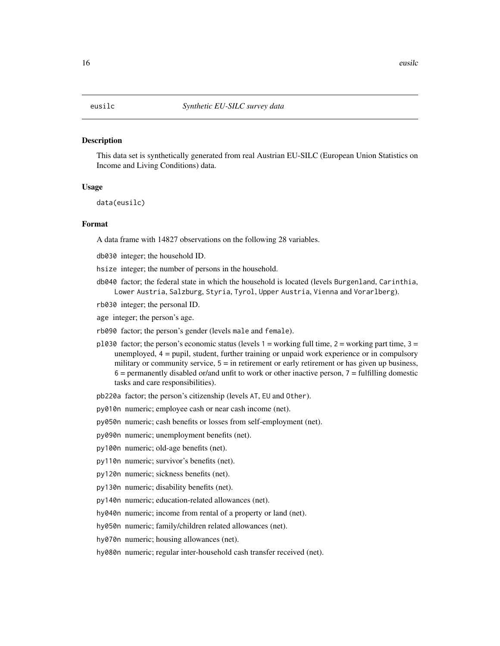#### <span id="page-15-0"></span>Description

This data set is synthetically generated from real Austrian EU-SILC (European Union Statistics on Income and Living Conditions) data.

#### Usage

data(eusilc)

## Format

A data frame with 14827 observations on the following 28 variables.

- db030 integer; the household ID.
- hsize integer; the number of persons in the household.
- db040 factor; the federal state in which the household is located (levels Burgenland, Carinthia, Lower Austria, Salzburg, Styria, Tyrol, Upper Austria, Vienna and Vorarlberg).
- rb030 integer; the personal ID.
- age integer; the person's age.
- rb090 factor; the person's gender (levels male and female).
- pl030 factor; the person's economic status (levels  $1 =$  working full time,  $2 =$  working part time,  $3 =$ unemployed, 4 = pupil, student, further training or unpaid work experience or in compulsory military or community service,  $5 =$  in retirement or early retirement or has given up business,  $6$  = permanently disabled or/and unfit to work or other inactive person,  $7$  = fulfilling domestic tasks and care responsibilities).
- pb220a factor; the person's citizenship (levels AT, EU and Other).
- py010n numeric; employee cash or near cash income (net).
- py050n numeric; cash benefits or losses from self-employment (net).
- py090n numeric; unemployment benefits (net).
- py100n numeric; old-age benefits (net).
- py110n numeric; survivor's benefits (net).
- py120n numeric; sickness benefits (net).
- py130n numeric; disability benefits (net).
- py140n numeric; education-related allowances (net).
- hy040n numeric; income from rental of a property or land (net).
- hy050n numeric; family/children related allowances (net).
- hy070n numeric; housing allowances (net).

hy080n numeric; regular inter-household cash transfer received (net).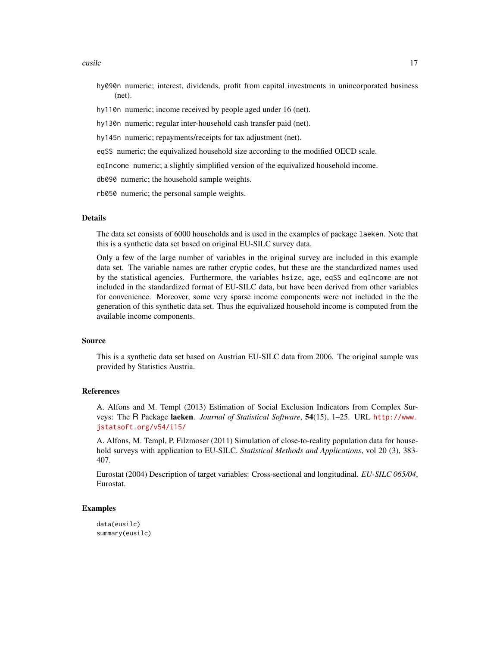eusilc and the contract of the contract of the contract of the contract of the contract of the contract of the contract of the contract of the contract of the contract of the contract of the contract of the contract of the

- hy090n numeric; interest, dividends, profit from capital investments in unincorporated business (net).
- hy110n numeric; income received by people aged under 16 (net).
- hy130n numeric; regular inter-household cash transfer paid (net).
- hy145n numeric; repayments/receipts for tax adjustment (net).
- eqSS numeric; the equivalized household size according to the modified OECD scale.

eqIncome numeric; a slightly simplified version of the equivalized household income.

db090 numeric; the household sample weights.

rb050 numeric; the personal sample weights.

#### Details

The data set consists of 6000 households and is used in the examples of package laeken. Note that this is a synthetic data set based on original EU-SILC survey data.

Only a few of the large number of variables in the original survey are included in this example data set. The variable names are rather cryptic codes, but these are the standardized names used by the statistical agencies. Furthermore, the variables hsize, age, eqSS and eqIncome are not included in the standardized format of EU-SILC data, but have been derived from other variables for convenience. Moreover, some very sparse income components were not included in the the generation of this synthetic data set. Thus the equivalized household income is computed from the available income components.

#### Source

This is a synthetic data set based on Austrian EU-SILC data from 2006. The original sample was provided by Statistics Austria.

#### References

A. Alfons and M. Templ (2013) Estimation of Social Exclusion Indicators from Complex Surveys: The R Package laeken. *Journal of Statistical Software*, 54(15), 1–25. URL [http://www.](http://www.jstatsoft.org/v54/i15/) [jstatsoft.org/v54/i15/](http://www.jstatsoft.org/v54/i15/)

A. Alfons, M. Templ, P. Filzmoser (2011) Simulation of close-to-reality population data for household surveys with application to EU-SILC. *Statistical Methods and Applications*, vol 20 (3), 383- 407.

Eurostat (2004) Description of target variables: Cross-sectional and longitudinal. *EU-SILC 065/04*, Eurostat.

#### Examples

data(eusilc) summary(eusilc)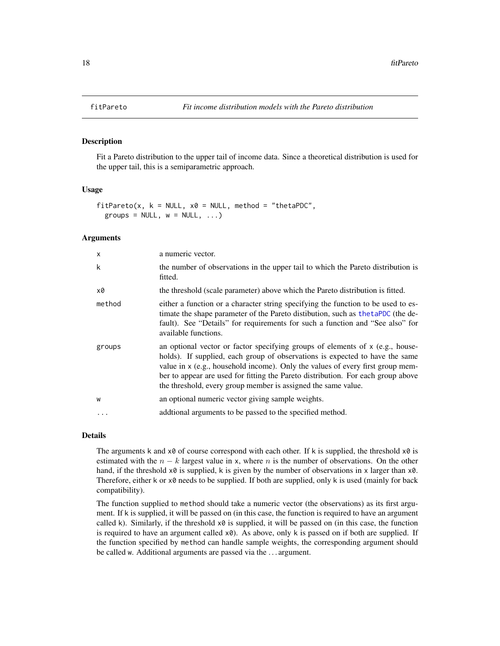#### Description

Fit a Pareto distribution to the upper tail of income data. Since a theoretical distribution is used for the upper tail, this is a semiparametric approach.

#### Usage

```
fitPareto(x, k = NULL, x0 = NULL, method = "thetaPDC",groups = NULL, w = NULL, ...)
```
## Arguments

| X       | a numeric vector.                                                                                                                                                                                                                                                                                                                                                                                        |
|---------|----------------------------------------------------------------------------------------------------------------------------------------------------------------------------------------------------------------------------------------------------------------------------------------------------------------------------------------------------------------------------------------------------------|
| k       | the number of observations in the upper tail to which the Pareto distribution is<br>fitted.                                                                                                                                                                                                                                                                                                              |
| x0      | the threshold (scale parameter) above which the Pareto distribution is fitted.                                                                                                                                                                                                                                                                                                                           |
| method  | either a function or a character string specifying the function to be used to es-<br>timate the shape parameter of the Pareto distibution, such as the taPDC (the de-<br>fault). See "Details" for requirements for such a function and "See also" for<br>available functions.                                                                                                                           |
| groups  | an optional vector or factor specifying groups of elements of $x$ (e.g., house-<br>holds). If supplied, each group of observations is expected to have the same<br>value in $x$ (e.g., household income). Only the values of every first group mem-<br>ber to appear are used for fitting the Pareto distribution. For each group above<br>the threshold, every group member is assigned the same value. |
| W       | an optional numeric vector giving sample weights.                                                                                                                                                                                                                                                                                                                                                        |
| $\cdot$ | additional arguments to be passed to the specified method.                                                                                                                                                                                                                                                                                                                                               |
|         |                                                                                                                                                                                                                                                                                                                                                                                                          |

## Details

The arguments k and  $x\theta$  of course correspond with each other. If k is supplied, the threshold  $x\theta$  is estimated with the  $n - k$  largest value in x, where n is the number of observations. On the other hand, if the threshold  $x0$  is supplied, k is given by the number of observations in x larger than  $x0$ . Therefore, either k or x0 needs to be supplied. If both are supplied, only k is used (mainly for back compatibility).

The function supplied to method should take a numeric vector (the observations) as its first argument. If k is supplied, it will be passed on (in this case, the function is required to have an argument called k). Similarly, if the threshold  $x\theta$  is supplied, it will be passed on (in this case, the function is required to have an argument called  $x0$ ). As above, only k is passed on if both are supplied. If the function specified by method can handle sample weights, the corresponding argument should be called w. Additional arguments are passed via the . . . argument.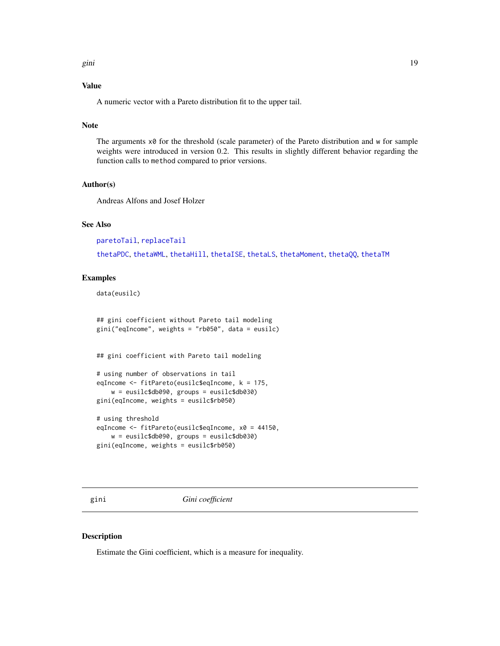## <span id="page-18-0"></span>Value

A numeric vector with a Pareto distribution fit to the upper tail.

## Note

The arguments  $\times\emptyset$  for the threshold (scale parameter) of the Pareto distribution and w for sample weights were introduced in version 0.2. This results in slightly different behavior regarding the function calls to method compared to prior versions.

#### Author(s)

Andreas Alfons and Josef Holzer

## See Also

[paretoTail](#page-34-1), [replaceTail](#page-42-1)

[thetaPDC](#page-57-1), [thetaWML](#page-61-1), [thetaHill](#page-51-1), [thetaISE](#page-53-1), [thetaLS](#page-54-1), [thetaMoment](#page-56-1), [thetaQQ](#page-59-1), [thetaTM](#page-60-1)

## Examples

data(eusilc)

## gini coefficient without Pareto tail modeling gini("eqIncome", weights = "rb050", data = eusilc)

## gini coefficient with Pareto tail modeling

```
# using number of observations in tail
eqIncome <- fitPareto(eusilc$eqIncome, k = 175,
    w = eusilc$db090, groups = eusilc$db030)
gini(eqIncome, weights = eusilc$rb050)
```

```
# using threshold
eqIncome <- fitPareto(eusilc$eqIncome, x0 = 44150,
   w = eusilc$db090, groups = eusilc$db030)
gini(eqIncome, weights = eusilc$rb050)
```
<span id="page-18-1"></span>gini *Gini coefficient*

#### Description

Estimate the Gini coefficient, which is a measure for inequality.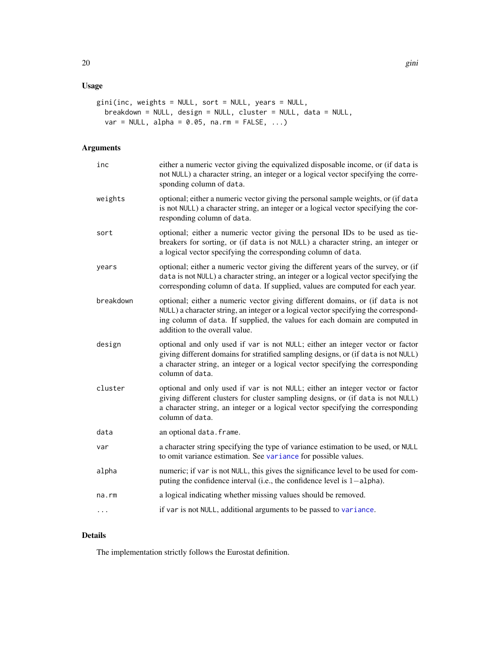## Usage

```
gini(inc, weights = NULL, sort = NULL, years = NULL,
 breakdown = NULL, design = NULL, cluster = NULL, data = NULL,
 var = NULL, alpha = 0.05, na.rm = FALSE, ...)
```
## Arguments

| inc       | either a numeric vector giving the equivalized disposable income, or (if data is<br>not NULL) a character string, an integer or a logical vector specifying the corre-<br>sponding column of data.                                                                                     |
|-----------|----------------------------------------------------------------------------------------------------------------------------------------------------------------------------------------------------------------------------------------------------------------------------------------|
| weights   | optional; either a numeric vector giving the personal sample weights, or (if data<br>is not NULL) a character string, an integer or a logical vector specifying the cor-<br>responding column of data.                                                                                 |
| sort      | optional; either a numeric vector giving the personal IDs to be used as tie-<br>breakers for sorting, or (if data is not NULL) a character string, an integer or<br>a logical vector specifying the corresponding column of data.                                                      |
| years     | optional; either a numeric vector giving the different years of the survey, or (if<br>data is not NULL) a character string, an integer or a logical vector specifying the<br>corresponding column of data. If supplied, values are computed for each year.                             |
| breakdown | optional; either a numeric vector giving different domains, or (if data is not<br>NULL) a character string, an integer or a logical vector specifying the correspond-<br>ing column of data. If supplied, the values for each domain are computed in<br>addition to the overall value. |
| design    | optional and only used if var is not NULL; either an integer vector or factor<br>giving different domains for stratified sampling designs, or (if data is not NULL)<br>a character string, an integer or a logical vector specifying the corresponding<br>column of data.              |
| cluster   | optional and only used if var is not NULL; either an integer vector or factor<br>giving different clusters for cluster sampling designs, or (if data is not NULL)<br>a character string, an integer or a logical vector specifying the corresponding<br>column of data.                |
| data      | an optional data. frame.                                                                                                                                                                                                                                                               |
| var       | a character string specifying the type of variance estimation to be used, or NULL<br>to omit variance estimation. See variance for possible values.                                                                                                                                    |
| alpha     | numeric; if var is not NULL, this gives the significance level to be used for com-<br>puting the confidence interval (i.e., the confidence level is 1-alpha).                                                                                                                          |
| na.rm     | a logical indicating whether missing values should be removed.                                                                                                                                                                                                                         |
| .         | if var is not NULL, additional arguments to be passed to variance.                                                                                                                                                                                                                     |

## Details

The implementation strictly follows the Eurostat definition.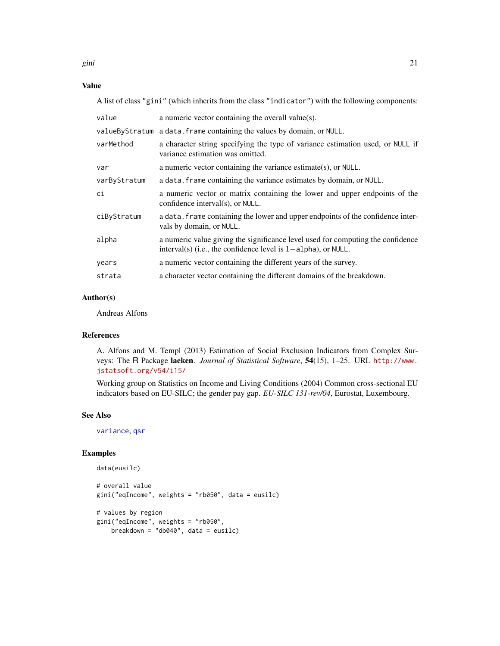gini 21

## Value

A list of class "gini" (which inherits from the class "indicator") with the following components:

| value        | a numeric vector containing the overall value(s).                                                                                                   |
|--------------|-----------------------------------------------------------------------------------------------------------------------------------------------------|
|              | value By Stratum a data. frame containing the values by domain, or NULL.                                                                            |
| varMethod    | a character string specifying the type of variance estimation used, or NULL if<br>variance estimation was omitted.                                  |
| var          | a numeric vector containing the variance estimate(s), or $NULL$ .                                                                                   |
| varByStratum | a data. Frame containing the variance estimates by domain, or NULL.                                                                                 |
| ci           | a numeric vector or matrix containing the lower and upper endpoints of the<br>confidence interval(s), or NULL.                                      |
| ciByStratum  | a data. Frame containing the lower and upper endpoints of the confidence inter-<br>vals by domain, or NULL.                                         |
| alpha        | a numeric value giving the significance level used for computing the confidence<br>interval(s) (i.e., the confidence level is $1$ -alpha), or NULL. |
| years        | a numeric vector containing the different years of the survey.                                                                                      |
| strata       | a character vector containing the different domains of the breakdown.                                                                               |

## Author(s)

Andreas Alfons

## References

A. Alfons and M. Templ (2013) Estimation of Social Exclusion Indicators from Complex Surveys: The R Package laeken. *Journal of Statistical Software*, 54(15), 1–25. URL [http://www.](http://www.jstatsoft.org/v54/i15/) [jstatsoft.org/v54/i15/](http://www.jstatsoft.org/v54/i15/)

Working group on Statistics on Income and Living Conditions (2004) Common cross-sectional EU indicators based on EU-SILC; the gender pay gap. *EU-SILC 131-rev/04*, Eurostat, Luxembourg.

## See Also

[variance](#page-65-1), [qsr](#page-40-1)

## Examples

```
data(eusilc)
# overall value
gini("eqIncome", weights = "rb050", data = eusilc)
# values by region
gini("eqIncome", weights = "rb050",
    breakdown = "db040", data = eusilc)
```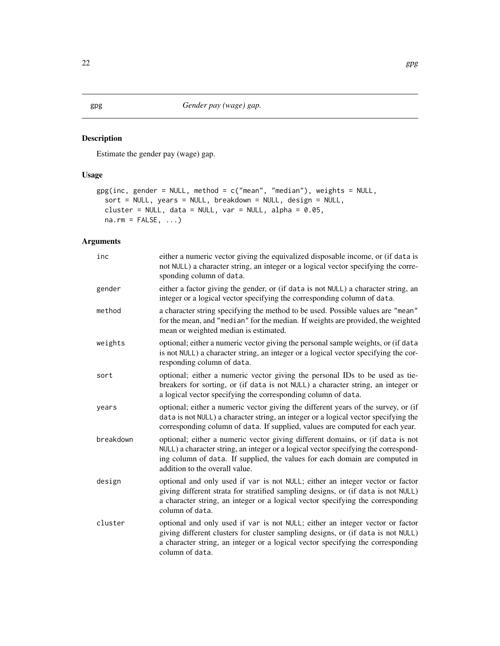## <span id="page-21-1"></span><span id="page-21-0"></span>Description

Estimate the gender pay (wage) gap.

## Usage

```
gpg(inc, gender = NULL, method = c("mean", "median"), weights = NULL,
 sort = NULL, years = NULL, breakdown = NULL, design = NULL,
 cluster = NULL, data = NULL, var = NULL, alpha = 0.05,
 na.rm = FALSE, ...)
```

| inc       | either a numeric vector giving the equivalized disposable income, or (if data is<br>not NULL) a character string, an integer or a logical vector specifying the corre-<br>sponding column of data.                                                                                     |
|-----------|----------------------------------------------------------------------------------------------------------------------------------------------------------------------------------------------------------------------------------------------------------------------------------------|
| gender    | either a factor giving the gender, or (if data is not NULL) a character string, an<br>integer or a logical vector specifying the corresponding column of data.                                                                                                                         |
| method    | a character string specifying the method to be used. Possible values are "mean"<br>for the mean, and "median" for the median. If weights are provided, the weighted<br>mean or weighted median is estimated.                                                                           |
| weights   | optional; either a numeric vector giving the personal sample weights, or (if data<br>is not NULL) a character string, an integer or a logical vector specifying the cor-<br>responding column of data.                                                                                 |
| sort      | optional; either a numeric vector giving the personal IDs to be used as tie-<br>breakers for sorting, or (if data is not NULL) a character string, an integer or<br>a logical vector specifying the corresponding column of data.                                                      |
| years     | optional; either a numeric vector giving the different years of the survey, or (if<br>data is not NULL) a character string, an integer or a logical vector specifying the<br>corresponding column of data. If supplied, values are computed for each year.                             |
| breakdown | optional; either a numeric vector giving different domains, or (if data is not<br>NULL) a character string, an integer or a logical vector specifying the correspond-<br>ing column of data. If supplied, the values for each domain are computed in<br>addition to the overall value. |
| design    | optional and only used if var is not NULL; either an integer vector or factor<br>giving different strata for stratified sampling designs, or (if data is not NULL)<br>a character string, an integer or a logical vector specifying the corresponding<br>column of data.               |
| cluster   | optional and only used if var is not NULL; either an integer vector or factor<br>giving different clusters for cluster sampling designs, or (if data is not NULL)<br>a character string, an integer or a logical vector specifying the corresponding<br>column of data.                |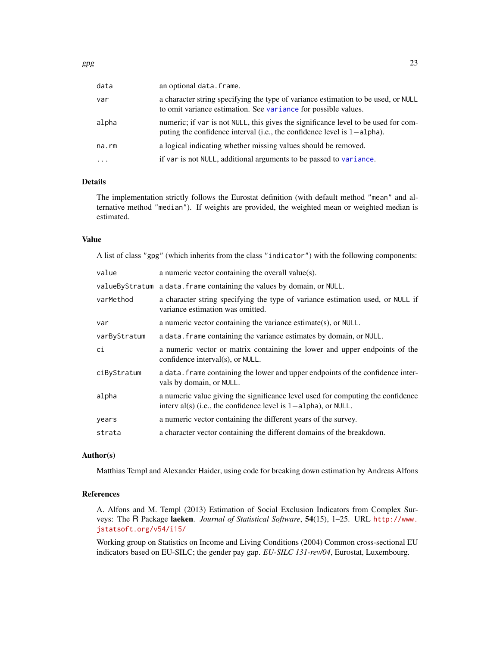| data<br>an optional data. frame. |                                                                                                                                                                  |
|----------------------------------|------------------------------------------------------------------------------------------------------------------------------------------------------------------|
| var                              | a character string specifying the type of variance estimation to be used, or NULL<br>to omit variance estimation. See variance for possible values.              |
| alpha                            | numeric; if var is not NULL, this gives the significance level to be used for com-<br>puting the confidence interval (i.e., the confidence level is $1$ -alpha). |
| na.rm                            | a logical indicating whether missing values should be removed.                                                                                                   |
| $\cdot$                          | if var is not NULL, additional arguments to be passed to variance.                                                                                               |

## Details

The implementation strictly follows the Eurostat definition (with default method "mean" and alternative method "median"). If weights are provided, the weighted mean or weighted median is estimated.

#### Value

A list of class "gpg" (which inherits from the class "indicator") with the following components:

| value        | a numeric vector containing the overall value(s).                                                                                                    |
|--------------|------------------------------------------------------------------------------------------------------------------------------------------------------|
|              | value By Stratum a data. frame containing the values by domain, or NULL.                                                                             |
| varMethod    | a character string specifying the type of variance estimation used, or NULL if<br>variance estimation was omitted.                                   |
| var          | a numeric vector containing the variance estimate(s), or NULL.                                                                                       |
| varByStratum | a data. Frame containing the variance estimates by domain, or NULL.                                                                                  |
| сi           | a numeric vector or matrix containing the lower and upper endpoints of the<br>confidence interval(s), or NULL.                                       |
| ciByStratum  | a data. frame containing the lower and upper endpoints of the confidence inter-<br>vals by domain, or NULL.                                          |
| alpha        | a numeric value giving the significance level used for computing the confidence<br>interv al(s) (i.e., the confidence level is $1$ -alpha), or NULL. |
| years        | a numeric vector containing the different years of the survey.                                                                                       |
| strata       | a character vector containing the different domains of the breakdown.                                                                                |

#### Author(s)

Matthias Templ and Alexander Haider, using code for breaking down estimation by Andreas Alfons

## References

A. Alfons and M. Templ (2013) Estimation of Social Exclusion Indicators from Complex Surveys: The R Package laeken. *Journal of Statistical Software*, 54(15), 1–25. URL [http://www.](http://www.jstatsoft.org/v54/i15/) [jstatsoft.org/v54/i15/](http://www.jstatsoft.org/v54/i15/)

Working group on Statistics on Income and Living Conditions (2004) Common cross-sectional EU indicators based on EU-SILC; the gender pay gap. *EU-SILC 131-rev/04*, Eurostat, Luxembourg.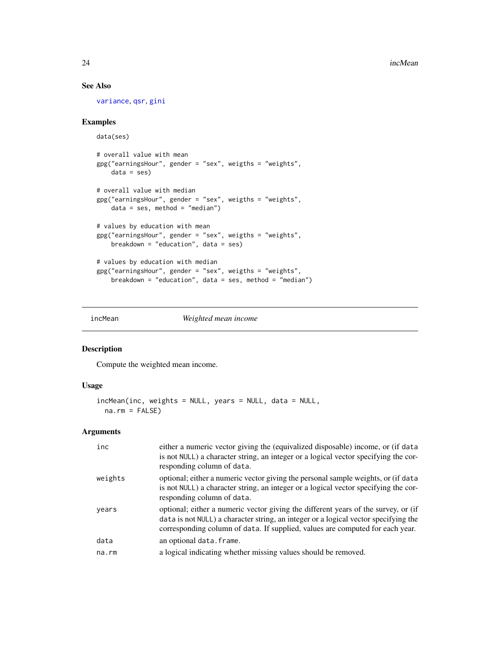## See Also

[variance](#page-65-1), [qsr](#page-40-1), [gini](#page-18-1)

#### Examples

```
data(ses)
# overall value with mean
gpg("earningsHour", gender = "sex", weigths = "weights",
   data = ses)# overall value with median
gpg("earningsHour", gender = "sex", weigths = "weights",
   data = ses, method = "median")# values by education with mean
gpg("earningsHour", gender = "sex", weigths = "weights",
   breakdown = "education", data = ses)
# values by education with median
gpg("earningsHour", gender = "sex", weigths = "weights",
    breakdown = "education", data = ses, method = "median")
```
incMean *Weighted mean income*

## Description

Compute the weighted mean income.

## Usage

```
incMean(inc, weights = NULL, years = NULL, data = NULL,
 na.rm = FALSE)
```

| inc         | either a numeric vector giving the (equivalized disposable) income, or (if data<br>is not NULL) a character string, an integer or a logical vector specifying the cor-<br>responding column of data.                                                       |
|-------------|------------------------------------------------------------------------------------------------------------------------------------------------------------------------------------------------------------------------------------------------------------|
| weights     | optional; either a numeric vector giving the personal sample weights, or (if data<br>is not NULL) a character string, an integer or a logical vector specifying the cor-<br>responding column of data.                                                     |
| years       | optional; either a numeric vector giving the different years of the survey, or (if<br>data is not NULL) a character string, an integer or a logical vector specifying the<br>corresponding column of data. If supplied, values are computed for each year. |
| data        | an optional data. frame.                                                                                                                                                                                                                                   |
| $na$ . $rm$ | a logical indicating whether missing values should be removed.                                                                                                                                                                                             |
|             |                                                                                                                                                                                                                                                            |

<span id="page-23-0"></span>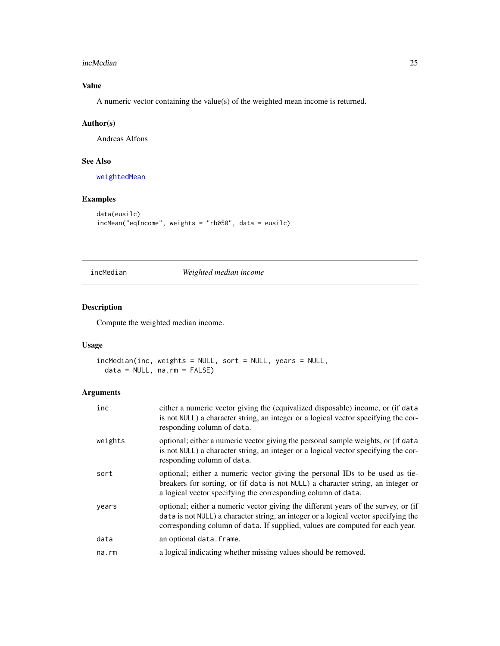#### <span id="page-24-0"></span>incMedian 25

## Value

A numeric vector containing the value(s) of the weighted mean income is returned.

## Author(s)

Andreas Alfons

## See Also

[weightedMean](#page-67-1)

## Examples

```
data(eusilc)
incMean("eqIncome", weights = "rb050", data = eusilc)
```
incMedian *Weighted median income*

## Description

Compute the weighted median income.

## Usage

```
incMedian(inc, weights = NULL, sort = NULL, years = NULL,
 data = NULL, na.rm = FALSE)
```

| inc     | either a numeric vector giving the (equivalized disposable) income, or (if data<br>is not NULL) a character string, an integer or a logical vector specifying the cor-<br>responding column of data.                                                       |
|---------|------------------------------------------------------------------------------------------------------------------------------------------------------------------------------------------------------------------------------------------------------------|
| weights | optional; either a numeric vector giving the personal sample weights, or (if data<br>is not NULL) a character string, an integer or a logical vector specifying the cor-<br>responding column of data.                                                     |
| sort    | optional; either a numeric vector giving the personal IDs to be used as tie-<br>breakers for sorting, or (if data is not NULL) a character string, an integer or<br>a logical vector specifying the corresponding column of data.                          |
| years   | optional; either a numeric vector giving the different years of the survey, or (if<br>data is not NULL) a character string, an integer or a logical vector specifying the<br>corresponding column of data. If supplied, values are computed for each year. |
| data    | an optional data. frame.                                                                                                                                                                                                                                   |
| na.rm   | a logical indicating whether missing values should be removed.                                                                                                                                                                                             |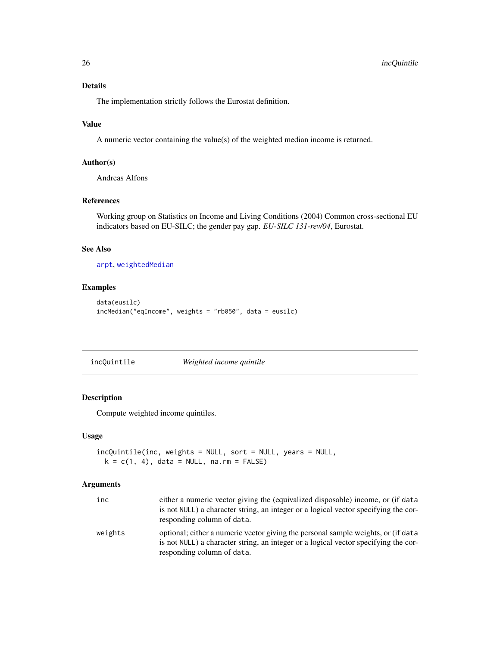## Details

The implementation strictly follows the Eurostat definition.

## Value

A numeric vector containing the value(s) of the weighted median income is returned.

## Author(s)

Andreas Alfons

## References

Working group on Statistics on Income and Living Conditions (2004) Common cross-sectional EU indicators based on EU-SILC; the gender pay gap. *EU-SILC 131-rev/04*, Eurostat.

#### See Also

[arpt](#page-6-1), [weightedMedian](#page-68-1)

## Examples

```
data(eusilc)
incMedian("eqIncome", weights = "rb050", data = eusilc)
```
incQuintile *Weighted income quintile*

#### Description

Compute weighted income quintiles.

#### Usage

```
incQuintile(inc, weights = NULL, sort = NULL, years = NULL,
 k = c(1, 4), data = NULL, na.rm = FALSE)
```

| inc     | either a numeric vector giving the (equivalized disposable) income, or (if data<br>is not NULL) a character string, an integer or a logical vector specifying the cor-<br>responding column of data.   |
|---------|--------------------------------------------------------------------------------------------------------------------------------------------------------------------------------------------------------|
| weights | optional; either a numeric vector giving the personal sample weights, or (if data<br>is not NULL) a character string, an integer or a logical vector specifying the cor-<br>responding column of data. |

<span id="page-25-0"></span>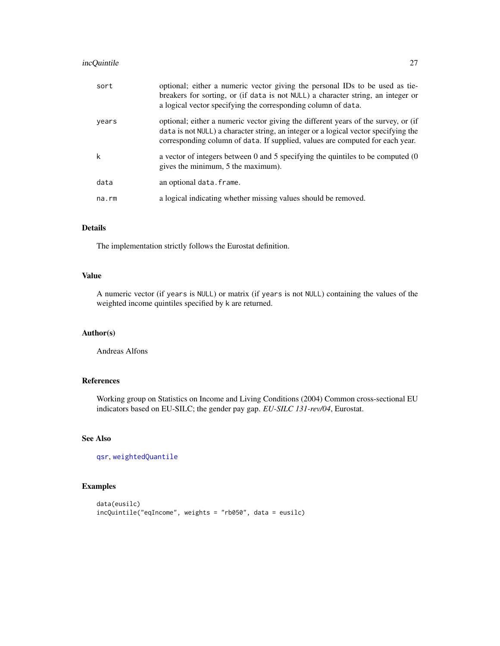## incQuintile 27

| sort  | optional; either a numeric vector giving the personal IDs to be used as tie-<br>breakers for sorting, or (if data is not NULL) a character string, an integer or<br>a logical vector specifying the corresponding column of data.                          |
|-------|------------------------------------------------------------------------------------------------------------------------------------------------------------------------------------------------------------------------------------------------------------|
| years | optional; either a numeric vector giving the different years of the survey, or (if<br>data is not NULL) a character string, an integer or a logical vector specifying the<br>corresponding column of data. If supplied, values are computed for each year. |
| k     | a vector of integers between 0 and 5 specifying the quintiles to be computed (0)<br>gives the minimum, 5 the maximum).                                                                                                                                     |
| data  | an optional data. frame.                                                                                                                                                                                                                                   |
| na.rm | a logical indicating whether missing values should be removed.                                                                                                                                                                                             |

#### Details

The implementation strictly follows the Eurostat definition.

## Value

A numeric vector (if years is NULL) or matrix (if years is not NULL) containing the values of the weighted income quintiles specified by k are returned.

## Author(s)

Andreas Alfons

## References

Working group on Statistics on Income and Living Conditions (2004) Common cross-sectional EU indicators based on EU-SILC; the gender pay gap. *EU-SILC 131-rev/04*, Eurostat.

## See Also

[qsr](#page-40-1), [weightedQuantile](#page-69-1)

#### Examples

```
data(eusilc)
incQuintile("eqIncome", weights = "rb050", data = eusilc)
```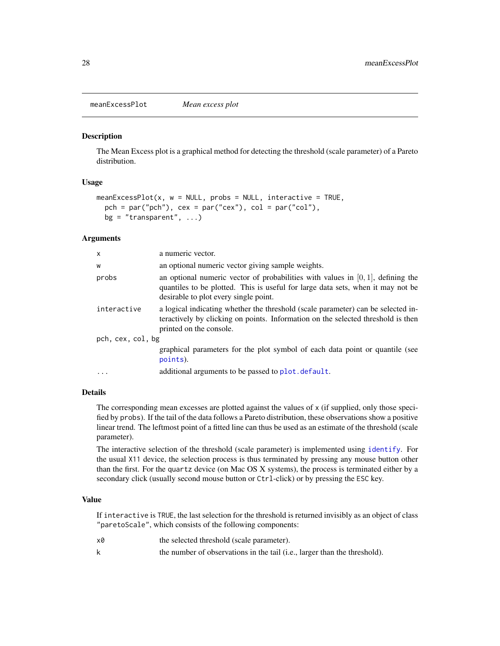<span id="page-27-1"></span><span id="page-27-0"></span>meanExcessPlot *Mean excess plot*

#### Description

The Mean Excess plot is a graphical method for detecting the threshold (scale parameter) of a Pareto distribution.

#### Usage

```
meanExcessPlot(x, w = NULL, probes = NULL, interactive = TRUE,pch = par("pch"), cex = par("cex"), col = par("col"),
 bg = "transparent", \ldots)
```
#### Arguments

| X                 | a numeric vector.                                                                                                                                                                                              |  |
|-------------------|----------------------------------------------------------------------------------------------------------------------------------------------------------------------------------------------------------------|--|
| W                 | an optional numeric vector giving sample weights.                                                                                                                                                              |  |
| probs             | an optional numeric vector of probabilities with values in $[0, 1]$ , defining the<br>quantiles to be plotted. This is useful for large data sets, when it may not be<br>desirable to plot every single point. |  |
| interactive       | a logical indicating whether the threshold (scale parameter) can be selected in-<br>teractively by clicking on points. Information on the selected threshold is then<br>printed on the console.                |  |
| pch, cex, col, bg |                                                                                                                                                                                                                |  |
|                   | graphical parameters for the plot symbol of each data point or quantile (see<br>points).                                                                                                                       |  |
|                   | additional arguments to be passed to plot.default.                                                                                                                                                             |  |

#### Details

The corresponding mean excesses are plotted against the values of x (if supplied, only those specified by probs). If the tail of the data follows a Pareto distribution, these observations show a positive linear trend. The leftmost point of a fitted line can thus be used as an estimate of the threshold (scale parameter).

The interactive selection of the threshold (scale parameter) is implemented using [identify](#page-0-0). For the usual X11 device, the selection process is thus terminated by pressing any mouse button other than the first. For the quartz device (on Mac OS X systems), the process is terminated either by a secondary click (usually second mouse button or Ctrl-click) or by pressing the ESC key.

## Value

If interactive is TRUE, the last selection for the threshold is returned invisibly as an object of class "paretoScale", which consists of the following components:

| x0 | the selected threshold (scale parameter).                                 |
|----|---------------------------------------------------------------------------|
|    | the number of observations in the tail (i.e., larger than the threshold). |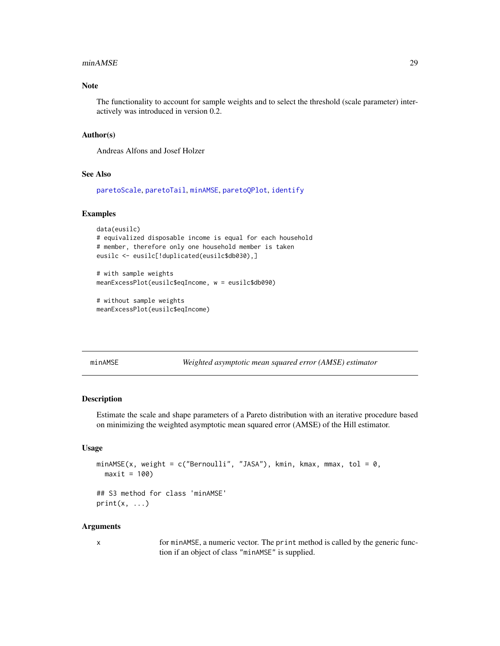#### <span id="page-28-0"></span>minAMSE 29

#### Note

The functionality to account for sample weights and to select the threshold (scale parameter) interactively was introduced in version 0.2.

#### Author(s)

Andreas Alfons and Josef Holzer

#### See Also

[paretoScale](#page-32-1), [paretoTail](#page-34-1), [minAMSE](#page-28-1), [paretoQPlot](#page-30-1), [identify](#page-0-0)

#### Examples

```
data(eusilc)
# equivalized disposable income is equal for each household
# member, therefore only one household member is taken
eusilc <- eusilc[!duplicated(eusilc$db030),]
# with sample weights
meanExcessPlot(eusilc$eqIncome, w = eusilc$db090)
```

```
# without sample weights
meanExcessPlot(eusilc$eqIncome)
```
<span id="page-28-1"></span>minAMSE *Weighted asymptotic mean squared error (AMSE) estimator*

## Description

Estimate the scale and shape parameters of a Pareto distribution with an iterative procedure based on minimizing the weighted asymptotic mean squared error (AMSE) of the Hill estimator.

#### Usage

```
minAMSE(x, weight = c("Bernoulli", "JASA"), kmin, kmax, mmax, tol = 0,maxit = 100
```
## S3 method for class 'minAMSE'  $print(x, \ldots)$ 

#### Arguments

x for minAMSE, a numeric vector. The print method is called by the generic function if an object of class "minAMSE" is supplied.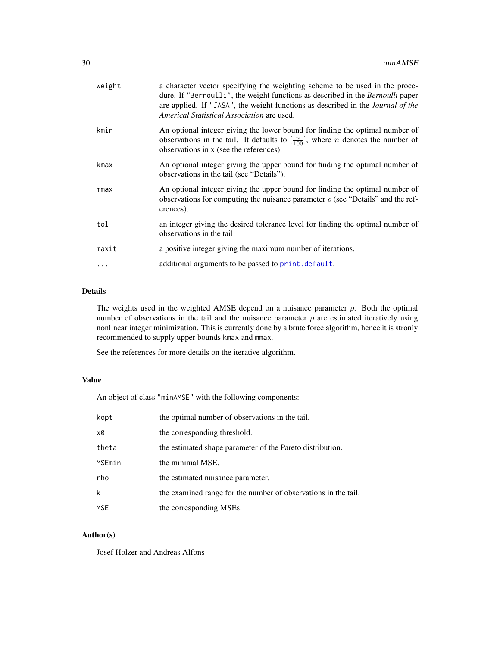| weight | a character vector specifying the weighting scheme to be used in the proce-<br>dure. If "Bernoulli", the weight functions as described in the Bernoulli paper<br>are applied. If "JASA", the weight functions as described in the <i>Journal of the</i><br>Americal Statistical Association are used. |
|--------|-------------------------------------------------------------------------------------------------------------------------------------------------------------------------------------------------------------------------------------------------------------------------------------------------------|
| kmin   | An optional integer giving the lower bound for finding the optimal number of<br>observations in the tail. It defaults to $\left[\frac{n}{100}\right]$ , where <i>n</i> denotes the number of<br>observations in x (see the references).                                                               |
| kmax   | An optional integer giving the upper bound for finding the optimal number of<br>observations in the tail (see "Details").                                                                                                                                                                             |
| mmax   | An optional integer giving the upper bound for finding the optimal number of<br>observations for computing the nuisance parameter $\rho$ (see "Details" and the ref-<br>erences).                                                                                                                     |
| tol    | an integer giving the desired tolerance level for finding the optimal number of<br>observations in the tail.                                                                                                                                                                                          |
| maxit  | a positive integer giving the maximum number of iterations.                                                                                                                                                                                                                                           |
|        | additional arguments to be passed to print. default.                                                                                                                                                                                                                                                  |
|        |                                                                                                                                                                                                                                                                                                       |

### Details

The weights used in the weighted AMSE depend on a nuisance parameter  $\rho$ . Both the optimal number of observations in the tail and the nuisance parameter  $\rho$  are estimated iteratively using nonlinear integer minimization. This is currently done by a brute force algorithm, hence it is stronly recommended to supply upper bounds kmax and mmax.

See the references for more details on the iterative algorithm.

## Value

An object of class "minAMSE" with the following components:

| kopt   | the optimal number of observations in the tail.                |
|--------|----------------------------------------------------------------|
| x0     | the corresponding threshold.                                   |
| theta  | the estimated shape parameter of the Pareto distribution.      |
| MSEmin | the minimal MSE.                                               |
| rho    | the estimated nuisance parameter.                              |
| k      | the examined range for the number of observations in the tail. |
| MSE    | the corresponding MSEs.                                        |

## Author(s)

Josef Holzer and Andreas Alfons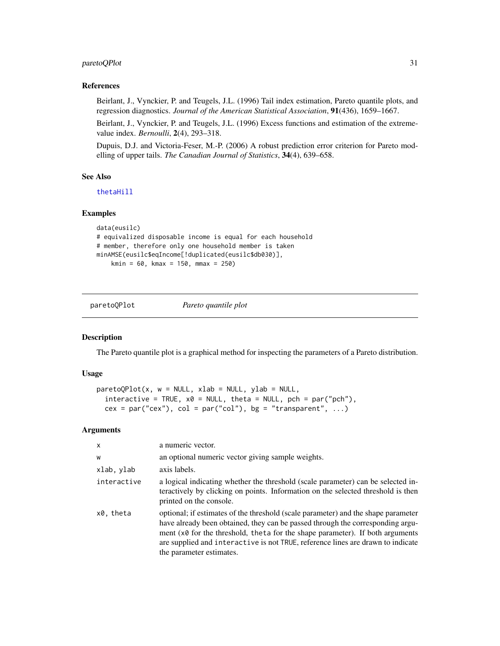## <span id="page-30-0"></span>paretoQPlot 31

#### References

Beirlant, J., Vynckier, P. and Teugels, J.L. (1996) Tail index estimation, Pareto quantile plots, and regression diagnostics. *Journal of the American Statistical Association*, 91(436), 1659–1667.

Beirlant, J., Vynckier, P. and Teugels, J.L. (1996) Excess functions and estimation of the extremevalue index. *Bernoulli*, 2(4), 293–318.

Dupuis, D.J. and Victoria-Feser, M.-P. (2006) A robust prediction error criterion for Pareto modelling of upper tails. *The Canadian Journal of Statistics*, 34(4), 639–658.

#### See Also

[thetaHill](#page-51-1)

#### Examples

```
data(eusilc)
# equivalized disposable income is equal for each household
# member, therefore only one household member is taken
minAMSE(eusilc$eqIncome[!duplicated(eusilc$db030)],
   kmin = 60, kmax = 150, mmax = 250)
```
<span id="page-30-1"></span>paretoQPlot *Pareto quantile plot*

#### Description

The Pareto quantile plot is a graphical method for inspecting the parameters of a Pareto distribution.

#### Usage

```
paretoQPlot(x, w = NULL, xlab = NULL, ylab = NULL,interactive = TRUE, x0 = NULL, theta = NULL, pch = par("pch"),
 cex = par("cex"), col = par("col"), bg = "transparent", ...)
```

| $\mathsf{x}$ | a numeric vector.                                                                                                                                                                                                                                                                                                                                                           |
|--------------|-----------------------------------------------------------------------------------------------------------------------------------------------------------------------------------------------------------------------------------------------------------------------------------------------------------------------------------------------------------------------------|
| W            | an optional numeric vector giving sample weights.                                                                                                                                                                                                                                                                                                                           |
| xlab, ylab   | axis labels.                                                                                                                                                                                                                                                                                                                                                                |
| interactive  | a logical indicating whether the threshold (scale parameter) can be selected in-<br>teractively by clicking on points. Information on the selected threshold is then<br>printed on the console.                                                                                                                                                                             |
| x0, theta    | optional; if estimates of the threshold (scale parameter) and the shape parameter<br>have already been obtained, they can be passed through the corresponding argu-<br>ment $(x\theta)$ for the threshold, theta for the shape parameter). If both arguments<br>are supplied and interactive is not TRUE, reference lines are drawn to indicate<br>the parameter estimates. |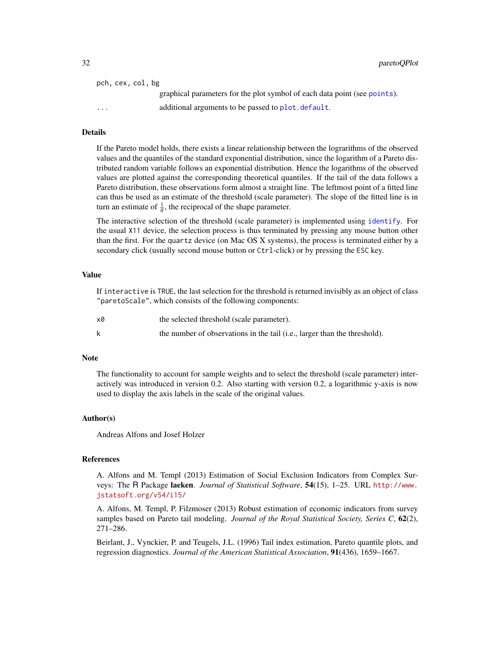| pch, cex, col, bg                                                              |
|--------------------------------------------------------------------------------|
| graphical parameters for the plot symbol of each data point (see points).      |
| additional arguments to be passed to plot. default.<br>$\cdot$ $\cdot$ $\cdot$ |
|                                                                                |

#### Details

If the Pareto model holds, there exists a linear relationship between the lograrithms of the observed values and the quantiles of the standard exponential distribution, since the logarithm of a Pareto distributed random variable follows an exponential distribution. Hence the logarithms of the observed values are plotted against the corresponding theoretical quantiles. If the tail of the data follows a Pareto distribution, these observations form almost a straight line. The leftmost point of a fitted line can thus be used as an estimate of the threshold (scale parameter). The slope of the fitted line is in turn an estimate of  $\frac{1}{\theta}$ , the reciprocal of the shape parameter.

The interactive selection of the threshold (scale parameter) is implemented using [identify](#page-0-0). For the usual X11 device, the selection process is thus terminated by pressing any mouse button other than the first. For the quartz device (on Mac OS X systems), the process is terminated either by a secondary click (usually second mouse button or Ctrl-click) or by pressing the ESC key.

#### Value

If interactive is TRUE, the last selection for the threshold is returned invisibly as an object of class "paretoScale", which consists of the following components:

| x0 | the selected threshold (scale parameter).                                 |
|----|---------------------------------------------------------------------------|
|    | the number of observations in the tail (i.e., larger than the threshold). |

#### **Note**

The functionality to account for sample weights and to select the threshold (scale parameter) interactively was introduced in version 0.2. Also starting with version 0.2, a logarithmic y-axis is now used to display the axis labels in the scale of the original values.

#### Author(s)

Andreas Alfons and Josef Holzer

#### References

A. Alfons and M. Templ (2013) Estimation of Social Exclusion Indicators from Complex Surveys: The R Package laeken. *Journal of Statistical Software*, 54(15), 1–25. URL [http://www.](http://www.jstatsoft.org/v54/i15/) [jstatsoft.org/v54/i15/](http://www.jstatsoft.org/v54/i15/)

A. Alfons, M. Templ, P. Filzmoser (2013) Robust estimation of economic indicators from survey samples based on Pareto tail modeling. *Journal of the Royal Statistical Society, Series C*, 62(2), 271–286.

Beirlant, J., Vynckier, P. and Teugels, J.L. (1996) Tail index estimation, Pareto quantile plots, and regression diagnostics. *Journal of the American Statistical Association*, 91(436), 1659–1667.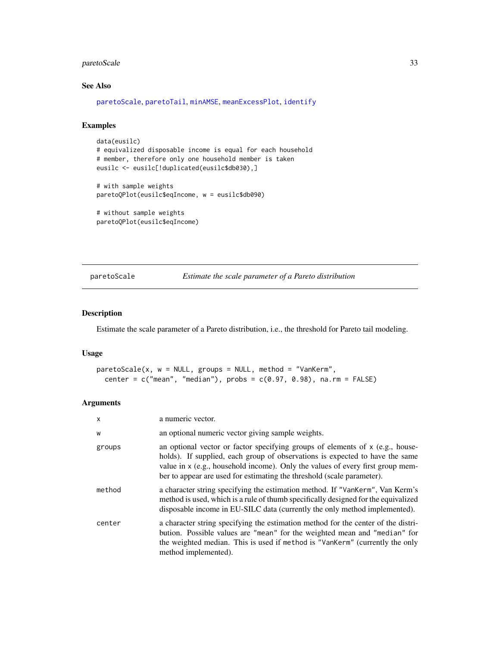## <span id="page-32-0"></span>paretoScale 33

## See Also

[paretoScale](#page-32-1), [paretoTail](#page-34-1), [minAMSE](#page-28-1), [meanExcessPlot](#page-27-1), [identify](#page-0-0)

## Examples

```
data(eusilc)
# equivalized disposable income is equal for each household
# member, therefore only one household member is taken
eusilc <- eusilc[!duplicated(eusilc$db030),]
```

```
# with sample weights
paretoQPlot(eusilc$eqIncome, w = eusilc$db090)
```

```
# without sample weights
paretoQPlot(eusilc$eqIncome)
```
<span id="page-32-1"></span>paretoScale *Estimate the scale parameter of a Pareto distribution*

## Description

Estimate the scale parameter of a Pareto distribution, i.e., the threshold for Pareto tail modeling.

#### Usage

```
paretoScale(x, w = NULL, groups = NULL, method = "VanKerm",center = c("mean", "median"), probs = <math>c(0.97, 0.98)</math>, na.rm = FALSE)
```

| X      | a numeric vector.                                                                                                                                                                                                                                                                                                             |
|--------|-------------------------------------------------------------------------------------------------------------------------------------------------------------------------------------------------------------------------------------------------------------------------------------------------------------------------------|
| W      | an optional numeric vector giving sample weights.                                                                                                                                                                                                                                                                             |
| groups | an optional vector or factor specifying groups of elements of $x$ (e.g., house-<br>holds). If supplied, each group of observations is expected to have the same<br>value in $x$ (e.g., household income). Only the values of every first group mem-<br>ber to appear are used for estimating the threshold (scale parameter). |
| method | a character string specifying the estimation method. If "VanKerm", Van Kerm's<br>method is used, which is a rule of thumb specifically designed for the equivalized<br>disposable income in EU-SILC data (currently the only method implemented).                                                                             |
| center | a character string specifying the estimation method for the center of the distri-<br>bution. Possible values are "mean" for the weighted mean and "median" for<br>the weighted median. This is used if method is "VanKerm" (currently the only<br>method implemented).                                                        |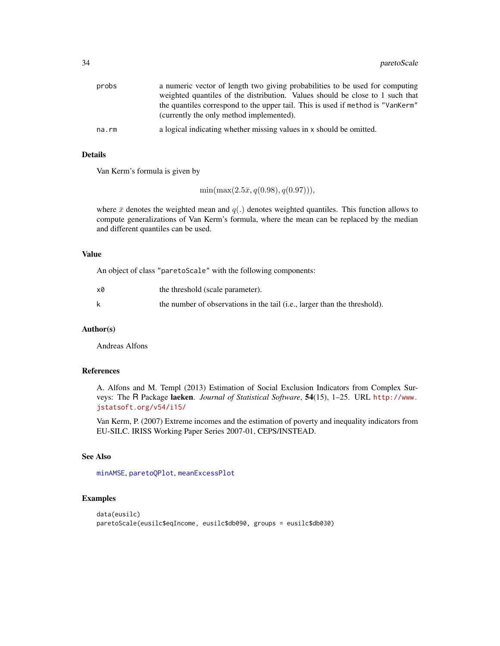| probs | a numeric vector of length two giving probabilities to be used for computing                                                |
|-------|-----------------------------------------------------------------------------------------------------------------------------|
|       | weighted quantiles of the distribution. Values should be close to 1 such that                                               |
|       | the quantiles correspond to the upper tail. This is used if method is "VanKerm"<br>(currently the only method implemented). |
| na.rm | a logical indicating whether missing values in x should be omitted.                                                         |

### Details

Van Kerm's formula is given by

 $\min(\max(2.5\bar{x}, q(0.98), q(0.97))),$ 

where  $\bar{x}$  denotes the weighted mean and  $q(.)$  denotes weighted quantiles. This function allows to compute generalizations of Van Kerm's formula, where the mean can be replaced by the median and different quantiles can be used.

#### Value

An object of class "paretoScale" with the following components:

| x0 | the threshold (scale parameter).                                          |
|----|---------------------------------------------------------------------------|
| k  | the number of observations in the tail (i.e., larger than the threshold). |

#### Author(s)

Andreas Alfons

## References

A. Alfons and M. Templ (2013) Estimation of Social Exclusion Indicators from Complex Surveys: The R Package laeken. *Journal of Statistical Software*, 54(15), 1–25. URL [http://www.](http://www.jstatsoft.org/v54/i15/) [jstatsoft.org/v54/i15/](http://www.jstatsoft.org/v54/i15/)

Van Kerm, P. (2007) Extreme incomes and the estimation of poverty and inequality indicators from EU-SILC. IRISS Working Paper Series 2007-01, CEPS/INSTEAD.

## See Also

[minAMSE](#page-28-1), [paretoQPlot](#page-30-1), [meanExcessPlot](#page-27-1)

#### Examples

```
data(eusilc)
paretoScale(eusilc$eqIncome, eusilc$db090, groups = eusilc$db030)
```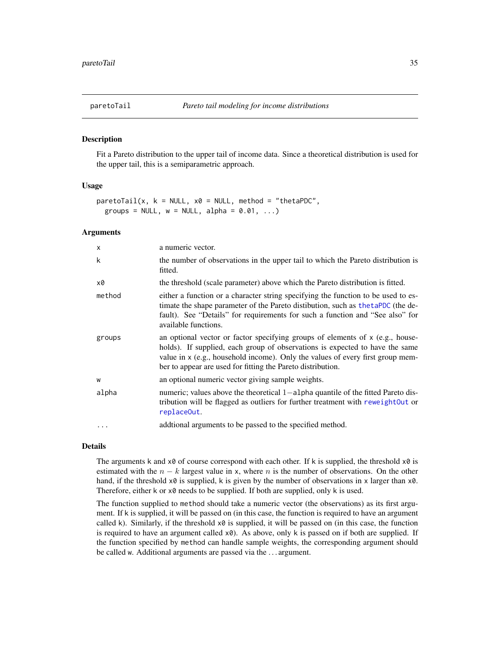<span id="page-34-1"></span><span id="page-34-0"></span>

#### Description

Fit a Pareto distribution to the upper tail of income data. Since a theoretical distribution is used for the upper tail, this is a semiparametric approach.

#### Usage

```
parentofail(x, k = NULL, x0 = NULL, method = "thetaPOC",groups = NULL, w = NULL, alpha = 0.01, ...)
```
#### Arguments

| $\times$ | a numeric vector.                                                                                                                                                                                                                                                                                                |
|----------|------------------------------------------------------------------------------------------------------------------------------------------------------------------------------------------------------------------------------------------------------------------------------------------------------------------|
| k        | the number of observations in the upper tail to which the Pareto distribution is<br>fitted.                                                                                                                                                                                                                      |
| x0       | the threshold (scale parameter) above which the Pareto distribution is fitted.                                                                                                                                                                                                                                   |
| method   | either a function or a character string specifying the function to be used to es-<br>timate the shape parameter of the Pareto distibution, such as the taPDC (the de-<br>fault). See "Details" for requirements for such a function and "See also" for<br>available functions.                                   |
| groups   | an optional vector or factor specifying groups of elements of $x$ (e.g., house-<br>holds). If supplied, each group of observations is expected to have the same<br>value in x (e.g., household income). Only the values of every first group mem-<br>ber to appear are used for fitting the Pareto distribution. |
| W        | an optional numeric vector giving sample weights.                                                                                                                                                                                                                                                                |
| alpha    | numeric; values above the theoretical $1$ -alpha quantile of the fitted Pareto dis-<br>tribution will be flagged as outliers for further treatment with reweightOut or<br>replaceOut.                                                                                                                            |
| $\cdots$ | additional arguments to be passed to the specified method.                                                                                                                                                                                                                                                       |

#### Details

The arguments k and  $x0$  of course correspond with each other. If k is supplied, the threshold  $x0$  is estimated with the  $n - k$  largest value in x, where n is the number of observations. On the other hand, if the threshold  $x\theta$  is supplied, k is given by the number of observations in x larger than  $x\theta$ . Therefore, either k or x0 needs to be supplied. If both are supplied, only k is used.

The function supplied to method should take a numeric vector (the observations) as its first argument. If k is supplied, it will be passed on (in this case, the function is required to have an argument called k). Similarly, if the threshold  $x\theta$  is supplied, it will be passed on (in this case, the function is required to have an argument called  $x0$ ). As above, only k is passed on if both are supplied. If the function specified by method can handle sample weights, the corresponding argument should be called w. Additional arguments are passed via the . . . argument.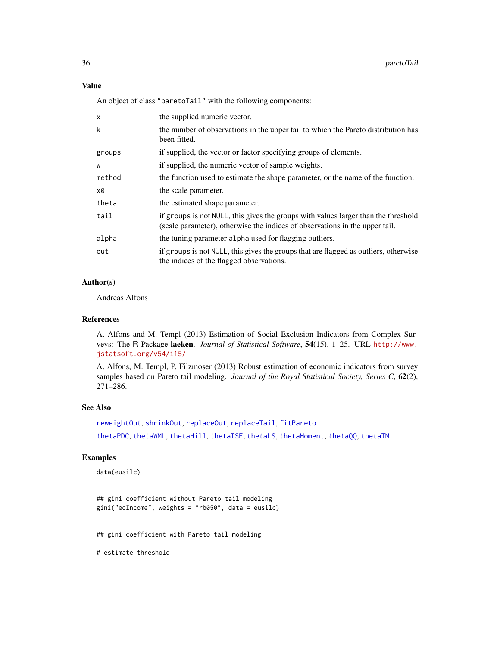An object of class "paretoTail" with the following components:

| $\times$ | the supplied numeric vector.                                                                                                                                      |
|----------|-------------------------------------------------------------------------------------------------------------------------------------------------------------------|
| k        | the number of observations in the upper tail to which the Pareto distribution has<br>been fitted.                                                                 |
| groups   | if supplied, the vector or factor specifying groups of elements.                                                                                                  |
| W        | if supplied, the numeric vector of sample weights.                                                                                                                |
| method   | the function used to estimate the shape parameter, or the name of the function.                                                                                   |
| x0       | the scale parameter.                                                                                                                                              |
| theta    | the estimated shape parameter.                                                                                                                                    |
| tail     | if groups is not NULL, this gives the groups with values larger than the threshold<br>(scale parameter), otherwise the indices of observations in the upper tail. |
| alpha    | the tuning parameter alpha used for flagging outliers.                                                                                                            |
| out      | if groups is not NULL, this gives the groups that are flagged as outliers, otherwise<br>the indices of the flagged observations.                                  |

## Author(s)

Andreas Alfons

#### References

A. Alfons and M. Templ (2013) Estimation of Social Exclusion Indicators from Complex Surveys: The R Package laeken. *Journal of Statistical Software*, 54(15), 1–25. URL [http://www.](http://www.jstatsoft.org/v54/i15/) [jstatsoft.org/v54/i15/](http://www.jstatsoft.org/v54/i15/)

A. Alfons, M. Templ, P. Filzmoser (2013) Robust estimation of economic indicators from survey samples based on Pareto tail modeling. *Journal of the Royal Statistical Society, Series C*, 62(2), 271–286.

## See Also

[reweightOut](#page-44-1), [shrinkOut](#page-50-1), [replaceOut](#page-42-2), [replaceTail](#page-42-1), [fitPareto](#page-17-1) [thetaPDC](#page-57-1), [thetaWML](#page-61-1), [thetaHill](#page-51-1), [thetaISE](#page-53-1), [thetaLS](#page-54-1), [thetaMoment](#page-56-1), [thetaQQ](#page-59-1), [thetaTM](#page-60-1)

#### Examples

```
data(eusilc)
```

```
## gini coefficient without Pareto tail modeling
gini("eqIncome", weights = "rb050", data = eusilc)
```
## gini coefficient with Pareto tail modeling

# estimate threshold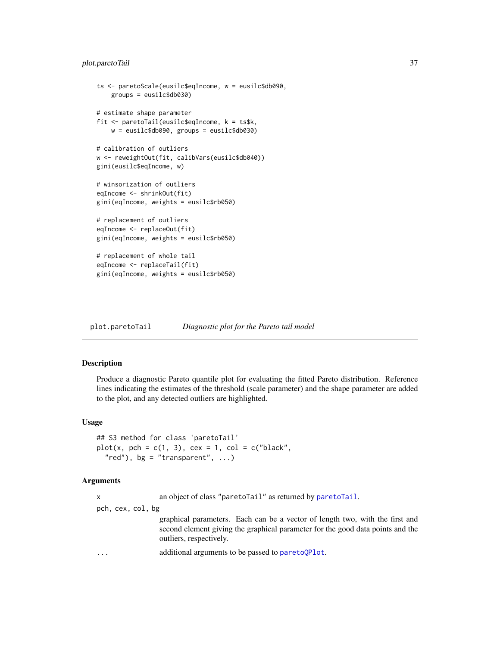# <span id="page-36-0"></span>plot.paretoTail 37

```
ts <- paretoScale(eusilc$eqIncome, w = eusilc$db090,
   groups = eusilc$db030)
# estimate shape parameter
fit <- paretoTail(eusilc$eqIncome, k = ts$k,
   w = eusilc$db090, groups = eusilc$db030)
# calibration of outliers
w <- reweightOut(fit, calibVars(eusilc$db040))
gini(eusilc$eqIncome, w)
# winsorization of outliers
eqIncome <- shrinkOut(fit)
gini(eqIncome, weights = eusilc$rb050)
# replacement of outliers
eqIncome <- replaceOut(fit)
gini(eqIncome, weights = eusilc$rb050)
# replacement of whole tail
eqIncome <- replaceTail(fit)
gini(eqIncome, weights = eusilc$rb050)
```
plot.paretoTail *Diagnostic plot for the Pareto tail model*

# Description

Produce a diagnostic Pareto quantile plot for evaluating the fitted Pareto distribution. Reference lines indicating the estimates of the threshold (scale parameter) and the shape parameter are added to the plot, and any detected outliers are highlighted.

# Usage

```
## S3 method for class 'paretoTail'
plot(x, pch = c(1, 3), cex = 1, col = c("black","red"), bg = "transparent", ...
```
# Arguments

x an object of class "paretoTail" as returned by [paretoTail](#page-34-0).

pch, cex, col, bg

graphical parameters. Each can be a vector of length two, with the first and second element giving the graphical parameter for the good data points and the outliers, respectively.

... additional arguments to be passed to [paretoQPlot](#page-30-0).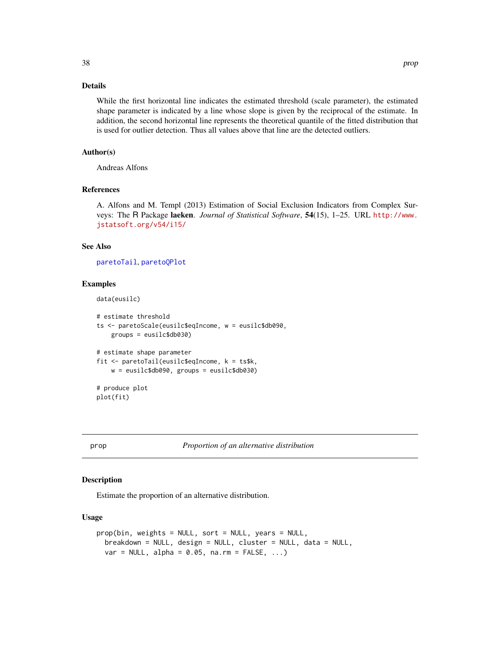# <span id="page-37-0"></span>Details

While the first horizontal line indicates the estimated threshold (scale parameter), the estimated shape parameter is indicated by a line whose slope is given by the reciprocal of the estimate. In addition, the second horizontal line represents the theoretical quantile of the fitted distribution that is used for outlier detection. Thus all values above that line are the detected outliers.

# Author(s)

Andreas Alfons

#### References

A. Alfons and M. Templ (2013) Estimation of Social Exclusion Indicators from Complex Surveys: The R Package laeken. *Journal of Statistical Software*, 54(15), 1–25. URL [http://www.](http://www.jstatsoft.org/v54/i15/) [jstatsoft.org/v54/i15/](http://www.jstatsoft.org/v54/i15/)

# See Also

[paretoTail](#page-34-0), [paretoQPlot](#page-30-0)

#### Examples

```
data(eusilc)
```

```
# estimate threshold
ts <- paretoScale(eusilc$eqIncome, w = eusilc$db090,
    groups = eusilc$db030)
# estimate shape parameter
fit <- paretoTail(eusilc$eqIncome, k = ts$k,
   w = eusilc$db090, groups = eusilc$db030)
# produce plot
plot(fit)
```
prop *Proportion of an alternative distribution*

# Description

Estimate the proportion of an alternative distribution.

#### Usage

```
prop(bin, weights = NULL, sort = NULL, years = NULL,
 breakdown = NULL, design = NULL, cluster = NULL, data = NULL,
 var = NULL, alpha = 0.05, na.rm = FALSE, ...)
```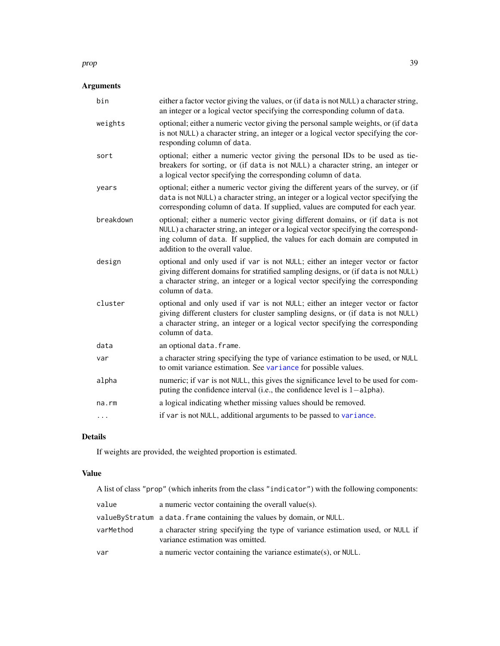#### prop 39

# Arguments

| bin       | either a factor vector giving the values, or (if data is not NULL) a character string,<br>an integer or a logical vector specifying the corresponding column of data.                                                                                                                  |
|-----------|----------------------------------------------------------------------------------------------------------------------------------------------------------------------------------------------------------------------------------------------------------------------------------------|
| weights   | optional; either a numeric vector giving the personal sample weights, or (if data<br>is not NULL) a character string, an integer or a logical vector specifying the cor-<br>responding column of data.                                                                                 |
| sort      | optional; either a numeric vector giving the personal IDs to be used as tie-<br>breakers for sorting, or (if data is not NULL) a character string, an integer or<br>a logical vector specifying the corresponding column of data.                                                      |
| years     | optional; either a numeric vector giving the different years of the survey, or (if<br>data is not NULL) a character string, an integer or a logical vector specifying the<br>corresponding column of data. If supplied, values are computed for each year.                             |
| breakdown | optional; either a numeric vector giving different domains, or (if data is not<br>NULL) a character string, an integer or a logical vector specifying the correspond-<br>ing column of data. If supplied, the values for each domain are computed in<br>addition to the overall value. |
| design    | optional and only used if var is not NULL; either an integer vector or factor<br>giving different domains for stratified sampling designs, or (if data is not NULL)<br>a character string, an integer or a logical vector specifying the corresponding<br>column of data.              |
| cluster   | optional and only used if var is not NULL; either an integer vector or factor<br>giving different clusters for cluster sampling designs, or (if data is not NULL)<br>a character string, an integer or a logical vector specifying the corresponding<br>column of data.                |
| data      | an optional data.frame.                                                                                                                                                                                                                                                                |
| var       | a character string specifying the type of variance estimation to be used, or NULL<br>to omit variance estimation. See variance for possible values.                                                                                                                                    |
| alpha     | numeric; if var is not NULL, this gives the significance level to be used for com-<br>puting the confidence interval (i.e., the confidence level is $1$ -alpha).                                                                                                                       |
| na.rm     | a logical indicating whether missing values should be removed.                                                                                                                                                                                                                         |
| $\cdots$  | if var is not NULL, additional arguments to be passed to variance.                                                                                                                                                                                                                     |

# Details

If weights are provided, the weighted proportion is estimated.

# Value

A list of class "prop" (which inherits from the class "indicator") with the following components:

| value     | a numeric vector containing the overall value(s).                                                                  |
|-----------|--------------------------------------------------------------------------------------------------------------------|
|           | valueByStratum a data. frame containing the values by domain, or NULL.                                             |
| varMethod | a character string specifying the type of variance estimation used, or NULL if<br>variance estimation was omitted. |
| var       | a numeric vector containing the variance estimate(s), or NULL.                                                     |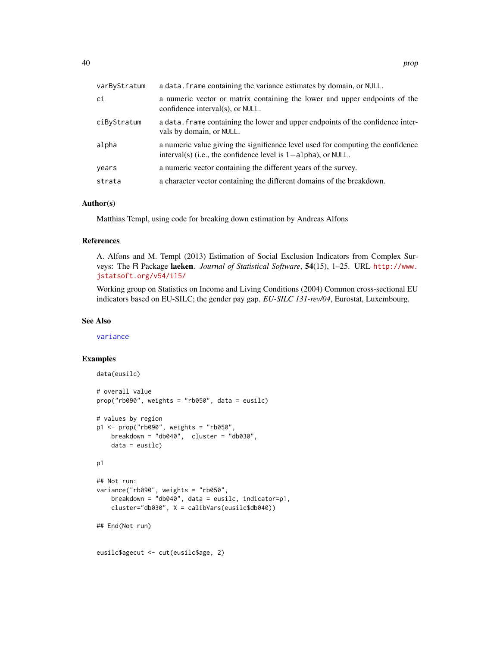| varByStratum | a data. frame containing the variance estimates by domain, or NULL.                                                                                 |
|--------------|-----------------------------------------------------------------------------------------------------------------------------------------------------|
| ci           | a numeric vector or matrix containing the lower and upper endpoints of the<br>confidence interval(s), or NULL.                                      |
| ciByStratum  | a data. Frame containing the lower and upper endpoints of the confidence inter-<br>vals by domain, or NULL.                                         |
| alpha        | a numeric value giving the significance level used for computing the confidence<br>interval(s) (i.e., the confidence level is $1$ -alpha), or NULL. |
| years        | a numeric vector containing the different years of the survey.                                                                                      |
| strata       | a character vector containing the different domains of the breakdown.                                                                               |

#### Author(s)

Matthias Templ, using code for breaking down estimation by Andreas Alfons

#### References

A. Alfons and M. Templ (2013) Estimation of Social Exclusion Indicators from Complex Surveys: The R Package laeken. *Journal of Statistical Software*, 54(15), 1–25. URL [http://www.](http://www.jstatsoft.org/v54/i15/) [jstatsoft.org/v54/i15/](http://www.jstatsoft.org/v54/i15/)

Working group on Statistics on Income and Living Conditions (2004) Common cross-sectional EU indicators based on EU-SILC; the gender pay gap. *EU-SILC 131-rev/04*, Eurostat, Luxembourg.

#### See Also

[variance](#page-65-0)

# Examples

```
data(eusilc)
# overall value
prop("rb090", weights = "rb050", data = eusilc)
# values by region
p1 <- prop("rb090", weights = "rb050",
   breakdown = "db040", cluster = "db030",
    data = eusilc)
p1
## Not run:
variance("rb090", weights = "rb050",
   breakdown = "db040", data = eusilc, indicator=p1,
    cluster="db030", X = calibVars(eusilc$db040))
## End(Not run)
eusilc$agecut <- cut(eusilc$age, 2)
```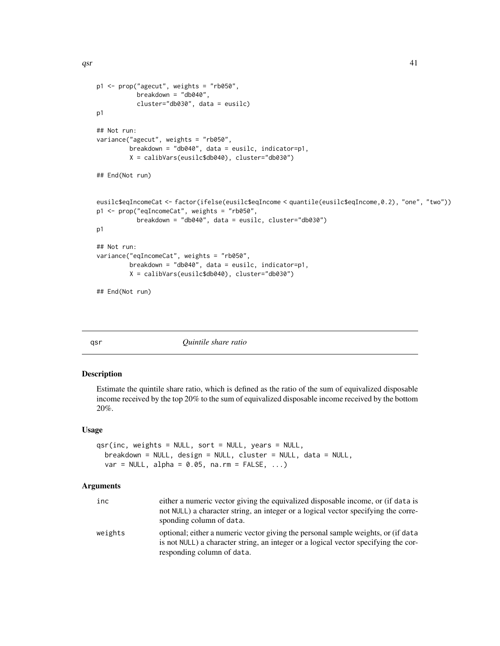<span id="page-40-1"></span> $qsr$  41

```
p1 <- prop("agecut", weights = "rb050",
           breakdown = "db040",
           cluster="db030", data = eusilc)
p1
## Not run:
variance("agecut", weights = "rb050",
        breakdown = "db040", data = eusilc, indicator=p1,
        X = calibVars(eusilc$db040), cluster="db030")
## End(Not run)
eusilc$eqIncomeCat <- factor(ifelse(eusilc$eqIncome < quantile(eusilc$eqIncome,0.2), "one", "two"))
p1 <- prop("eqIncomeCat", weights = "rb050",
           breakdown = "db040", data = eusilc, cluster="db030")
p1
## Not run:
variance("eqIncomeCat", weights = "rb050",
         breakdown = "db040", data = eusilc, indicator=p1,
         X = calibVars(eusilc$db040), cluster="db030")
## End(Not run)
```
<span id="page-40-0"></span>qsr *Quintile share ratio*

#### Description

Estimate the quintile share ratio, which is defined as the ratio of the sum of equivalized disposable income received by the top 20% to the sum of equivalized disposable income received by the bottom 20%.

# Usage

```
qsr(inc, weights = NULL, sort = NULL, years = NULL,breakdown = NULL, design = NULL, cluster = NULL, data = NULL,
 var = NULL, alpha = 0.05, na.rm = FALSE, ...)
```
#### Arguments

| inc     | either a numeric vector giving the equivalized disposable income, or (if data is<br>not NULL) a character string, an integer or a logical vector specifying the corre-<br>sponding column of data.     |
|---------|--------------------------------------------------------------------------------------------------------------------------------------------------------------------------------------------------------|
| weights | optional; either a numeric vector giving the personal sample weights, or (if data<br>is not NULL) a character string, an integer or a logical vector specifying the cor-<br>responding column of data. |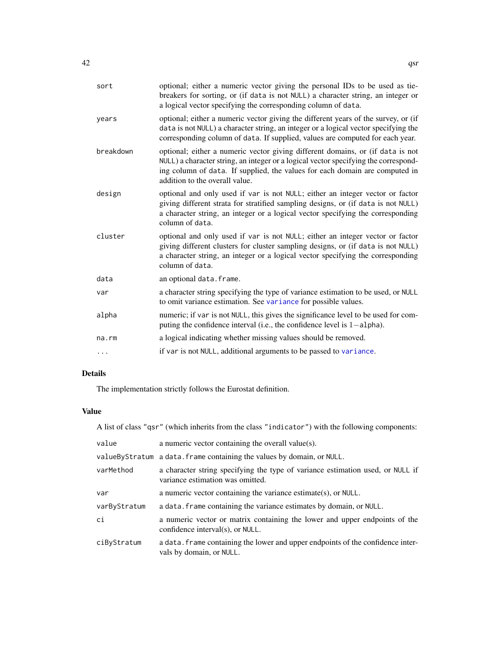| sort        | optional; either a numeric vector giving the personal IDs to be used as tie-<br>breakers for sorting, or (if data is not NULL) a character string, an integer or<br>a logical vector specifying the corresponding column of data.                                                      |
|-------------|----------------------------------------------------------------------------------------------------------------------------------------------------------------------------------------------------------------------------------------------------------------------------------------|
| years       | optional; either a numeric vector giving the different years of the survey, or (if<br>data is not NULL) a character string, an integer or a logical vector specifying the<br>corresponding column of data. If supplied, values are computed for each year.                             |
| breakdown   | optional; either a numeric vector giving different domains, or (if data is not<br>NULL) a character string, an integer or a logical vector specifying the correspond-<br>ing column of data. If supplied, the values for each domain are computed in<br>addition to the overall value. |
| design      | optional and only used if var is not NULL; either an integer vector or factor<br>giving different strata for stratified sampling designs, or (if data is not NULL)<br>a character string, an integer or a logical vector specifying the corresponding<br>column of data.               |
| cluster     | optional and only used if var is not NULL; either an integer vector or factor<br>giving different clusters for cluster sampling designs, or (if data is not NULL)<br>a character string, an integer or a logical vector specifying the corresponding<br>column of data.                |
| data        | an optional data. frame.                                                                                                                                                                                                                                                               |
| var         | a character string specifying the type of variance estimation to be used, or NULL<br>to omit variance estimation. See variance for possible values.                                                                                                                                    |
| alpha       | numeric; if var is not NULL, this gives the significance level to be used for com-<br>puting the confidence interval (i.e., the confidence level is $1$ -alpha).                                                                                                                       |
| $na$ . $rm$ | a logical indicating whether missing values should be removed.                                                                                                                                                                                                                         |
| .           | if var is not NULL, additional arguments to be passed to variance.                                                                                                                                                                                                                     |

# Details

The implementation strictly follows the Eurostat definition.

# Value

A list of class "qsr" (which inherits from the class "indicator") with the following components:

| value        | a numeric vector containing the overall value $(s)$ .                                                              |
|--------------|--------------------------------------------------------------------------------------------------------------------|
|              | valueByStratum a data. frame containing the values by domain, or NULL.                                             |
| varMethod    | a character string specifying the type of variance estimation used, or NULL if<br>variance estimation was omitted. |
| var          | a numeric vector containing the variance estimate(s), or $NULL$ .                                                  |
| varByStratum | a data. Frame containing the variance estimates by domain, or NULL.                                                |
| ci           | a numeric vector or matrix containing the lower and upper endpoints of the<br>confidence interval(s), or NULL.     |
| ciByStratum  | a data. Frame containing the lower and upper endpoints of the confidence inter-<br>vals by domain, or NULL.        |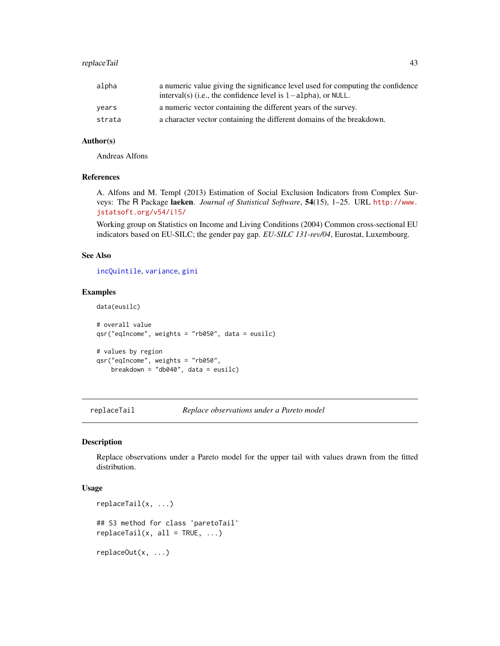# <span id="page-42-2"></span>replaceTail 43

| alpha  | a numeric value giving the significance level used for computing the confidence<br>interval(s) (i.e., the confidence level is $1$ -alpha), or NULL. |
|--------|-----------------------------------------------------------------------------------------------------------------------------------------------------|
| vears  | a numeric vector containing the different years of the survey.                                                                                      |
| strata | a character vector containing the different domains of the breakdown.                                                                               |

#### Author(s)

Andreas Alfons

# References

A. Alfons and M. Templ (2013) Estimation of Social Exclusion Indicators from Complex Surveys: The R Package laeken. *Journal of Statistical Software*, 54(15), 1–25. URL [http://www.](http://www.jstatsoft.org/v54/i15/) [jstatsoft.org/v54/i15/](http://www.jstatsoft.org/v54/i15/)

Working group on Statistics on Income and Living Conditions (2004) Common cross-sectional EU indicators based on EU-SILC; the gender pay gap. *EU-SILC 131-rev/04*, Eurostat, Luxembourg.

# See Also

[incQuintile](#page-25-0), [variance](#page-65-0), [gini](#page-18-0)

#### Examples

```
data(eusilc)
# overall value
qsr("eqIncome", weights = "rb050", data = eusilc)
# values by region
qsr("eqIncome", weights = "rb050",
    breakdown = "db040", data = eusilc)
```
<span id="page-42-1"></span>replaceTail *Replace observations under a Pareto model*

# <span id="page-42-0"></span>Description

Replace observations under a Pareto model for the upper tail with values drawn from the fitted distribution.

#### Usage

```
replaceTail(x, ...)
## S3 method for class 'paretoTail'
replaceTail(x, all = TRUE, ...)replaceOut(x, ...)
```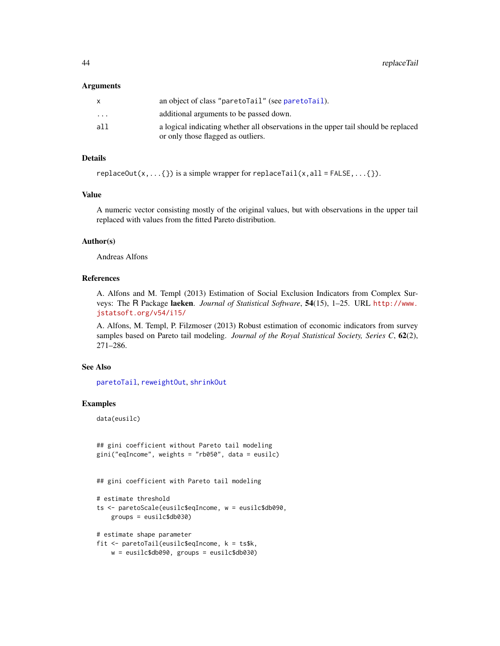#### Arguments

|                         | an object of class "paretolail" (see paretolail).                                  |
|-------------------------|------------------------------------------------------------------------------------|
| $\cdot$ $\cdot$ $\cdot$ | additional arguments to be passed down.                                            |
| all                     | a logical indicating whether all observations in the upper tail should be replaced |
|                         | or only those flagged as outliers.                                                 |

# Details

replaceOut(x,...{}) is a simple wrapper for replaceTail(x,all = FALSE,...{}).

# Value

A numeric vector consisting mostly of the original values, but with observations in the upper tail replaced with values from the fitted Pareto distribution.

# Author(s)

Andreas Alfons

# References

A. Alfons and M. Templ (2013) Estimation of Social Exclusion Indicators from Complex Surveys: The R Package laeken. *Journal of Statistical Software*, 54(15), 1–25. URL [http://www.](http://www.jstatsoft.org/v54/i15/) [jstatsoft.org/v54/i15/](http://www.jstatsoft.org/v54/i15/)

A. Alfons, M. Templ, P. Filzmoser (2013) Robust estimation of economic indicators from survey samples based on Pareto tail modeling. *Journal of the Royal Statistical Society, Series C*, 62(2), 271–286.

#### See Also

[paretoTail](#page-34-0), [reweightOut](#page-44-0), [shrinkOut](#page-50-0)

# Examples

data(eusilc)

```
## gini coefficient without Pareto tail modeling
gini("eqIncome", weights = "rb050", data = eusilc)
```
## gini coefficient with Pareto tail modeling

```
# estimate threshold
ts <- paretoScale(eusilc$eqIncome, w = eusilc$db090,
   groups = eusilc$db030)
```

```
# estimate shape parameter
fit <- paretoTail(eusilc$eqIncome, k = ts$k,
   w = eusilc$db090, groups = eusilc$db030)
```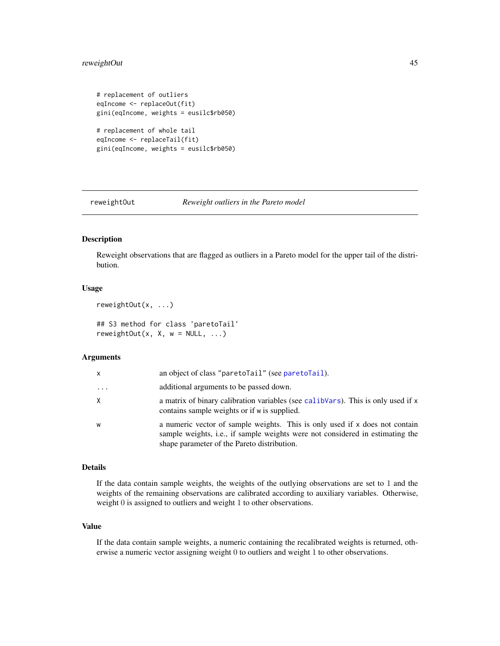# <span id="page-44-1"></span>reweightOut 45

```
# replacement of outliers
eqIncome <- replaceOut(fit)
gini(eqIncome, weights = eusilc$rb050)
# replacement of whole tail
eqIncome <- replaceTail(fit)
gini(eqIncome, weights = eusilc$rb050)
```
<span id="page-44-0"></span>

reweightOut *Reweight outliers in the Pareto model*

# Description

Reweight observations that are flagged as outliers in a Pareto model for the upper tail of the distribution.

#### Usage

```
reweightOut(x, ...)
```

```
## S3 method for class 'paretoTail'
reweightOut(x, X, w = NULL, ...)
```
#### **Arguments**

| $\mathsf{x}$ | an object of class "paretoTail" (see paretoTail).                                                                                                                                                           |
|--------------|-------------------------------------------------------------------------------------------------------------------------------------------------------------------------------------------------------------|
| $\cdots$     | additional arguments to be passed down.                                                                                                                                                                     |
| X            | a matrix of binary calibration variables (see calibVars). This is only used if x<br>contains sample weights or if w is supplied.                                                                            |
| W            | a numeric vector of sample weights. This is only used if x does not contain<br>sample weights, i.e., if sample weights were not considered in estimating the<br>shape parameter of the Pareto distribution. |

#### Details

If the data contain sample weights, the weights of the outlying observations are set to 1 and the weights of the remaining observations are calibrated according to auxiliary variables. Otherwise, weight 0 is assigned to outliers and weight 1 to other observations.

# Value

If the data contain sample weights, a numeric containing the recalibrated weights is returned, otherwise a numeric vector assigning weight 0 to outliers and weight 1 to other observations.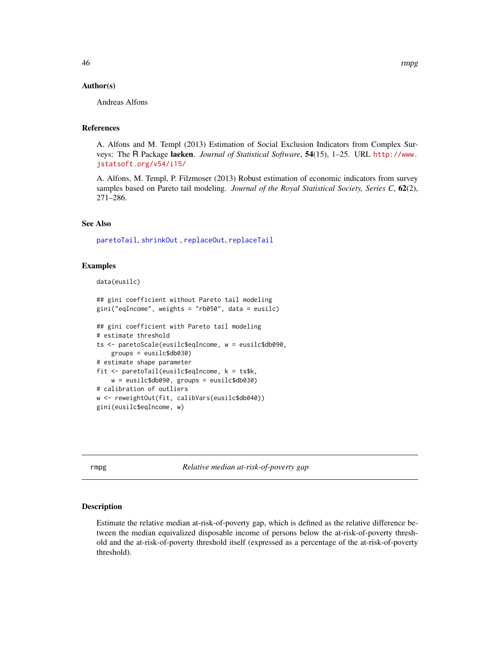# <span id="page-45-1"></span>Author(s)

Andreas Alfons

# References

A. Alfons and M. Templ (2013) Estimation of Social Exclusion Indicators from Complex Surveys: The R Package laeken. *Journal of Statistical Software*, 54(15), 1–25. URL [http://www.](http://www.jstatsoft.org/v54/i15/) [jstatsoft.org/v54/i15/](http://www.jstatsoft.org/v54/i15/)

A. Alfons, M. Templ, P. Filzmoser (2013) Robust estimation of economic indicators from survey samples based on Pareto tail modeling. *Journal of the Royal Statistical Society, Series C*, 62(2), 271–286.

#### See Also

[paretoTail](#page-34-0), [shrinkOut](#page-50-0) , [replaceOut](#page-42-0), [replaceTail](#page-42-1)

#### Examples

```
data(eusilc)
```

```
## gini coefficient without Pareto tail modeling
gini("eqIncome", weights = "rb050", data = eusilc)
```

```
## gini coefficient with Pareto tail modeling
# estimate threshold
ts <- paretoScale(eusilc$eqIncome, w = eusilc$db090,
    groups = eusilc$db030)
# estimate shape parameter
fit <- paretoTail(eusilc$eqIncome, k = ts$k,
   w = eusilc$db090, groups = eusilc$db030)
# calibration of outliers
w <- reweightOut(fit, calibVars(eusilc$db040))
gini(eusilc$eqIncome, w)
```
<span id="page-45-0"></span>rmpg *Relative median at-risk-of-poverty gap*

# Description

Estimate the relative median at-risk-of-poverty gap, which is defined as the relative difference between the median equivalized disposable income of persons below the at-risk-of-poverty threshold and the at-risk-of-poverty threshold itself (expressed as a percentage of the at-risk-of-poverty threshold).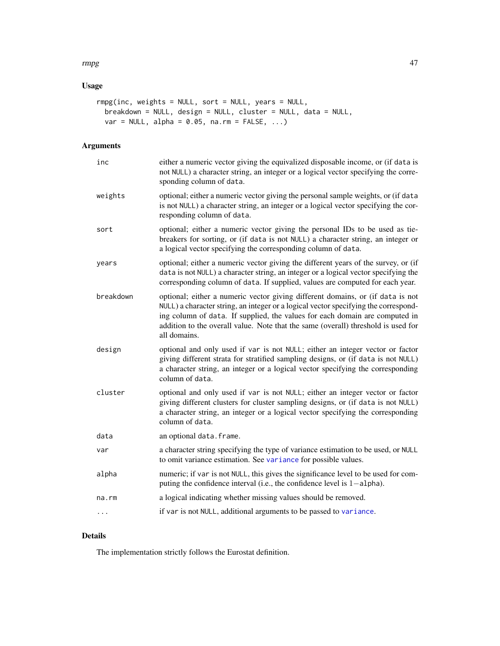# rmpg and the contract of the contract of the contract of the contract of the contract of the contract of the contract of the contract of the contract of the contract of the contract of the contract of the contract of the c

# Usage

```
rmpg(inc, weights = NULL, sort = NULL, years = NULL,
 breakdown = NULL, design = NULL, cluster = NULL, data = NULL,
 var = NULL, alpha = 0.05, na.rm = FALSE, ...)
```
# Arguments

| inc       | either a numeric vector giving the equivalized disposable income, or (if data is<br>not NULL) a character string, an integer or a logical vector specifying the corre-<br>sponding column of data.                                                                                                                                                        |
|-----------|-----------------------------------------------------------------------------------------------------------------------------------------------------------------------------------------------------------------------------------------------------------------------------------------------------------------------------------------------------------|
| weights   | optional; either a numeric vector giving the personal sample weights, or (if data<br>is not NULL) a character string, an integer or a logical vector specifying the cor-<br>responding column of data.                                                                                                                                                    |
| sort      | optional; either a numeric vector giving the personal IDs to be used as tie-<br>breakers for sorting, or (if data is not NULL) a character string, an integer or<br>a logical vector specifying the corresponding column of data.                                                                                                                         |
| years     | optional; either a numeric vector giving the different years of the survey, or (if<br>data is not NULL) a character string, an integer or a logical vector specifying the<br>corresponding column of data. If supplied, values are computed for each year.                                                                                                |
| breakdown | optional; either a numeric vector giving different domains, or (if data is not<br>NULL) a character string, an integer or a logical vector specifying the correspond-<br>ing column of data. If supplied, the values for each domain are computed in<br>addition to the overall value. Note that the same (overall) threshold is used for<br>all domains. |
| design    | optional and only used if var is not NULL; either an integer vector or factor<br>giving different strata for stratified sampling designs, or (if data is not NULL)<br>a character string, an integer or a logical vector specifying the corresponding<br>column of data.                                                                                  |
| cluster   | optional and only used if var is not NULL; either an integer vector or factor<br>giving different clusters for cluster sampling designs, or (if data is not NULL)<br>a character string, an integer or a logical vector specifying the corresponding<br>column of data.                                                                                   |
| data      | an optional data. frame.                                                                                                                                                                                                                                                                                                                                  |
| var       | a character string specifying the type of variance estimation to be used, or NULL<br>to omit variance estimation. See variance for possible values.                                                                                                                                                                                                       |
| alpha     | numeric; if var is not NULL, this gives the significance level to be used for com-<br>puting the confidence interval (i.e., the confidence level is 1-alpha).                                                                                                                                                                                             |
| na.rm     | a logical indicating whether missing values should be removed.                                                                                                                                                                                                                                                                                            |
| $\cdots$  | if var is not NULL, additional arguments to be passed to variance.                                                                                                                                                                                                                                                                                        |

# Details

The implementation strictly follows the Eurostat definition.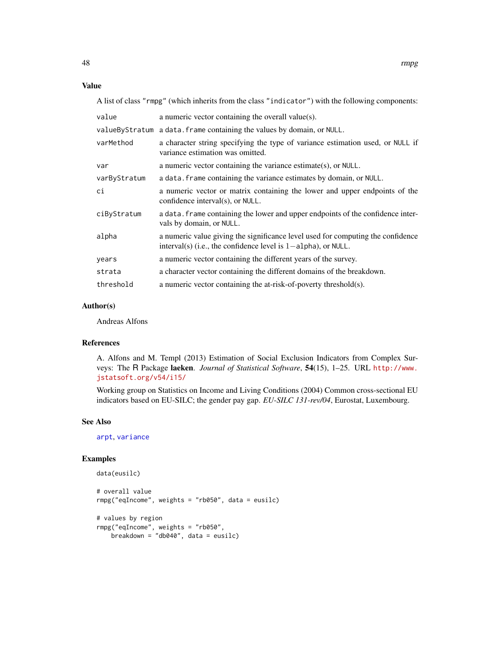#### <span id="page-47-0"></span>Value

A list of class "rmpg" (which inherits from the class "indicator") with the following components:

| value        | a numeric vector containing the overall value(s).                                                                                                   |
|--------------|-----------------------------------------------------------------------------------------------------------------------------------------------------|
|              | valueByStratum a data. frame containing the values by domain, or NULL.                                                                              |
| varMethod    | a character string specifying the type of variance estimation used, or NULL if<br>variance estimation was omitted.                                  |
| var          | a numeric vector containing the variance estimate(s), or $NULL$ .                                                                                   |
| varByStratum | a data. Frame containing the variance estimates by domain, or NULL.                                                                                 |
| сi           | a numeric vector or matrix containing the lower and upper endpoints of the<br>confidence interval(s), or NULL.                                      |
| ciByStratum  | a data. frame containing the lower and upper endpoints of the confidence inter-<br>vals by domain, or NULL.                                         |
| alpha        | a numeric value giving the significance level used for computing the confidence<br>interval(s) (i.e., the confidence level is $1$ -alpha), or NULL. |
| years        | a numeric vector containing the different years of the survey.                                                                                      |
| strata       | a character vector containing the different domains of the breakdown.                                                                               |
| threshold    | a numeric vector containing the at-risk-of-poverty threshold(s).                                                                                    |

# Author(s)

Andreas Alfons

# References

A. Alfons and M. Templ (2013) Estimation of Social Exclusion Indicators from Complex Surveys: The R Package laeken. *Journal of Statistical Software*, 54(15), 1–25. URL [http://www.](http://www.jstatsoft.org/v54/i15/) [jstatsoft.org/v54/i15/](http://www.jstatsoft.org/v54/i15/)

Working group on Statistics on Income and Living Conditions (2004) Common cross-sectional EU indicators based on EU-SILC; the gender pay gap. *EU-SILC 131-rev/04*, Eurostat, Luxembourg.

#### See Also

[arpt](#page-6-0), [variance](#page-65-0)

#### Examples

```
data(eusilc)
# overall value
rmpg("eqIncome", weights = "rb050", data = eusilc)
# values by region
rmpg("eqIncome", weights = "rb050",
   breakdown = "db040", data = eusilc)
```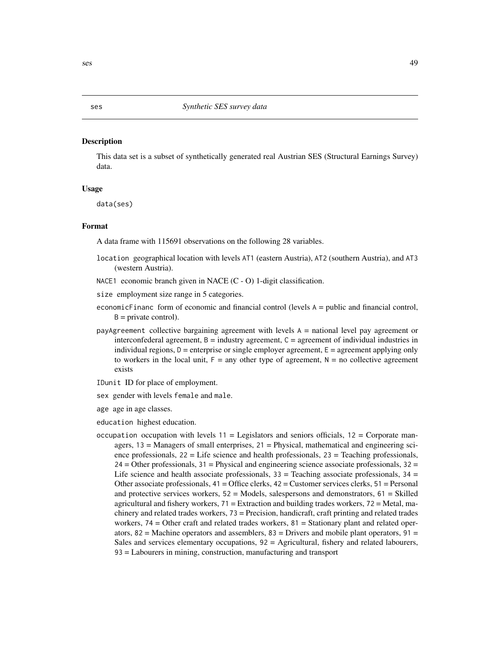#### <span id="page-48-0"></span>Description

This data set is a subset of synthetically generated real Austrian SES (Structural Earnings Survey) data.

# Usage

data(ses)

### Format

A data frame with 115691 observations on the following 28 variables.

- location geographical location with levels AT1 (eastern Austria), AT2 (southern Austria), and AT3 (western Austria).
- NACE1 economic branch given in NACE (C O) 1-digit classification.
- size employment size range in 5 categories.
- economicFinanc form of economic and financial control (levels A = public and financial control,  $B =$  private control).
- payAgreement collective bargaining agreement with levels A = national level pay agreement or interconfederal agreement,  $B =$  industry agreement,  $C =$  agreement of individual industries in individual regions,  $D =$  enterprise or single employer agreement,  $E =$  agreement applying only to workers in the local unit,  $F = any$  other type of agreement,  $N = no$  collective agreement exists

IDunit ID for place of employment.

- sex gender with levels female and male.
- age age in age classes.
- education highest education.
- occupation occupation with levels  $11 =$  Legislators and seniors officials,  $12 =$  Corporate managers,  $13 =$  Managers of small enterprises,  $21 =$  Physical, mathematical and engineering science professionals,  $22 =$  Life science and health professionals,  $23 =$  Teaching professionals,  $24 =$  Other professionals,  $31 =$  Physical and engineering science associate professionals,  $32 =$ Life science and health associate professionals,  $33 =$  Teaching associate professionals,  $34 =$ Other associate professionals,  $41 =$  Office clerks,  $42 =$  Customer services clerks,  $51 =$  Personal and protective services workers,  $52 =$  Models, salespersons and demonstrators,  $61 =$  Skilled agricultural and fishery workers,  $71 =$  Extraction and building trades workers,  $72 =$  Metal, machinery and related trades workers, 73 = Precision, handicraft, craft printing and related trades workers,  $74 =$  Other craft and related trades workers,  $81 =$  Stationary plant and related operators,  $82$  = Machine operators and assemblers,  $83$  = Drivers and mobile plant operators,  $91$  = Sales and services elementary occupations, 92 = Agricultural, fishery and related labourers, 93 = Labourers in mining, construction, manufacturing and transport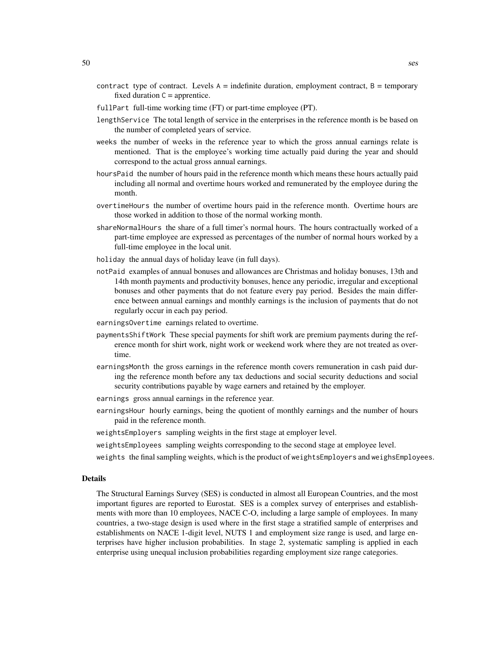- contract type of contract. Levels  $A =$  indefinite duration, employment contract,  $B =$  temporary fixed duration  $C =$  apprentice.
- fullPart full-time working time (FT) or part-time employee (PT).
- lengthService The total length of service in the enterprises in the reference month is be based on the number of completed years of service.
- weeks the number of weeks in the reference year to which the gross annual earnings relate is mentioned. That is the employee's working time actually paid during the year and should correspond to the actual gross annual earnings.
- hoursPaid the number of hours paid in the reference month which means these hours actually paid including all normal and overtime hours worked and remunerated by the employee during the month.
- overtimeHours the number of overtime hours paid in the reference month. Overtime hours are those worked in addition to those of the normal working month.
- shareNormalHours the share of a full timer's normal hours. The hours contractually worked of a part-time employee are expressed as percentages of the number of normal hours worked by a full-time employee in the local unit.
- holiday the annual days of holiday leave (in full days).
- notPaid examples of annual bonuses and allowances are Christmas and holiday bonuses, 13th and 14th month payments and productivity bonuses, hence any periodic, irregular and exceptional bonuses and other payments that do not feature every pay period. Besides the main difference between annual earnings and monthly earnings is the inclusion of payments that do not regularly occur in each pay period.
- earningsOvertime earnings related to overtime.
- paymentsShiftWork These special payments for shift work are premium payments during the reference month for shirt work, night work or weekend work where they are not treated as overtime.
- earningsMonth the gross earnings in the reference month covers remuneration in cash paid during the reference month before any tax deductions and social security deductions and social security contributions payable by wage earners and retained by the employer.
- earnings gross annual earnings in the reference year.
- earningsHour hourly earnings, being the quotient of monthly earnings and the number of hours paid in the reference month.
- weightsEmployers sampling weights in the first stage at employer level.
- weightsEmployees sampling weights corresponding to the second stage at employee level.
- weights the final sampling weights, which is the product of weightsEmployers and weighsEmployees.

#### Details

The Structural Earnings Survey (SES) is conducted in almost all European Countries, and the most important figures are reported to Eurostat. SES is a complex survey of enterprises and establishments with more than 10 employees, NACE C-O, including a large sample of employees. In many countries, a two-stage design is used where in the first stage a stratified sample of enterprises and establishments on NACE 1-digit level, NUTS 1 and employment size range is used, and large enterprises have higher inclusion probabilities. In stage 2, systematic sampling is applied in each enterprise using unequal inclusion probabilities regarding employment size range categories.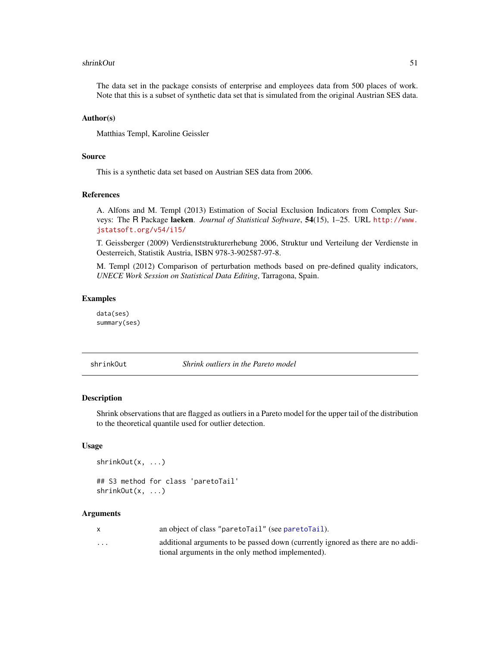#### <span id="page-50-1"></span>shrinkOut 51

The data set in the package consists of enterprise and employees data from 500 places of work. Note that this is a subset of synthetic data set that is simulated from the original Austrian SES data.

#### Author(s)

Matthias Templ, Karoline Geissler

# Source

This is a synthetic data set based on Austrian SES data from 2006.

# References

A. Alfons and M. Templ (2013) Estimation of Social Exclusion Indicators from Complex Surveys: The R Package laeken. *Journal of Statistical Software*, 54(15), 1–25. URL [http://www.](http://www.jstatsoft.org/v54/i15/) [jstatsoft.org/v54/i15/](http://www.jstatsoft.org/v54/i15/)

T. Geissberger (2009) Verdienststrukturerhebung 2006, Struktur und Verteilung der Verdienste in Oesterreich, Statistik Austria, ISBN 978-3-902587-97-8.

M. Templ (2012) Comparison of perturbation methods based on pre-defined quality indicators, *UNECE Work Session on Statistical Data Editing*, Tarragona, Spain.

# Examples

data(ses) summary(ses)

<span id="page-50-0"></span>shrinkOut *Shrink outliers in the Pareto model*

## Description

Shrink observations that are flagged as outliers in a Pareto model for the upper tail of the distribution to the theoretical quantile used for outlier detection.

#### Usage

```
shrinkOut(x, ...)
```

```
## S3 method for class 'paretoTail'
shrinkOut(x, ...)
```
#### Arguments

|                         | an object of class "paretolail" (see paretolail).                               |
|-------------------------|---------------------------------------------------------------------------------|
| $\cdot$ $\cdot$ $\cdot$ | additional arguments to be passed down (currently ignored as there are no addi- |
|                         | tional arguments in the only method implemented).                               |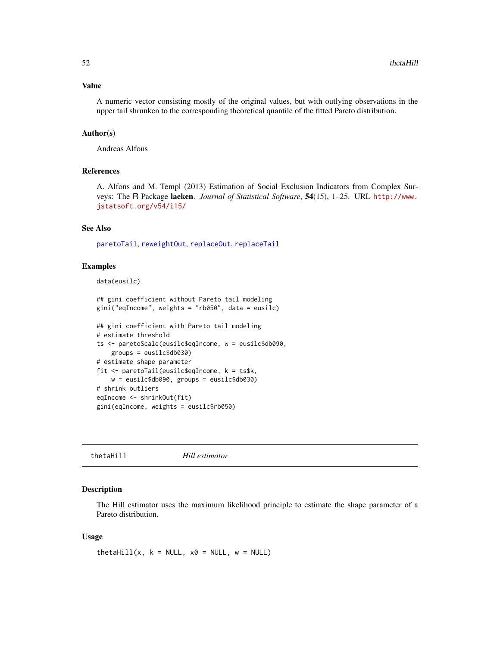# <span id="page-51-1"></span>Value

A numeric vector consisting mostly of the original values, but with outlying observations in the upper tail shrunken to the corresponding theoretical quantile of the fitted Pareto distribution.

# Author(s)

Andreas Alfons

# References

A. Alfons and M. Templ (2013) Estimation of Social Exclusion Indicators from Complex Surveys: The R Package laeken. *Journal of Statistical Software*, 54(15), 1–25. URL [http://www.](http://www.jstatsoft.org/v54/i15/) [jstatsoft.org/v54/i15/](http://www.jstatsoft.org/v54/i15/)

# See Also

[paretoTail](#page-34-0), [reweightOut](#page-44-0), [replaceOut](#page-42-0), [replaceTail](#page-42-1)

### Examples

```
data(eusilc)
```

```
## gini coefficient without Pareto tail modeling
gini("eqIncome", weights = "rb050", data = eusilc)
```

```
## gini coefficient with Pareto tail modeling
# estimate threshold
ts <- paretoScale(eusilc$eqIncome, w = eusilc$db090,
    groups = eusilc$db030)
# estimate shape parameter
fit <- paretoTail(eusilc$eqIncome, k = ts$k,
    w = eusilc$db090, groups = eusilc$db030)
# shrink outliers
eqIncome <- shrinkOut(fit)
gini(eqIncome, weights = eusilc$rb050)
```
<span id="page-51-0"></span>thetaHill *Hill estimator*

# Description

The Hill estimator uses the maximum likelihood principle to estimate the shape parameter of a Pareto distribution.

#### Usage

thetaHill(x,  $k = NULL$ ,  $x0 = NULL$ ,  $w = NULL$ )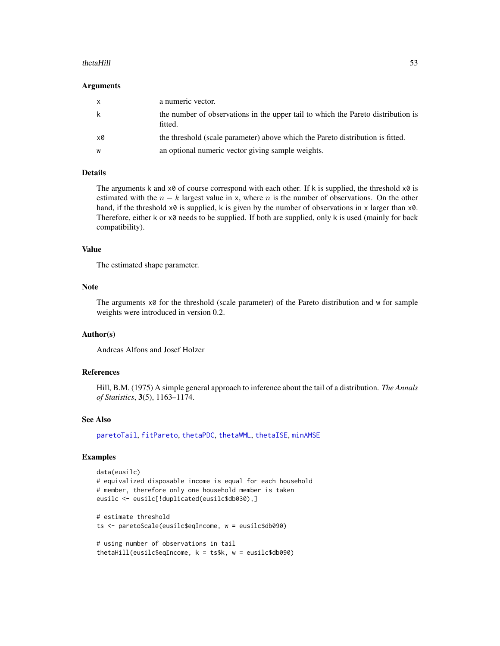#### <span id="page-52-0"></span>thetaHill 53

#### Arguments

| X  | a numeric vector.                                                                           |
|----|---------------------------------------------------------------------------------------------|
| k  | the number of observations in the upper tail to which the Pareto distribution is<br>fitted. |
| x0 | the threshold (scale parameter) above which the Pareto distribution is fitted.              |
| W  | an optional numeric vector giving sample weights.                                           |

#### Details

The arguments k and  $x0$  of course correspond with each other. If k is supplied, the threshold  $x0$  is estimated with the  $n - k$  largest value in x, where n is the number of observations. On the other hand, if the threshold  $x\theta$  is supplied, k is given by the number of observations in x larger than  $x\theta$ . Therefore, either  $k$  or  $x\theta$  needs to be supplied. If both are supplied, only  $k$  is used (mainly for back compatibility).

#### Value

The estimated shape parameter.

# Note

The arguments  $x \otimes f$  for the threshold (scale parameter) of the Pareto distribution and w for sample weights were introduced in version 0.2.

#### Author(s)

Andreas Alfons and Josef Holzer

#### References

Hill, B.M. (1975) A simple general approach to inference about the tail of a distribution. *The Annals of Statistics*, 3(5), 1163–1174.

#### See Also

[paretoTail](#page-34-0), [fitPareto](#page-17-0), [thetaPDC](#page-57-0), [thetaWML](#page-61-0), [thetaISE](#page-53-0), [minAMSE](#page-28-0)

# Examples

```
data(eusilc)
# equivalized disposable income is equal for each household
# member, therefore only one household member is taken
eusilc <- eusilc[!duplicated(eusilc$db030),]
# estimate threshold
ts <- paretoScale(eusilc$eqIncome, w = eusilc$db090)
# using number of observations in tail
thetaHill(eusilc$eqIncome, k = ts$k, w = eusilc$db090)
```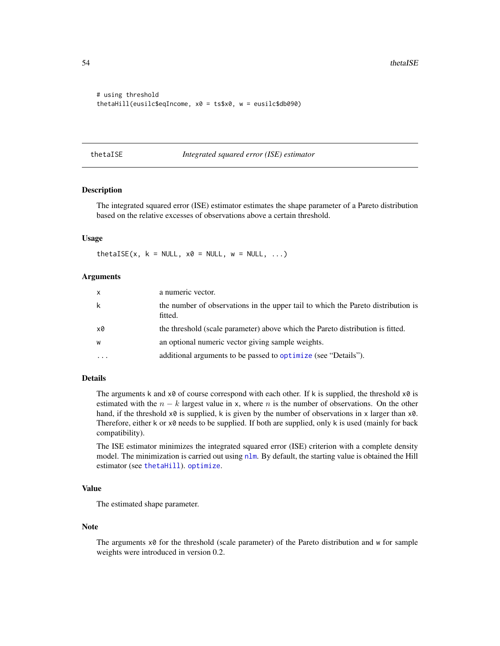```
# using threshold
thetaHill(eusilc$eqIncome, x0 = ts$x0, w = eusilc$db090)
```
#### <span id="page-53-0"></span>thetaISE *Integrated squared error (ISE) estimator*

# Description

The integrated squared error (ISE) estimator estimates the shape parameter of a Pareto distribution based on the relative excesses of observations above a certain threshold.

# Usage

thetaISE(x,  $k = NULL$ ,  $x0 = NULL$ ,  $w = NULL$ , ...)

# **Arguments**

| $\mathsf{x}$ | a numeric vector.                                                                           |
|--------------|---------------------------------------------------------------------------------------------|
| k            | the number of observations in the upper tail to which the Pareto distribution is<br>fitted. |
| x0           | the threshold (scale parameter) above which the Pareto distribution is fitted.              |
| W            | an optional numeric vector giving sample weights.                                           |
| $\cdots$     | additional arguments to be passed to optimize (see "Details").                              |

# Details

The arguments k and  $x\theta$  of course correspond with each other. If k is supplied, the threshold  $x\theta$  is estimated with the  $n - k$  largest value in x, where n is the number of observations. On the other hand, if the threshold  $x0$  is supplied, k is given by the number of observations in x larger than  $x0$ . Therefore, either  $k$  or  $x\theta$  needs to be supplied. If both are supplied, only  $k$  is used (mainly for back compatibility).

The ISE estimator minimizes the integrated squared error (ISE) criterion with a complete density model. The minimization is carried out using [nlm](#page-0-0). By default, the starting value is obtained the Hill estimator (see [thetaHill](#page-51-0)). [optimize](#page-0-0).

# Value

The estimated shape parameter.

#### Note

The arguments  $x \otimes f$  for the threshold (scale parameter) of the Pareto distribution and w for sample weights were introduced in version 0.2.

<span id="page-53-1"></span>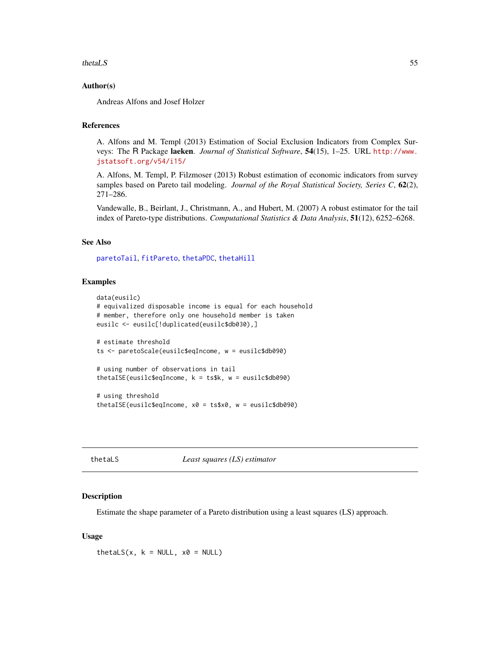#### <span id="page-54-0"></span>thetaLS 55

# Author(s)

Andreas Alfons and Josef Holzer

# References

A. Alfons and M. Templ (2013) Estimation of Social Exclusion Indicators from Complex Surveys: The R Package laeken. *Journal of Statistical Software*, 54(15), 1–25. URL [http://www.](http://www.jstatsoft.org/v54/i15/) [jstatsoft.org/v54/i15/](http://www.jstatsoft.org/v54/i15/)

A. Alfons, M. Templ, P. Filzmoser (2013) Robust estimation of economic indicators from survey samples based on Pareto tail modeling. *Journal of the Royal Statistical Society, Series C*, 62(2), 271–286.

Vandewalle, B., Beirlant, J., Christmann, A., and Hubert, M. (2007) A robust estimator for the tail index of Pareto-type distributions. *Computational Statistics & Data Analysis*, 51(12), 6252–6268.

# See Also

[paretoTail](#page-34-0), [fitPareto](#page-17-0), [thetaPDC](#page-57-0), [thetaHill](#page-51-0)

# Examples

```
data(eusilc)
# equivalized disposable income is equal for each household
# member, therefore only one household member is taken
eusilc <- eusilc[!duplicated(eusilc$db030),]
# estimate threshold
ts <- paretoScale(eusilc$eqIncome, w = eusilc$db090)
# using number of observations in tail
thetaISE(eusilc$eqIncome, k = ts$k, w = eusilc$db090)
# using threshold
thetaISE(eusilc$eqIncome, x0 = ts$x0, w = eusilc$db090)
```
thetaLS *Least squares (LS) estimator*

#### Description

Estimate the shape parameter of a Pareto distribution using a least squares (LS) approach.

# Usage

thetaLS(x,  $k = NULL$ ,  $x0 = NULL$ )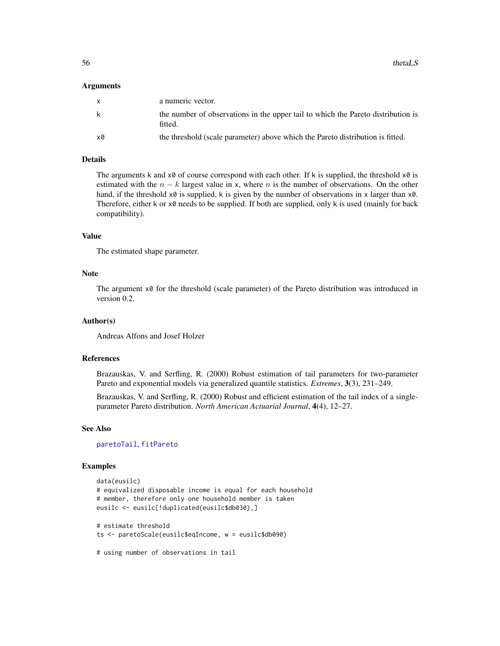#### <span id="page-55-0"></span>Arguments

| X  | a numeric vector.                                                                           |
|----|---------------------------------------------------------------------------------------------|
| k  | the number of observations in the upper tail to which the Pareto distribution is<br>fitted. |
| x0 | the threshold (scale parameter) above which the Pareto distribution is fitted.              |

# Details

The arguments k and  $x\theta$  of course correspond with each other. If k is supplied, the threshold  $x\theta$  is estimated with the  $n - k$  largest value in x, where n is the number of observations. On the other hand, if the threshold  $x0$  is supplied, k is given by the number of observations in x larger than  $x0$ . Therefore, either k or x0 needs to be supplied. If both are supplied, only k is used (mainly for back compatibility).

#### Value

The estimated shape parameter.

#### **Note**

The argument  $x\theta$  for the threshold (scale parameter) of the Pareto distribution was introduced in version 0.2.

# Author(s)

Andreas Alfons and Josef Holzer

# References

Brazauskas, V. and Serfling, R. (2000) Robust estimation of tail parameters for two-parameter Pareto and exponential models via generalized quantile statistics. *Extremes*, 3(3), 231–249.

Brazauskas, V. and Serfling, R. (2000) Robust and efficient estimation of the tail index of a singleparameter Pareto distribution. *North American Actuarial Journal*, 4(4), 12–27.

## See Also

[paretoTail](#page-34-0), [fitPareto](#page-17-0)

# Examples

```
data(eusilc)
# equivalized disposable income is equal for each household
# member, therefore only one household member is taken
eusilc <- eusilc[!duplicated(eusilc$db030),]
# estimate threshold
ts <- paretoScale(eusilc$eqIncome, w = eusilc$db090)
```

```
# using number of observations in tail
```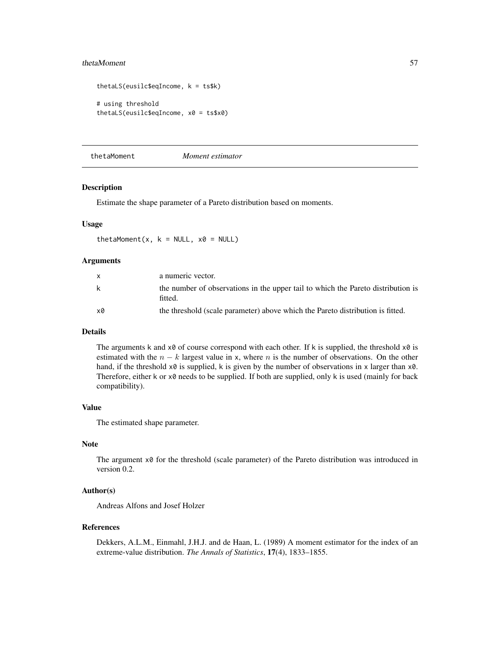#### <span id="page-56-0"></span>thetaMoment 57

```
thetaLS(eusilc$eqIncome, k = ts$k)
# using threshold
thetaLS(eusilc$eqIncome, x0 = ts$x0)
```
thetaMoment *Moment estimator*

# Description

Estimate the shape parameter of a Pareto distribution based on moments.

#### Usage

thetaMoment(x,  $k = NULL$ ,  $x0 = NULL$ )

#### Arguments

| X  | a numeric vector.                                                                           |
|----|---------------------------------------------------------------------------------------------|
| k  | the number of observations in the upper tail to which the Pareto distribution is<br>fitted. |
| x0 | the threshold (scale parameter) above which the Pareto distribution is fitted.              |

# Details

The arguments k and  $x\theta$  of course correspond with each other. If k is supplied, the threshold  $x\theta$  is estimated with the  $n - k$  largest value in x, where n is the number of observations. On the other hand, if the threshold  $x0$  is supplied, k is given by the number of observations in x larger than  $x0$ . Therefore, either k or x0 needs to be supplied. If both are supplied, only k is used (mainly for back compatibility).

# Value

The estimated shape parameter.

# Note

The argument  $x\theta$  for the threshold (scale parameter) of the Pareto distribution was introduced in version 0.2.

# Author(s)

Andreas Alfons and Josef Holzer

#### References

Dekkers, A.L.M., Einmahl, J.H.J. and de Haan, L. (1989) A moment estimator for the index of an extreme-value distribution. *The Annals of Statistics*, 17(4), 1833–1855.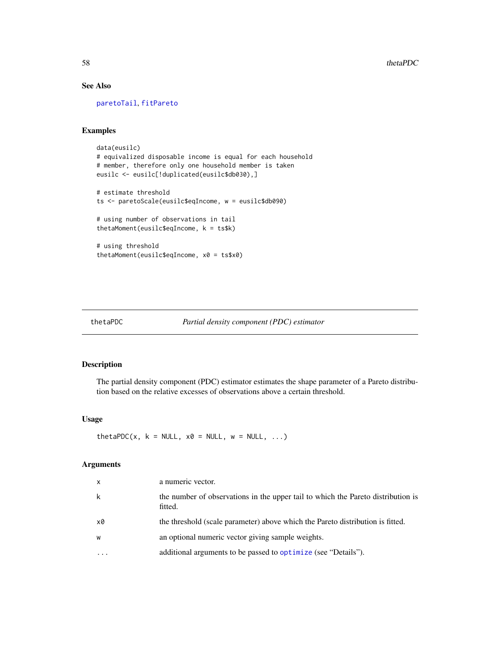# See Also

[paretoTail](#page-34-0), [fitPareto](#page-17-0)

# Examples

```
data(eusilc)
# equivalized disposable income is equal for each household
# member, therefore only one household member is taken
eusilc <- eusilc[!duplicated(eusilc$db030),]
# estimate threshold
ts <- paretoScale(eusilc$eqIncome, w = eusilc$db090)
# using number of observations in tail
thetaMoment(eusilc$eqIncome, k = ts$k)
# using threshold
thetaMoment(eusilc$eqIncome, x0 = ts$x0)
```
<span id="page-57-0"></span>thetaPDC *Partial density component (PDC) estimator*

# Description

The partial density component (PDC) estimator estimates the shape parameter of a Pareto distribution based on the relative excesses of observations above a certain threshold.

# Usage

thetaPDC(x,  $k = NULL$ ,  $x0 = NULL$ ,  $w = NULL$ , ...)

# Arguments

| x         | a numeric vector.                                                                           |
|-----------|---------------------------------------------------------------------------------------------|
| k         | the number of observations in the upper tail to which the Pareto distribution is<br>fitted. |
| x0        | the threshold (scale parameter) above which the Pareto distribution is fitted.              |
| W         | an optional numeric vector giving sample weights.                                           |
| $\ddotsc$ | additional arguments to be passed to optimize (see "Details").                              |

<span id="page-57-1"></span>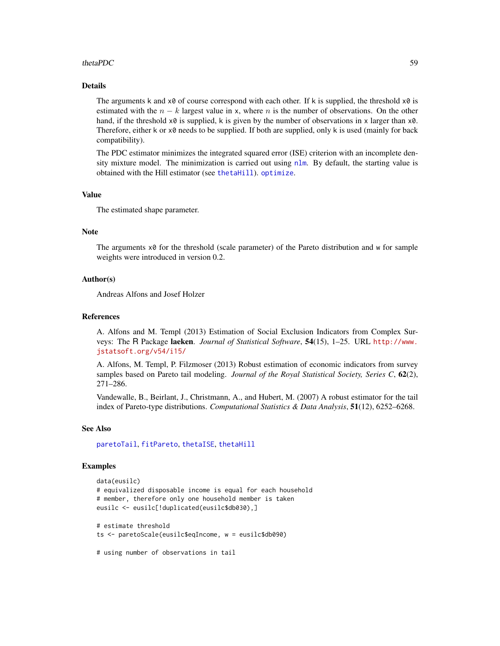# <span id="page-58-0"></span>thetaPDC 59

# Details

The arguments k and  $x\theta$  of course correspond with each other. If k is supplied, the threshold  $x\theta$  is estimated with the  $n - k$  largest value in x, where n is the number of observations. On the other hand, if the threshold  $x\theta$  is supplied, k is given by the number of observations in x larger than  $x\theta$ . Therefore, either  $k$  or  $x\theta$  needs to be supplied. If both are supplied, only  $k$  is used (mainly for back compatibility).

The PDC estimator minimizes the integrated squared error (ISE) criterion with an incomplete density mixture model. The minimization is carried out using [nlm](#page-0-0). By default, the starting value is obtained with the Hill estimator (see [thetaHill](#page-51-0)). [optimize](#page-0-0).

# Value

The estimated shape parameter.

# Note

The arguments x0 for the threshold (scale parameter) of the Pareto distribution and w for sample weights were introduced in version 0.2.

#### Author(s)

Andreas Alfons and Josef Holzer

#### References

A. Alfons and M. Templ (2013) Estimation of Social Exclusion Indicators from Complex Surveys: The R Package laeken. *Journal of Statistical Software*, 54(15), 1–25. URL [http://www.](http://www.jstatsoft.org/v54/i15/) [jstatsoft.org/v54/i15/](http://www.jstatsoft.org/v54/i15/)

A. Alfons, M. Templ, P. Filzmoser (2013) Robust estimation of economic indicators from survey samples based on Pareto tail modeling. *Journal of the Royal Statistical Society, Series C*, 62(2), 271–286.

Vandewalle, B., Beirlant, J., Christmann, A., and Hubert, M. (2007) A robust estimator for the tail index of Pareto-type distributions. *Computational Statistics & Data Analysis*, 51(12), 6252–6268.

## See Also

[paretoTail](#page-34-0), [fitPareto](#page-17-0), [thetaISE](#page-53-0), [thetaHill](#page-51-0)

#### Examples

```
data(eusilc)
# equivalized disposable income is equal for each household
# member, therefore only one household member is taken
eusilc <- eusilc[!duplicated(eusilc$db030),]
# estimate threshold
ts <- paretoScale(eusilc$eqIncome, w = eusilc$db090)
```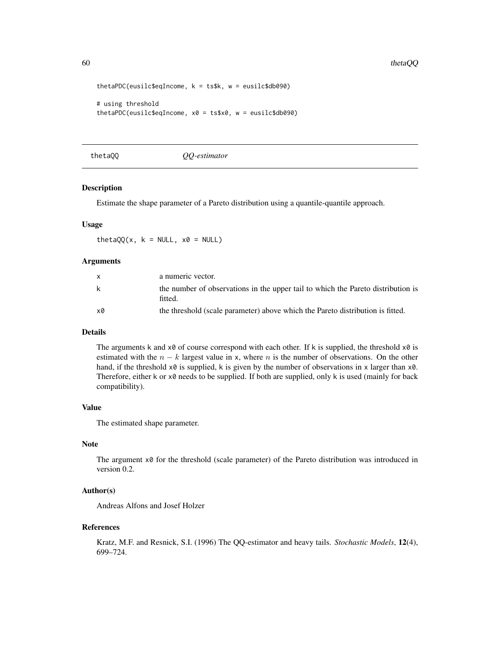```
thetaPDC(eusilc$eqIncome, k = ts$k, w = eusilc$db090)
# using threshold
thetaPDC(eusilc$eqIncome, x0 = ts$x0, w = eusilc$db090)
```
thetaQQ *QQ-estimator*

# Description

Estimate the shape parameter of a Pareto distribution using a quantile-quantile approach.

#### Usage

thetaQQ(x,  $k = NULL$ ,  $x0 = NULL$ )

#### Arguments

| X  | a numeric vector.                                                                           |
|----|---------------------------------------------------------------------------------------------|
| k  | the number of observations in the upper tail to which the Pareto distribution is<br>fitted. |
| x0 | the threshold (scale parameter) above which the Pareto distribution is fitted.              |

# Details

The arguments k and  $x\theta$  of course correspond with each other. If k is supplied, the threshold  $x\theta$  is estimated with the  $n - k$  largest value in x, where n is the number of observations. On the other hand, if the threshold  $x0$  is supplied, k is given by the number of observations in x larger than  $x0$ . Therefore, either k or x0 needs to be supplied. If both are supplied, only k is used (mainly for back compatibility).

# Value

The estimated shape parameter.

# Note

The argument  $x\theta$  for the threshold (scale parameter) of the Pareto distribution was introduced in version 0.2.

# Author(s)

Andreas Alfons and Josef Holzer

#### References

Kratz, M.F. and Resnick, S.I. (1996) The QQ-estimator and heavy tails. *Stochastic Models*, 12(4), 699–724.

<span id="page-59-0"></span>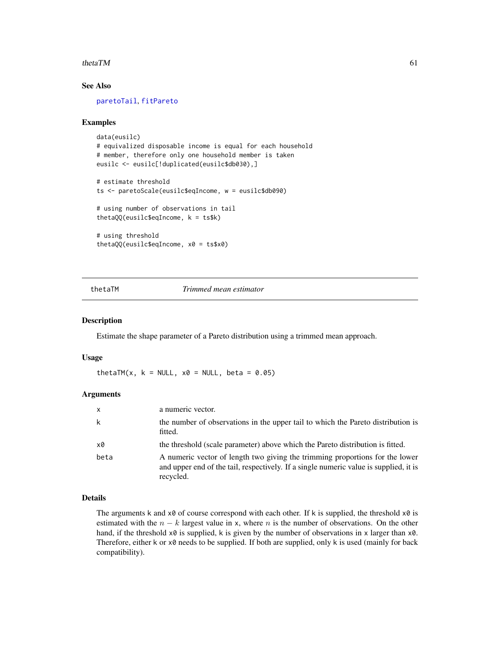#### <span id="page-60-0"></span>thetaTM 61

# See Also

[paretoTail](#page-34-0), [fitPareto](#page-17-0)

#### Examples

```
data(eusilc)
# equivalized disposable income is equal for each household
# member, therefore only one household member is taken
eusilc <- eusilc[!duplicated(eusilc$db030),]
# estimate threshold
ts <- paretoScale(eusilc$eqIncome, w = eusilc$db090)
# using number of observations in tail
thetaQQ(eusilc$eqIncome, k = ts$k)
# using threshold
thetaQQ(eusilc$eqIncome, x0 = ts$x0)
```
thetaTM *Trimmed mean estimator*

#### Description

Estimate the shape parameter of a Pareto distribution using a trimmed mean approach.

#### Usage

thetaTM(x,  $k = NULL$ ,  $x0 = NULL$ , beta = 0.05)

# Arguments

| $\mathsf{x}$ | a numeric vector.                                                                                                                                                                  |
|--------------|------------------------------------------------------------------------------------------------------------------------------------------------------------------------------------|
| k            | the number of observations in the upper tail to which the Pareto distribution is<br>fitted.                                                                                        |
| x0           | the threshold (scale parameter) above which the Pareto distribution is fitted.                                                                                                     |
| beta         | A numeric vector of length two giving the trimming proportions for the lower<br>and upper end of the tail, respectively. If a single numeric value is supplied, it is<br>recycled. |

# Details

The arguments k and  $x\theta$  of course correspond with each other. If k is supplied, the threshold  $x\theta$  is estimated with the  $n - k$  largest value in x, where n is the number of observations. On the other hand, if the threshold  $x0$  is supplied, k is given by the number of observations in x larger than  $x0$ . Therefore, either k or x0 needs to be supplied. If both are supplied, only k is used (mainly for back compatibility).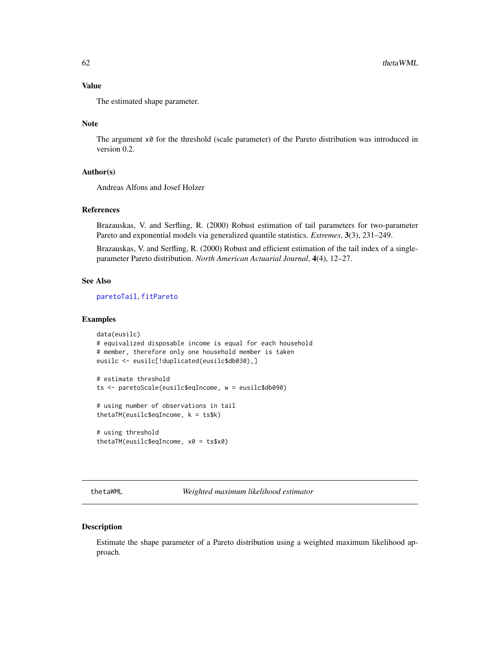# <span id="page-61-1"></span>Value

The estimated shape parameter.

# Note

The argument  $x\theta$  for the threshold (scale parameter) of the Pareto distribution was introduced in version 0.2.

#### Author(s)

Andreas Alfons and Josef Holzer

# References

Brazauskas, V. and Serfling, R. (2000) Robust estimation of tail parameters for two-parameter Pareto and exponential models via generalized quantile statistics. *Extremes*, 3(3), 231–249.

Brazauskas, V. and Serfling, R. (2000) Robust and efficient estimation of the tail index of a singleparameter Pareto distribution. *North American Actuarial Journal*, 4(4), 12–27.

#### See Also

[paretoTail](#page-34-0), [fitPareto](#page-17-0)

# Examples

```
data(eusilc)
# equivalized disposable income is equal for each household
# member, therefore only one household member is taken
eusilc <- eusilc[!duplicated(eusilc$db030),]
# estimate threshold
ts <- paretoScale(eusilc$eqIncome, w = eusilc$db090)
# using number of observations in tail
thetaTM(eusilc$eqIncome, k = ts$k)
# using threshold
```

```
thetaTM(eusilc$eqIncome, x0 = ts$x0)
```
<span id="page-61-0"></span>thetaWML *Weighted maximum likelihood estimator*

#### Description

Estimate the shape parameter of a Pareto distribution using a weighted maximum likelihood approach.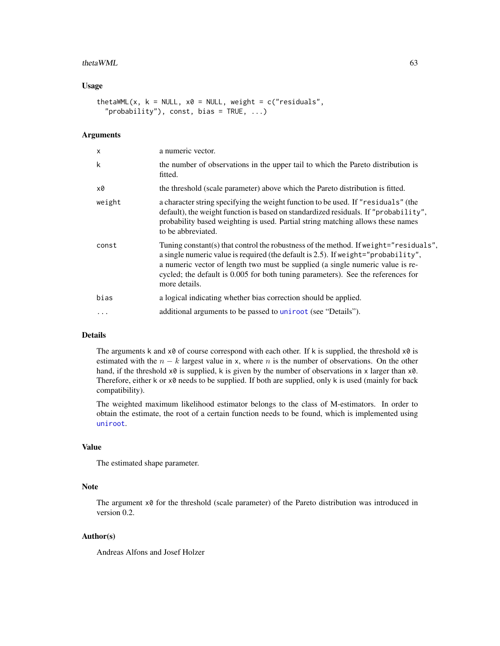#### $t$ hetaWML 63

# Usage

```
thetaWML(x, k = NULL, x0 = NULL, weight = c("residuals",
  "probability"), const, bias = TRUE, \ldots)
```
# Arguments

| a numeric vector.<br>X                                                                                                                                                                                                                                                                                                                                                      |  |
|-----------------------------------------------------------------------------------------------------------------------------------------------------------------------------------------------------------------------------------------------------------------------------------------------------------------------------------------------------------------------------|--|
| k<br>the number of observations in the upper tail to which the Pareto distribution is<br>fitted.                                                                                                                                                                                                                                                                            |  |
| the threshold (scale parameter) above which the Pareto distribution is fitted.<br>x0                                                                                                                                                                                                                                                                                        |  |
| a character string specifying the weight function to be used. If "residuals" (the<br>weight<br>default), the weight function is based on standardized residuals. If "probability",<br>probability based weighting is used. Partial string matching allows these names<br>to be abbreviated.                                                                                 |  |
| Tuning constant(s) that control the robustness of the method. If we ight="residuals",<br>const<br>a single numeric value is required (the default is 2.5). If we ight="probability",<br>a numeric vector of length two must be supplied (a single numeric value is re-<br>cycled; the default is 0.005 for both tuning parameters). See the references for<br>more details. |  |
| bias<br>a logical indicating whether bias correction should be applied.                                                                                                                                                                                                                                                                                                     |  |
| additional arguments to be passed to uniroot (see "Details").<br>.                                                                                                                                                                                                                                                                                                          |  |

# Details

The arguments k and  $x0$  of course correspond with each other. If k is supplied, the threshold  $x0$  is estimated with the  $n - k$  largest value in x, where n is the number of observations. On the other hand, if the threshold  $x0$  is supplied, k is given by the number of observations in x larger than  $x0$ . Therefore, either  $k$  or  $x\theta$  needs to be supplied. If both are supplied, only  $k$  is used (mainly for back compatibility).

The weighted maximum likelihood estimator belongs to the class of M-estimators. In order to obtain the estimate, the root of a certain function needs to be found, which is implemented using [uniroot](#page-0-0).

# Value

The estimated shape parameter.

#### Note

The argument  $\times\emptyset$  for the threshold (scale parameter) of the Pareto distribution was introduced in version 0.2.

# Author(s)

Andreas Alfons and Josef Holzer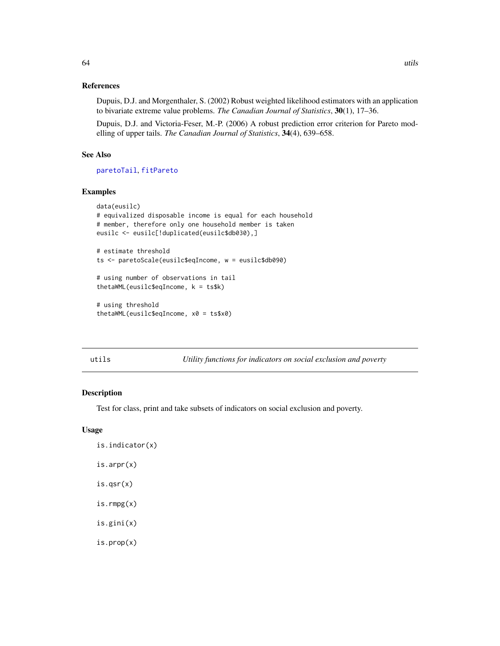# <span id="page-63-0"></span>References

Dupuis, D.J. and Morgenthaler, S. (2002) Robust weighted likelihood estimators with an application to bivariate extreme value problems. *The Canadian Journal of Statistics*, 30(1), 17–36.

Dupuis, D.J. and Victoria-Feser, M.-P. (2006) A robust prediction error criterion for Pareto modelling of upper tails. *The Canadian Journal of Statistics*, 34(4), 639–658.

# See Also

[paretoTail](#page-34-0), [fitPareto](#page-17-0)

# Examples

```
data(eusilc)
# equivalized disposable income is equal for each household
# member, therefore only one household member is taken
eusilc <- eusilc[!duplicated(eusilc$db030),]
# estimate threshold
ts <- paretoScale(eusilc$eqIncome, w = eusilc$db090)
# using number of observations in tail
thetaWML(eusilc$eqIncome, k = ts$k)
```
# using threshold thetaWML(eusilc\$eqIncome, x0 = ts\$x0)

utils *Utility functions for indicators on social exclusion and poverty*

#### Description

Test for class, print and take subsets of indicators on social exclusion and poverty.

# Usage

```
is.indicator(x)
is.arpr(x)
is.qsr(x)
is.rmpg(x)
is.gini(x)
is.prop(x)
```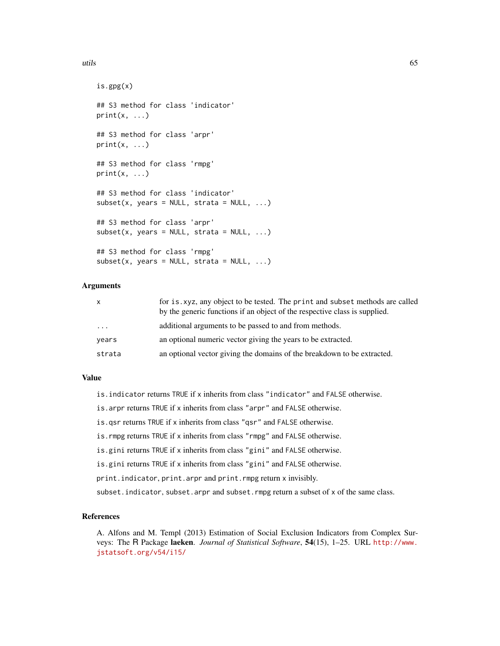#### utils 65

```
is.gpg(x)
## S3 method for class 'indicator'
print(x, \ldots)## S3 method for class 'arpr'
print(x, \ldots)## S3 method for class 'rmpg'
print(x, \ldots)## S3 method for class 'indicator'
subset(x, years = NULL, strata = NULL, ...)## S3 method for class 'arpr'
subset(x, years = NULL, strata = NULL, ...)## S3 method for class 'rmpg'
subset(x, years = NULL, strata = NULL, ...)
```
# Arguments

| X       | for is. xyz, any object to be tested. The print and subset methods are called<br>by the generic functions if an object of the respective class is supplied. |
|---------|-------------------------------------------------------------------------------------------------------------------------------------------------------------|
| $\cdot$ | additional arguments to be passed to and from methods.                                                                                                      |
| years   | an optional numeric vector giving the years to be extracted.                                                                                                |
| strata  | an optional vector giving the domains of the breakdown to be extracted.                                                                                     |

# Value

- is.indicator returns TRUE if x inherits from class "indicator" and FALSE otherwise.
- is.arpr returns TRUE if x inherits from class "arpr" and FALSE otherwise.
- is.qsr returns TRUE if x inherits from class "qsr" and FALSE otherwise.
- is.rmpg returns TRUE if x inherits from class "rmpg" and FALSE otherwise.
- is.gini returns TRUE if x inherits from class "gini" and FALSE otherwise.
- is.gini returns TRUE if x inherits from class "gini" and FALSE otherwise.
- print.indicator, print.arpr and print.rmpg return x invisibly.
- subset.indicator, subset.arpr and subset.rmpg return a subset of x of the same class.

#### References

A. Alfons and M. Templ (2013) Estimation of Social Exclusion Indicators from Complex Surveys: The R Package laeken. *Journal of Statistical Software*, 54(15), 1–25. URL [http://www.](http://www.jstatsoft.org/v54/i15/) [jstatsoft.org/v54/i15/](http://www.jstatsoft.org/v54/i15/)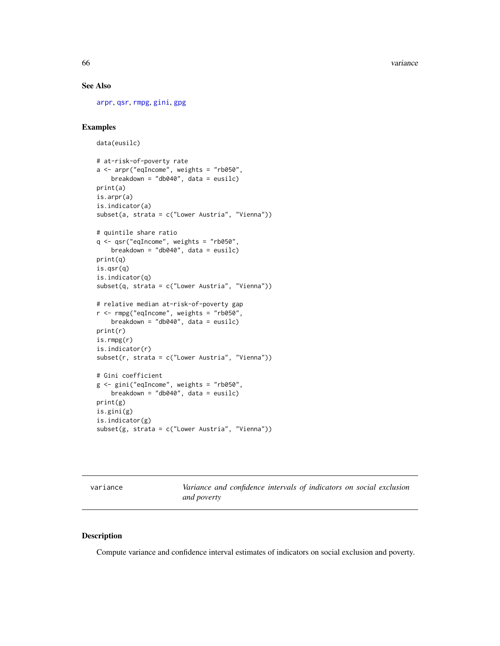66 variance

# See Also

[arpr](#page-3-0), [qsr](#page-40-0), [rmpg](#page-45-0), [gini](#page-18-0), [gpg](#page-21-0)

# Examples

```
data(eusilc)
# at-risk-of-poverty rate
a <- arpr("eqIncome", weights = "rb050",
   breakdown = "db040", data = eusilc)
print(a)
is.arpr(a)
is.indicator(a)
subset(a, strata = c("Lower Austria", "Vienna"))
# quintile share ratio
q <- qsr("eqIncome", weights = "rb050",
   breakdown = "db040", data = eusilc)
print(q)
is.qsr(q)
is.indicator(q)
subset(q, strata = c("Lower Austria", "Vienna"))
# relative median at-risk-of-poverty gap
r <- rmpg("eqIncome", weights = "rb050",
   breakdown = "db040", data = eusilc)
print(r)
is.rmpg(r)
is.indicator(r)
subset(r, strata = c("Lower Austria", "Vienna"))
# Gini coefficient
g <- gini("eqIncome", weights = "rb050",
   breakdown = "db040", data = eusilc)
print(g)
is.gini(g)
is.indicator(g)
subset(g, strata = c("Lower Austria", "Vienna"))
```
<span id="page-65-0"></span>variance *Variance and confidence intervals of indicators on social exclusion and poverty*

#### Description

Compute variance and confidence interval estimates of indicators on social exclusion and poverty.

<span id="page-65-1"></span>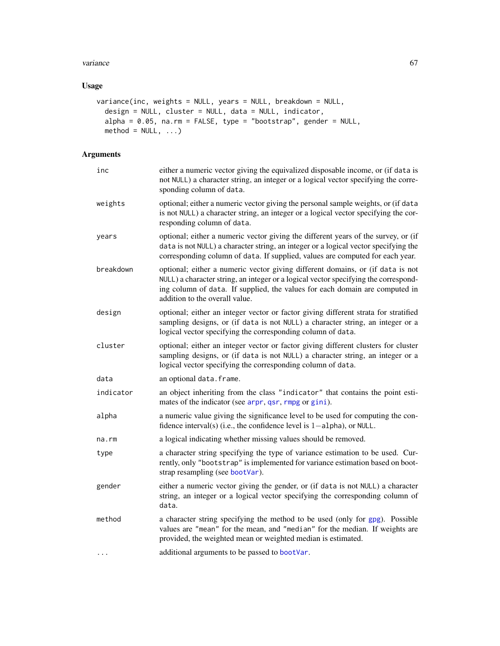#### <span id="page-66-0"></span>variance 67 and 67 and 67 and 67 and 67 and 67 and 67 and 67 and 67 and 67 and 67 and 67 and 67 and 67 and 67 and 67 and 67 and 67 and 67 and 67 and 67 and 67 and 67 and 67 and 67 and 67 and 67 and 67 and 67 and 67 and 67

# Usage

```
variance(inc, weights = NULL, years = NULL, breakdown = NULL,
 design = NULL, cluster = NULL, data = NULL, indicator,
  alpha = 0.05, na.rm = FALSE, type = "bootstrap", gender = NULL,
 method = NULL, ...)
```
# Arguments

| inc         | either a numeric vector giving the equivalized disposable income, or (if data is<br>not NULL) a character string, an integer or a logical vector specifying the corre-<br>sponding column of data.                                                                                     |
|-------------|----------------------------------------------------------------------------------------------------------------------------------------------------------------------------------------------------------------------------------------------------------------------------------------|
| weights     | optional; either a numeric vector giving the personal sample weights, or (if data<br>is not NULL) a character string, an integer or a logical vector specifying the cor-<br>responding column of data.                                                                                 |
| years       | optional; either a numeric vector giving the different years of the survey, or (if<br>data is not NULL) a character string, an integer or a logical vector specifying the<br>corresponding column of data. If supplied, values are computed for each year.                             |
| breakdown   | optional; either a numeric vector giving different domains, or (if data is not<br>NULL) a character string, an integer or a logical vector specifying the correspond-<br>ing column of data. If supplied, the values for each domain are computed in<br>addition to the overall value. |
| design      | optional; either an integer vector or factor giving different strata for stratified<br>sampling designs, or (if data is not NULL) a character string, an integer or a<br>logical vector specifying the corresponding column of data.                                                   |
| cluster     | optional; either an integer vector or factor giving different clusters for cluster<br>sampling designs, or (if data is not NULL) a character string, an integer or a<br>logical vector specifying the corresponding column of data.                                                    |
| data        | an optional data. frame.                                                                                                                                                                                                                                                               |
| indicator   | an object inheriting from the class "indicator" that contains the point esti-<br>mates of the indicator (see arpr, qsr, rmpg or gini).                                                                                                                                                 |
| alpha       | a numeric value giving the significance level to be used for computing the con-<br>fidence interval(s) (i.e., the confidence level is $1$ -alpha), or NULL.                                                                                                                            |
| $na$ . $rm$ | a logical indicating whether missing values should be removed.                                                                                                                                                                                                                         |
| type        | a character string specifying the type of variance estimation to be used. Cur-<br>rently, only "bootstrap" is implemented for variance estimation based on boot-<br>strap resampling (see bootVar).                                                                                    |
| gender      | either a numeric vector giving the gender, or (if data is not NULL) a character<br>string, an integer or a logical vector specifying the corresponding column of<br>data.                                                                                                              |
| method      | a character string specifying the method to be used (only for gpg). Possible<br>values are "mean" for the mean, and "median" for the median. If weights are<br>provided, the weighted mean or weighted median is estimated.                                                            |
| .           | additional arguments to be passed to bootVar.                                                                                                                                                                                                                                          |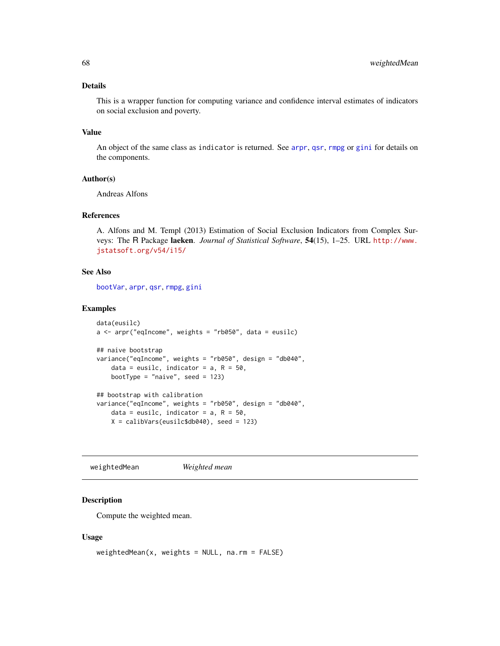# <span id="page-67-0"></span>Details

This is a wrapper function for computing variance and confidence interval estimates of indicators on social exclusion and poverty.

# Value

An object of the same class as indicator is returned. See [arpr](#page-3-0), [qsr](#page-40-0), [rmpg](#page-45-0) or [gini](#page-18-0) for details on the components.

# Author(s)

Andreas Alfons

# References

A. Alfons and M. Templ (2013) Estimation of Social Exclusion Indicators from Complex Surveys: The R Package laeken. *Journal of Statistical Software*, 54(15), 1–25. URL [http://www.](http://www.jstatsoft.org/v54/i15/) [jstatsoft.org/v54/i15/](http://www.jstatsoft.org/v54/i15/)

# See Also

[bootVar](#page-7-0), [arpr](#page-3-0), [qsr](#page-40-0), [rmpg](#page-45-0), [gini](#page-18-0)

# Examples

```
data(eusilc)
a <- arpr("eqIncome", weights = "rb050", data = eusilc)
## naive bootstrap
variance("eqIncome", weights = "rb050", design = "db040",
    data = eusilc, indicator = a, R = 50,
   bootType = "naive", seed = 123)
## bootstrap with calibration
variance("eqIncome", weights = "rb050", design = "db040",
   data = eusilc, indicator = a, R = 50,
   X = calibVars(eusilc$db040), seed = 123)
```
weightedMean *Weighted mean*

# Description

Compute the weighted mean.

#### Usage

```
weightedMean(x, weights = NULL, na.rm = FALSE)
```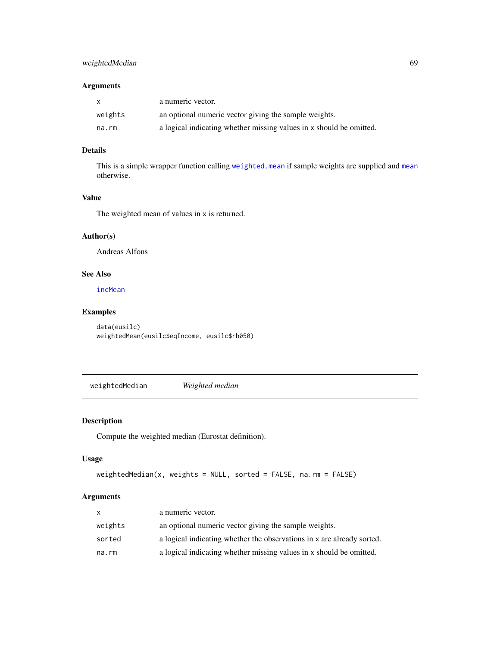# <span id="page-68-1"></span>weightedMedian 69

# Arguments

| $\mathsf{x}$ | a numeric vector.                                                   |
|--------------|---------------------------------------------------------------------|
| weights      | an optional numeric vector giving the sample weights.               |
| na.rm        | a logical indicating whether missing values in x should be omitted. |

# Details

This is a simple wrapper function calling [weighted.mean](#page-0-0) if sample weights are supplied and [mean](#page-0-0) otherwise.

# Value

The weighted mean of values in x is returned.

# Author(s)

Andreas Alfons

# See Also

[incMean](#page-23-0)

# Examples

data(eusilc) weightedMean(eusilc\$eqIncome, eusilc\$rb050)

<span id="page-68-0"></span>weightedMedian *Weighted median*

# Description

Compute the weighted median (Eurostat definition).

# Usage

```
weightedMedian(x, weights = NULL, sorted = FALSE, na.rm = FALSE)
```
# Arguments

| x       | a numeric vector.                                                      |
|---------|------------------------------------------------------------------------|
| weights | an optional numeric vector giving the sample weights.                  |
| sorted  | a logical indicating whether the observations in x are already sorted. |
| na.rm   | a logical indicating whether missing values in x should be omitted.    |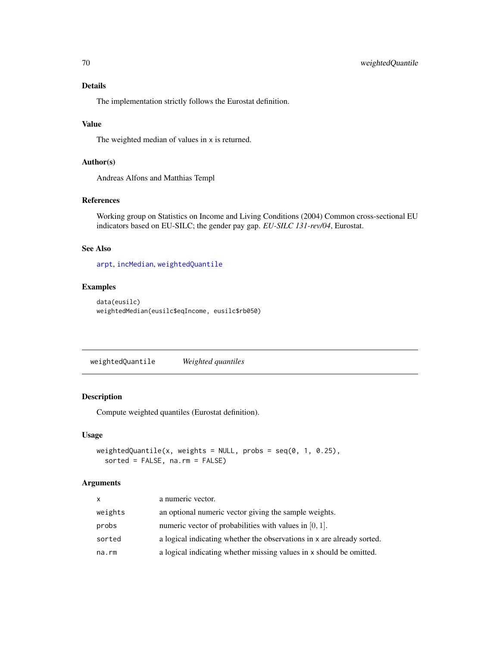# Details

The implementation strictly follows the Eurostat definition.

# Value

The weighted median of values in x is returned.

# Author(s)

Andreas Alfons and Matthias Templ

#### References

Working group on Statistics on Income and Living Conditions (2004) Common cross-sectional EU indicators based on EU-SILC; the gender pay gap. *EU-SILC 131-rev/04*, Eurostat.

# See Also

[arpt](#page-6-0), [incMedian](#page-24-0), [weightedQuantile](#page-69-0)

# Examples

```
data(eusilc)
weightedMedian(eusilc$eqIncome, eusilc$rb050)
```
<span id="page-69-0"></span>weightedQuantile *Weighted quantiles*

# Description

Compute weighted quantiles (Eurostat definition).

# Usage

```
weightedQuantile(x, weights = NULL, probes = seq(0, 1, 0.25),sorted = FALSE, na.rm = FALSE)
```
#### Arguments

| <b>X</b> | a numeric vector.                                                      |
|----------|------------------------------------------------------------------------|
| weights  | an optional numeric vector giving the sample weights.                  |
| probs    | numeric vector of probabilities with values in $[0, 1]$ .              |
| sorted   | a logical indicating whether the observations in x are already sorted. |
| na.rm    | a logical indicating whether missing values in x should be omitted.    |

<span id="page-69-1"></span>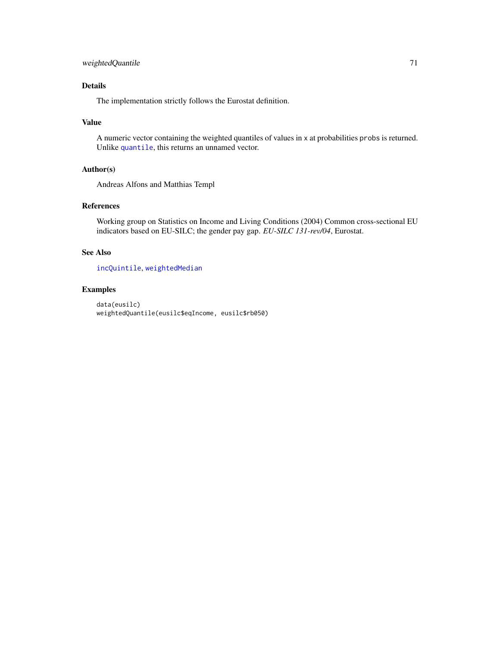# <span id="page-70-0"></span>Details

The implementation strictly follows the Eurostat definition.

# Value

A numeric vector containing the weighted quantiles of values in x at probabilities probs is returned. Unlike [quantile](#page-0-0), this returns an unnamed vector.

# Author(s)

Andreas Alfons and Matthias Templ

# References

Working group on Statistics on Income and Living Conditions (2004) Common cross-sectional EU indicators based on EU-SILC; the gender pay gap. *EU-SILC 131-rev/04*, Eurostat.

# See Also

[incQuintile](#page-25-0), [weightedMedian](#page-68-0)

# Examples

```
data(eusilc)
weightedQuantile(eusilc$eqIncome, eusilc$rb050)
```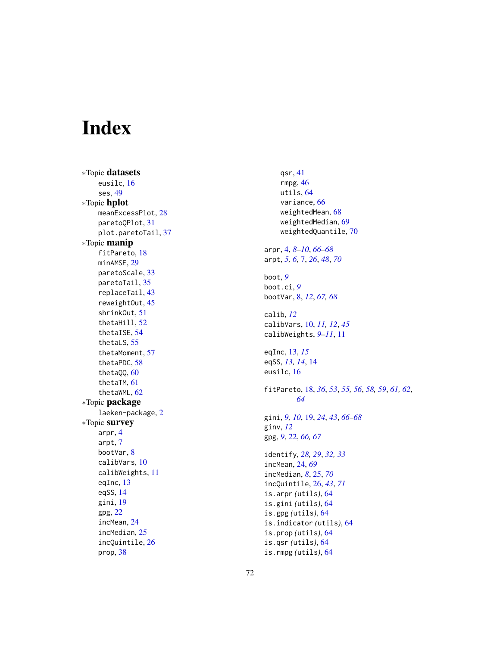# Index

∗Topic datasets eusilc , [16](#page-15-0) ses , [49](#page-48-0) ∗Topic hplot meanExcessPlot, [28](#page-27-0) paretoQPlot , [31](#page-30-1) plot.paretoTail , [37](#page-36-0) ∗Topic manip fitPareto, [18](#page-17-1) minAMSE, [29](#page-28-1) paretoScale , [33](#page-32-0) paretoTail , [35](#page-34-1) replaceTail , [43](#page-42-2) reweightOut , [45](#page-44-1) shrinkOut , [51](#page-50-1) thetaHill , [52](#page-51-1) thetaISE , [54](#page-53-1) thetaLS , [55](#page-54-0) thetaMoment , [57](#page-56-0) thetaPDC , [58](#page-57-1) thetaQQ , [60](#page-59-0) thetaTM , [61](#page-60-0) thetaWML , [62](#page-61-1) ∗Topic package laeken-package , [2](#page-1-0) ∗Topic survey arpr , [4](#page-3-1) arpt , [7](#page-6-1) bootVar , [8](#page-7-1) calibVars , [10](#page-9-1) calibWeights , [11](#page-10-0) eqInc, [13](#page-12-0) eqSS , [14](#page-13-0) gini , [19](#page-18-1) gpg , [22](#page-21-1) incMean , [24](#page-23-1) incMedian , [25](#page-24-1) incQuintile , [26](#page-25-1) prop , [38](#page-37-0)

qsr , [41](#page-40-1) rmpg , [46](#page-45-1) utils , [64](#page-63-0) variance , [66](#page-65-1) weightedMean , [68](#page-67-0) weightedMedian , [69](#page-68-1) weightedQuantile , [70](#page-69-1) arpr , [4](#page-3-1) , *[8](#page-7-1) [–10](#page-9-1)* , *[66](#page-65-1)[–68](#page-67-0)* arpt , *[5](#page-4-0) , [6](#page-5-0)* , [7](#page-6-1) , *[26](#page-25-1)* , *[48](#page-47-0)* , *[70](#page-69-1)* boot , *[9](#page-8-0)* boot.ci , *[9](#page-8-0)* bootVar , [8](#page-7-1) , *[12](#page-11-0)* , *[67,](#page-66-0) [68](#page-67-0)* calib , *[12](#page-11-0)* calibVars , [10](#page-9-1) , *[11](#page-10-0) , [12](#page-11-0)* , *[45](#page-44-1)* calibWeights , *[9](#page-8-0) [–11](#page-10-0)* , [11](#page-10-0) eqInc , [13](#page-12-0) , *[15](#page-14-0)* eqSS, [13](#page-12-0), [14](#page-13-0), 14 eusilc , [16](#page-15-0) fitPareto , [18](#page-17-1) , *[36](#page-35-0)* , *[53](#page-52-0)* , *[55](#page-54-0) , [56](#page-55-0)* , *[58](#page-57-1) , [59](#page-58-0)* , *[61](#page-60-0) , [62](#page-61-1)* , *[64](#page-63-0)* gini , *[9](#page-8-0) , [10](#page-9-1)* , [19](#page-18-1) , *[24](#page-23-1)* , *[43](#page-42-2)* , *[66](#page-65-1)[–68](#page-67-0)* ginv , *[12](#page-11-0)* gpg , *[9](#page-8-0)* , [22](#page-21-1) , *[66,](#page-65-1) [67](#page-66-0)* identify , *[28](#page-27-0) , [29](#page-28-1)* , *[32](#page-31-0) , [33](#page-32-0)* incMean , [24](#page-23-1) , *[69](#page-68-1)* incMedian , *[8](#page-7-1)* , [25](#page-24-1) , *[70](#page-69-1)* incQuintile , [26](#page-25-1) , *[43](#page-42-2)* , *[71](#page-70-0)* is.arpr *(*utils *)* , [64](#page-63-0) is.gini *(*utils *)* , [64](#page-63-0) is.gpg *(*utils *)* , [64](#page-63-0) is.indicator *(*utils *)* , [64](#page-63-0) is.prop *(*utils *)* , [64](#page-63-0) is.qsr *(*utils *)* , [64](#page-63-0) is.rmpg *(*utils *)* , [64](#page-63-0)